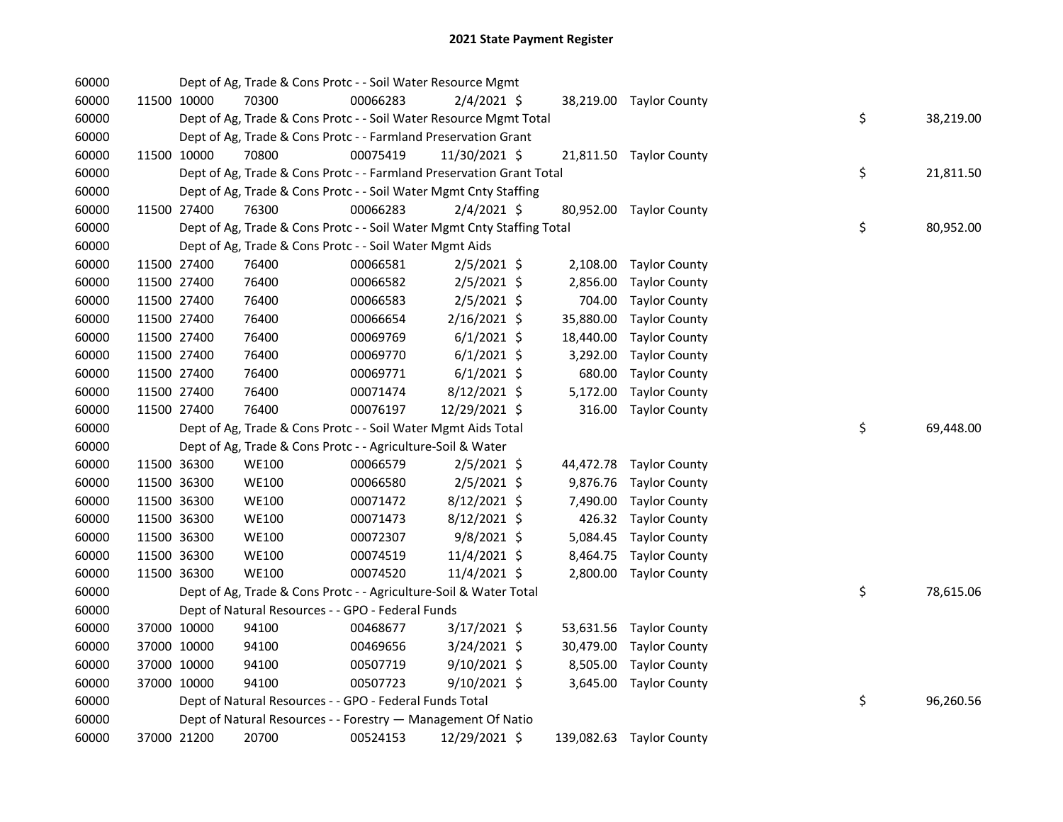| 60000 |             | Dept of Ag, Trade & Cons Protc - - Soil Water Resource Mgmt            |          |                |           |                          |    |           |
|-------|-------------|------------------------------------------------------------------------|----------|----------------|-----------|--------------------------|----|-----------|
| 60000 | 11500 10000 | 70300                                                                  | 00066283 | $2/4/2021$ \$  |           | 38,219.00 Taylor County  |    |           |
| 60000 |             | Dept of Ag, Trade & Cons Protc - - Soil Water Resource Mgmt Total      |          |                |           |                          | \$ | 38,219.00 |
| 60000 |             | Dept of Ag, Trade & Cons Protc - - Farmland Preservation Grant         |          |                |           |                          |    |           |
| 60000 | 11500 10000 | 70800                                                                  | 00075419 | 11/30/2021 \$  |           | 21,811.50 Taylor County  |    |           |
| 60000 |             | Dept of Ag, Trade & Cons Protc - - Farmland Preservation Grant Total   |          |                |           |                          | \$ | 21,811.50 |
| 60000 |             | Dept of Ag, Trade & Cons Protc - - Soil Water Mgmt Cnty Staffing       |          |                |           |                          |    |           |
| 60000 | 11500 27400 | 76300                                                                  | 00066283 | $2/4/2021$ \$  |           | 80,952.00 Taylor County  |    |           |
| 60000 |             | Dept of Ag, Trade & Cons Protc - - Soil Water Mgmt Cnty Staffing Total |          |                |           |                          | \$ | 80,952.00 |
| 60000 |             | Dept of Ag, Trade & Cons Protc - - Soil Water Mgmt Aids                |          |                |           |                          |    |           |
| 60000 | 11500 27400 | 76400                                                                  | 00066581 | $2/5/2021$ \$  |           | 2,108.00 Taylor County   |    |           |
| 60000 | 11500 27400 | 76400                                                                  | 00066582 | $2/5/2021$ \$  | 2,856.00  | <b>Taylor County</b>     |    |           |
| 60000 | 11500 27400 | 76400                                                                  | 00066583 | 2/5/2021 \$    | 704.00    | <b>Taylor County</b>     |    |           |
| 60000 | 11500 27400 | 76400                                                                  | 00066654 | 2/16/2021 \$   | 35,880.00 | <b>Taylor County</b>     |    |           |
| 60000 | 11500 27400 | 76400                                                                  | 00069769 | $6/1/2021$ \$  | 18,440.00 | <b>Taylor County</b>     |    |           |
| 60000 | 11500 27400 | 76400                                                                  | 00069770 | $6/1/2021$ \$  | 3,292.00  | <b>Taylor County</b>     |    |           |
| 60000 | 11500 27400 | 76400                                                                  | 00069771 | $6/1/2021$ \$  | 680.00    | <b>Taylor County</b>     |    |           |
| 60000 | 11500 27400 | 76400                                                                  | 00071474 | 8/12/2021 \$   | 5,172.00  | <b>Taylor County</b>     |    |           |
| 60000 | 11500 27400 | 76400                                                                  | 00076197 | 12/29/2021 \$  |           | 316.00 Taylor County     |    |           |
| 60000 |             | Dept of Ag, Trade & Cons Protc - - Soil Water Mgmt Aids Total          |          |                |           |                          | \$ | 69,448.00 |
| 60000 |             | Dept of Ag, Trade & Cons Protc - - Agriculture-Soil & Water            |          |                |           |                          |    |           |
| 60000 | 11500 36300 | <b>WE100</b>                                                           | 00066579 | $2/5/2021$ \$  |           | 44,472.78 Taylor County  |    |           |
| 60000 | 11500 36300 | <b>WE100</b>                                                           | 00066580 | $2/5/2021$ \$  | 9,876.76  | <b>Taylor County</b>     |    |           |
| 60000 | 11500 36300 | WE100                                                                  | 00071472 | 8/12/2021 \$   | 7,490.00  | <b>Taylor County</b>     |    |           |
| 60000 | 11500 36300 | <b>WE100</b>                                                           | 00071473 | 8/12/2021 \$   | 426.32    | <b>Taylor County</b>     |    |           |
| 60000 | 11500 36300 | <b>WE100</b>                                                           | 00072307 | $9/8/2021$ \$  |           | 5,084.45 Taylor County   |    |           |
| 60000 | 11500 36300 | <b>WE100</b>                                                           | 00074519 | 11/4/2021 \$   | 8,464.75  | <b>Taylor County</b>     |    |           |
| 60000 | 11500 36300 | <b>WE100</b>                                                           | 00074520 | 11/4/2021 \$   |           | 2,800.00 Taylor County   |    |           |
| 60000 |             | Dept of Ag, Trade & Cons Protc - - Agriculture-Soil & Water Total      |          |                |           |                          | \$ | 78,615.06 |
| 60000 |             | Dept of Natural Resources - - GPO - Federal Funds                      |          |                |           |                          |    |           |
| 60000 | 37000 10000 | 94100                                                                  | 00468677 | 3/17/2021 \$   |           | 53,631.56 Taylor County  |    |           |
| 60000 | 37000 10000 | 94100                                                                  | 00469656 | $3/24/2021$ \$ |           | 30,479.00 Taylor County  |    |           |
| 60000 | 37000 10000 | 94100                                                                  | 00507719 | $9/10/2021$ \$ |           | 8,505.00 Taylor County   |    |           |
| 60000 | 37000 10000 | 94100                                                                  | 00507723 | $9/10/2021$ \$ |           | 3,645.00 Taylor County   |    |           |
| 60000 |             | Dept of Natural Resources - - GPO - Federal Funds Total                |          |                |           |                          | \$ | 96,260.56 |
| 60000 |             | Dept of Natural Resources - - Forestry - Management Of Natio           |          |                |           |                          |    |           |
| 60000 | 37000 21200 | 20700                                                                  | 00524153 | 12/29/2021 \$  |           | 139,082.63 Taylor County |    |           |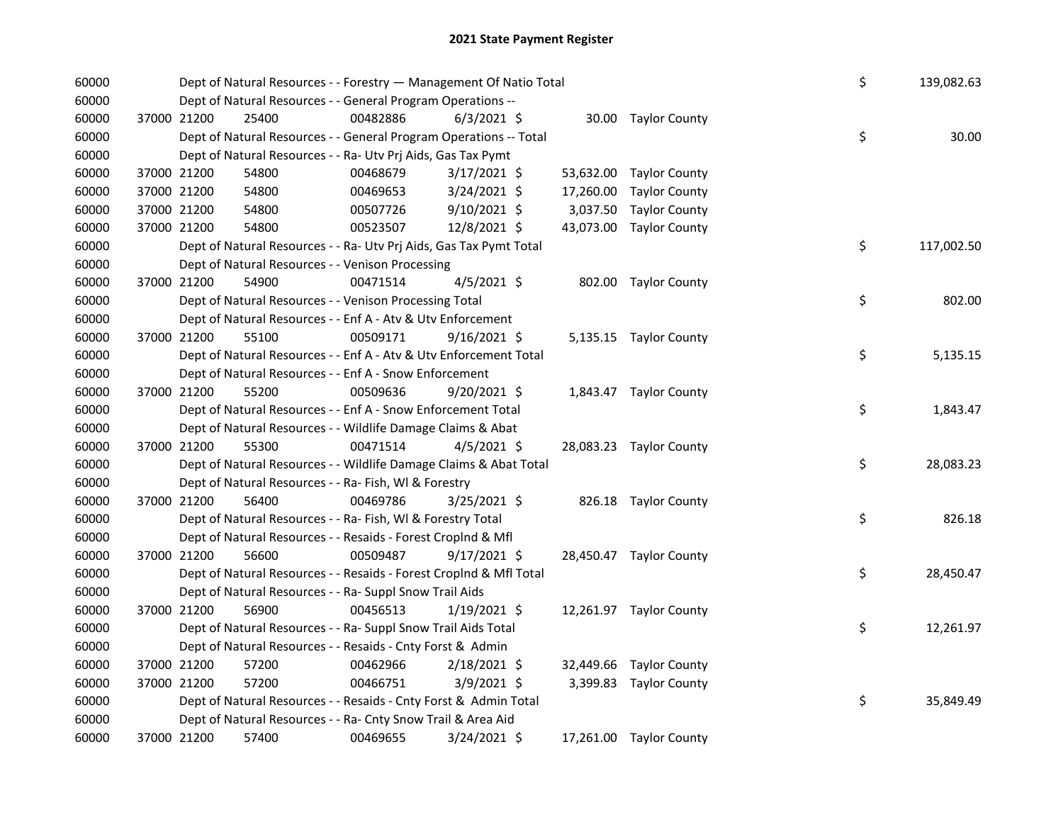| 60000 |             | Dept of Natural Resources - - Forestry - Management Of Natio Total |          |                |           |                         | \$ | 139,082.63 |
|-------|-------------|--------------------------------------------------------------------|----------|----------------|-----------|-------------------------|----|------------|
| 60000 |             | Dept of Natural Resources - - General Program Operations --        |          |                |           |                         |    |            |
| 60000 | 37000 21200 | 25400                                                              | 00482886 | $6/3/2021$ \$  |           | 30.00 Taylor County     |    |            |
| 60000 |             | Dept of Natural Resources - - General Program Operations -- Total  |          |                |           |                         | \$ | 30.00      |
| 60000 |             | Dept of Natural Resources - - Ra- Utv Prj Aids, Gas Tax Pymt       |          |                |           |                         |    |            |
| 60000 | 37000 21200 | 54800                                                              | 00468679 | $3/17/2021$ \$ |           | 53,632.00 Taylor County |    |            |
| 60000 | 37000 21200 | 54800                                                              | 00469653 | 3/24/2021 \$   | 17,260.00 | <b>Taylor County</b>    |    |            |
| 60000 | 37000 21200 | 54800                                                              | 00507726 | 9/10/2021 \$   |           | 3,037.50 Taylor County  |    |            |
| 60000 | 37000 21200 | 54800                                                              | 00523507 | 12/8/2021 \$   |           | 43,073.00 Taylor County |    |            |
| 60000 |             | Dept of Natural Resources - - Ra- Utv Prj Aids, Gas Tax Pymt Total |          |                |           |                         | \$ | 117,002.50 |
| 60000 |             | Dept of Natural Resources - - Venison Processing                   |          |                |           |                         |    |            |
| 60000 | 37000 21200 | 54900                                                              | 00471514 | $4/5/2021$ \$  |           | 802.00 Taylor County    |    |            |
| 60000 |             | Dept of Natural Resources - - Venison Processing Total             |          |                |           |                         | \$ | 802.00     |
| 60000 |             | Dept of Natural Resources - - Enf A - Atv & Utv Enforcement        |          |                |           |                         |    |            |
| 60000 | 37000 21200 | 55100                                                              | 00509171 | $9/16/2021$ \$ |           | 5,135.15 Taylor County  |    |            |
| 60000 |             | Dept of Natural Resources - - Enf A - Atv & Utv Enforcement Total  |          |                |           |                         | \$ | 5,135.15   |
| 60000 |             | Dept of Natural Resources - - Enf A - Snow Enforcement             |          |                |           |                         |    |            |
| 60000 | 37000 21200 | 55200                                                              | 00509636 | 9/20/2021 \$   |           | 1,843.47 Taylor County  |    |            |
| 60000 |             | Dept of Natural Resources - - Enf A - Snow Enforcement Total       |          |                |           |                         | \$ | 1,843.47   |
| 60000 |             | Dept of Natural Resources - - Wildlife Damage Claims & Abat        |          |                |           |                         |    |            |
| 60000 | 37000 21200 | 55300                                                              | 00471514 | $4/5/2021$ \$  |           | 28,083.23 Taylor County |    |            |
| 60000 |             | Dept of Natural Resources - - Wildlife Damage Claims & Abat Total  |          |                |           |                         | \$ | 28,083.23  |
| 60000 |             | Dept of Natural Resources - - Ra- Fish, WI & Forestry              |          |                |           |                         |    |            |
| 60000 | 37000 21200 | 56400                                                              | 00469786 | 3/25/2021 \$   |           | 826.18 Taylor County    |    |            |
| 60000 |             | Dept of Natural Resources - - Ra- Fish, WI & Forestry Total        |          |                |           |                         | \$ | 826.18     |
| 60000 |             | Dept of Natural Resources - - Resaids - Forest CropInd & Mfl       |          |                |           |                         |    |            |
| 60000 | 37000 21200 | 56600                                                              | 00509487 | $9/17/2021$ \$ |           | 28,450.47 Taylor County |    |            |
| 60000 |             | Dept of Natural Resources - - Resaids - Forest CropInd & Mfl Total |          |                |           |                         | \$ | 28,450.47  |
| 60000 |             | Dept of Natural Resources - - Ra- Suppl Snow Trail Aids            |          |                |           |                         |    |            |
| 60000 | 37000 21200 | 56900                                                              | 00456513 | $1/19/2021$ \$ |           | 12,261.97 Taylor County |    |            |
| 60000 |             | Dept of Natural Resources - - Ra- Suppl Snow Trail Aids Total      |          |                |           |                         | \$ | 12,261.97  |
| 60000 |             | Dept of Natural Resources - - Resaids - Cnty Forst & Admin         |          |                |           |                         |    |            |
| 60000 | 37000 21200 | 57200                                                              | 00462966 | 2/18/2021 \$   |           | 32,449.66 Taylor County |    |            |
| 60000 | 37000 21200 | 57200                                                              | 00466751 | $3/9/2021$ \$  |           | 3,399.83 Taylor County  |    |            |
| 60000 |             | Dept of Natural Resources - - Resaids - Cnty Forst & Admin Total   |          |                |           |                         | \$ | 35,849.49  |
| 60000 |             | Dept of Natural Resources - - Ra- Cnty Snow Trail & Area Aid       |          |                |           |                         |    |            |
| 60000 | 37000 21200 | 57400                                                              | 00469655 | 3/24/2021 \$   |           | 17,261.00 Taylor County |    |            |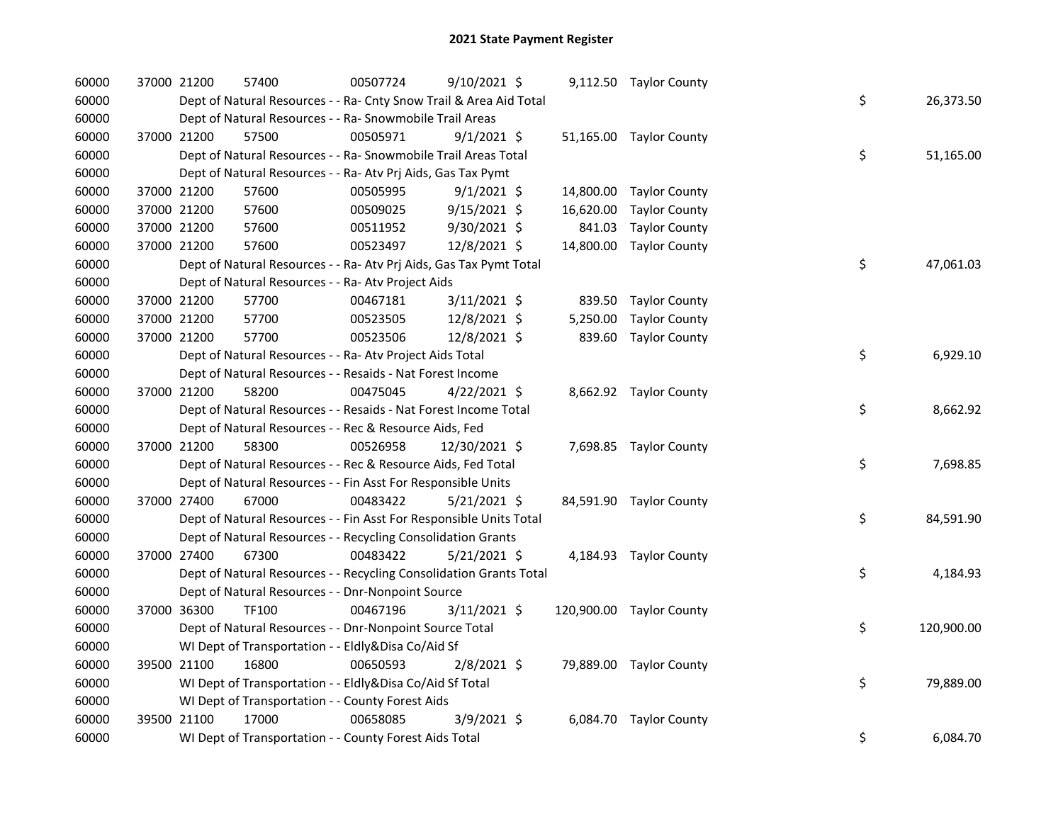| 60000 | 37000 21200 | 57400                                                              | 00507724 | $9/10/2021$ \$ |          | 9,112.50 Taylor County   |    |            |
|-------|-------------|--------------------------------------------------------------------|----------|----------------|----------|--------------------------|----|------------|
| 60000 |             | Dept of Natural Resources - - Ra- Cnty Snow Trail & Area Aid Total |          |                |          |                          | \$ | 26,373.50  |
| 60000 |             | Dept of Natural Resources - - Ra- Snowmobile Trail Areas           |          |                |          |                          |    |            |
| 60000 | 37000 21200 | 57500                                                              | 00505971 | $9/1/2021$ \$  |          | 51,165.00 Taylor County  |    |            |
| 60000 |             | Dept of Natural Resources - - Ra- Snowmobile Trail Areas Total     |          |                |          |                          | \$ | 51,165.00  |
| 60000 |             | Dept of Natural Resources - - Ra- Atv Prj Aids, Gas Tax Pymt       |          |                |          |                          |    |            |
| 60000 | 37000 21200 | 57600                                                              | 00505995 | $9/1/2021$ \$  |          | 14,800.00 Taylor County  |    |            |
| 60000 | 37000 21200 | 57600                                                              | 00509025 | $9/15/2021$ \$ |          | 16,620.00 Taylor County  |    |            |
| 60000 | 37000 21200 | 57600                                                              | 00511952 | 9/30/2021 \$   | 841.03   | <b>Taylor County</b>     |    |            |
| 60000 | 37000 21200 | 57600                                                              | 00523497 | 12/8/2021 \$   |          | 14,800.00 Taylor County  |    |            |
| 60000 |             | Dept of Natural Resources - - Ra- Atv Prj Aids, Gas Tax Pymt Total |          |                |          |                          | \$ | 47,061.03  |
| 60000 |             | Dept of Natural Resources - - Ra- Atv Project Aids                 |          |                |          |                          |    |            |
| 60000 | 37000 21200 | 57700                                                              | 00467181 | $3/11/2021$ \$ |          | 839.50 Taylor County     |    |            |
| 60000 | 37000 21200 | 57700                                                              | 00523505 | 12/8/2021 \$   | 5,250.00 | <b>Taylor County</b>     |    |            |
| 60000 | 37000 21200 | 57700                                                              | 00523506 | 12/8/2021 \$   |          | 839.60 Taylor County     |    |            |
| 60000 |             | Dept of Natural Resources - - Ra- Atv Project Aids Total           |          |                |          |                          | \$ | 6,929.10   |
| 60000 |             | Dept of Natural Resources - - Resaids - Nat Forest Income          |          |                |          |                          |    |            |
| 60000 | 37000 21200 | 58200                                                              | 00475045 | $4/22/2021$ \$ |          | 8,662.92 Taylor County   |    |            |
| 60000 |             | Dept of Natural Resources - - Resaids - Nat Forest Income Total    |          |                |          |                          | \$ | 8,662.92   |
| 60000 |             | Dept of Natural Resources - - Rec & Resource Aids, Fed             |          |                |          |                          |    |            |
| 60000 | 37000 21200 | 58300                                                              | 00526958 | 12/30/2021 \$  |          | 7,698.85 Taylor County   |    |            |
| 60000 |             | Dept of Natural Resources - - Rec & Resource Aids, Fed Total       |          |                |          |                          | \$ | 7,698.85   |
| 60000 |             | Dept of Natural Resources - - Fin Asst For Responsible Units       |          |                |          |                          |    |            |
| 60000 | 37000 27400 | 67000                                                              | 00483422 | $5/21/2021$ \$ |          | 84,591.90 Taylor County  |    |            |
| 60000 |             | Dept of Natural Resources - - Fin Asst For Responsible Units Total |          |                |          |                          | \$ | 84,591.90  |
| 60000 |             | Dept of Natural Resources - - Recycling Consolidation Grants       |          |                |          |                          |    |            |
| 60000 | 37000 27400 | 67300                                                              | 00483422 | $5/21/2021$ \$ |          | 4,184.93 Taylor County   |    |            |
| 60000 |             | Dept of Natural Resources - - Recycling Consolidation Grants Total |          |                |          |                          | \$ | 4,184.93   |
| 60000 |             | Dept of Natural Resources - - Dnr-Nonpoint Source                  |          |                |          |                          |    |            |
| 60000 | 37000 36300 | <b>TF100</b>                                                       | 00467196 | $3/11/2021$ \$ |          | 120,900.00 Taylor County |    |            |
| 60000 |             | Dept of Natural Resources - - Dnr-Nonpoint Source Total            |          |                |          |                          | \$ | 120,900.00 |
| 60000 |             | WI Dept of Transportation - - Eldly&Disa Co/Aid Sf                 |          |                |          |                          |    |            |
| 60000 | 39500 21100 | 16800                                                              | 00650593 | $2/8/2021$ \$  |          | 79,889.00 Taylor County  |    |            |
| 60000 |             | WI Dept of Transportation - - Eldly&Disa Co/Aid Sf Total           |          |                |          |                          | \$ | 79,889.00  |
| 60000 |             | WI Dept of Transportation - - County Forest Aids                   |          |                |          |                          |    |            |
| 60000 | 39500 21100 | 17000                                                              | 00658085 | $3/9/2021$ \$  |          | 6,084.70 Taylor County   |    |            |
| 60000 |             | WI Dept of Transportation - - County Forest Aids Total             |          |                |          |                          | \$ | 6,084.70   |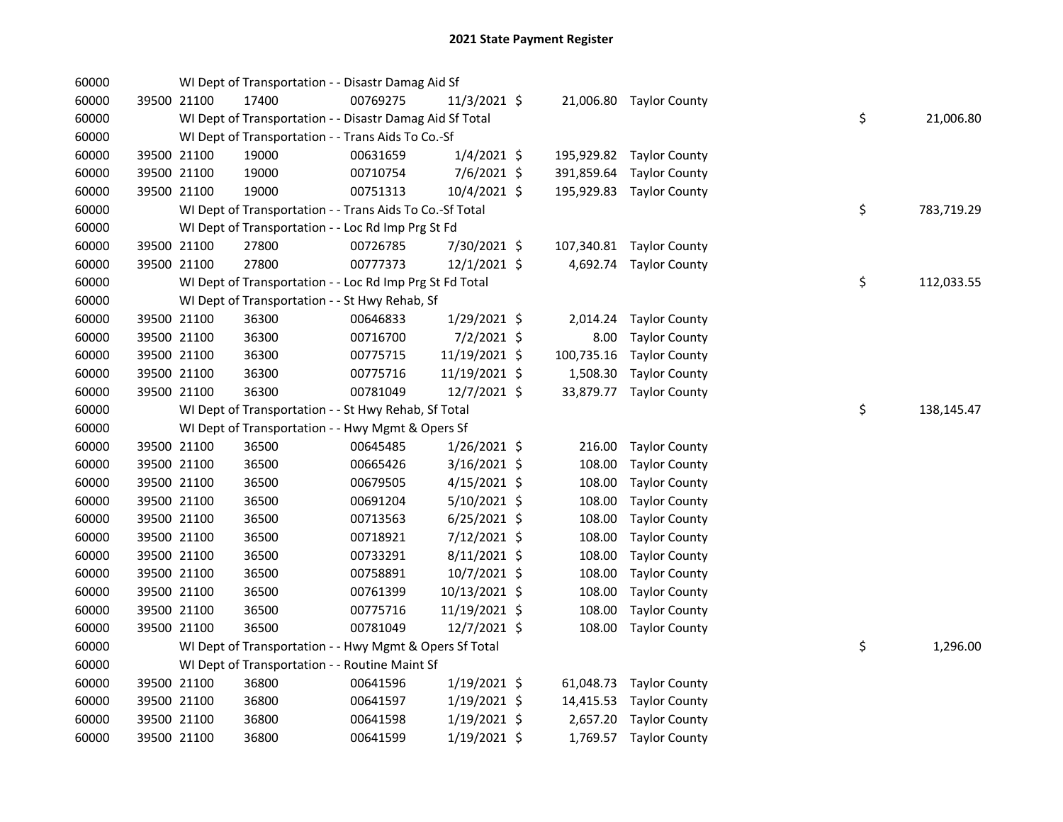| 60000          |             |                            | WI Dept of Transportation - - Disastr Damag Aid Sf       |          |                                  |            |                                                  |    |            |
|----------------|-------------|----------------------------|----------------------------------------------------------|----------|----------------------------------|------------|--------------------------------------------------|----|------------|
| 60000          |             | 39500 21100                | 17400                                                    | 00769275 | 11/3/2021 \$                     |            | 21,006.80 Taylor County                          |    |            |
| 60000          |             |                            | WI Dept of Transportation - - Disastr Damag Aid Sf Total |          |                                  |            |                                                  | \$ | 21,006.80  |
| 60000          |             |                            | WI Dept of Transportation - - Trans Aids To Co.-Sf       |          |                                  |            |                                                  |    |            |
| 60000          |             | 39500 21100                | 19000                                                    | 00631659 | $1/4/2021$ \$                    |            | 195,929.82 Taylor County                         |    |            |
| 60000          |             | 39500 21100                | 19000                                                    | 00710754 | 7/6/2021 \$                      | 391,859.64 | <b>Taylor County</b>                             |    |            |
| 60000          |             | 39500 21100                | 19000                                                    | 00751313 | 10/4/2021 \$                     |            | 195,929.83 Taylor County                         |    |            |
| 60000          |             |                            | WI Dept of Transportation - - Trans Aids To Co.-Sf Total |          |                                  |            |                                                  | \$ | 783,719.29 |
| 60000          |             |                            | WI Dept of Transportation - - Loc Rd Imp Prg St Fd       |          |                                  |            |                                                  |    |            |
| 60000          |             | 39500 21100                | 27800                                                    | 00726785 | 7/30/2021 \$                     |            | 107,340.81 Taylor County                         |    |            |
| 60000          |             | 39500 21100                | 27800                                                    | 00777373 | 12/1/2021 \$                     |            | 4,692.74 Taylor County                           |    |            |
| 60000          |             |                            | WI Dept of Transportation - - Loc Rd Imp Prg St Fd Total |          |                                  |            |                                                  | \$ | 112,033.55 |
| 60000          |             |                            | WI Dept of Transportation - - St Hwy Rehab, Sf           |          |                                  |            |                                                  |    |            |
| 60000          |             | 39500 21100                | 36300                                                    | 00646833 | 1/29/2021 \$                     | 2,014.24   | <b>Taylor County</b>                             |    |            |
| 60000          |             | 39500 21100                | 36300                                                    | 00716700 | 7/2/2021 \$                      | 8.00       | <b>Taylor County</b>                             |    |            |
| 60000          |             | 39500 21100                | 36300                                                    | 00775715 | 11/19/2021 \$                    | 100,735.16 | <b>Taylor County</b>                             |    |            |
| 60000          |             | 39500 21100                | 36300                                                    | 00775716 | 11/19/2021 \$                    |            | 1,508.30 Taylor County                           |    |            |
| 60000          |             | 39500 21100                | 36300                                                    | 00781049 | 12/7/2021 \$                     |            | 33,879.77 Taylor County                          |    |            |
| 60000          |             |                            | WI Dept of Transportation - - St Hwy Rehab, Sf Total     |          |                                  |            |                                                  | \$ | 138,145.47 |
| 60000          |             |                            | WI Dept of Transportation - - Hwy Mgmt & Opers Sf        |          |                                  |            |                                                  |    |            |
| 60000          |             | 39500 21100                | 36500                                                    | 00645485 | $1/26/2021$ \$                   | 216.00     | <b>Taylor County</b>                             |    |            |
| 60000          |             | 39500 21100                | 36500                                                    | 00665426 | 3/16/2021 \$                     | 108.00     | <b>Taylor County</b>                             |    |            |
| 60000          |             | 39500 21100                | 36500                                                    | 00679505 | $4/15/2021$ \$                   | 108.00     | <b>Taylor County</b>                             |    |            |
| 60000          |             | 39500 21100                | 36500                                                    | 00691204 | $5/10/2021$ \$                   | 108.00     | <b>Taylor County</b>                             |    |            |
| 60000          |             | 39500 21100                | 36500                                                    | 00713563 | $6/25/2021$ \$                   | 108.00     | <b>Taylor County</b>                             |    |            |
| 60000          |             | 39500 21100                | 36500                                                    | 00718921 | 7/12/2021 \$                     | 108.00     | <b>Taylor County</b>                             |    |            |
| 60000          |             | 39500 21100                | 36500                                                    | 00733291 | $8/11/2021$ \$                   | 108.00     | <b>Taylor County</b>                             |    |            |
| 60000          |             | 39500 21100                | 36500                                                    | 00758891 | 10/7/2021 \$                     | 108.00     | <b>Taylor County</b>                             |    |            |
| 60000          |             | 39500 21100                | 36500                                                    | 00761399 | 10/13/2021 \$                    | 108.00     | <b>Taylor County</b>                             |    |            |
| 60000          |             | 39500 21100                | 36500                                                    | 00775716 | 11/19/2021 \$                    | 108.00     | <b>Taylor County</b>                             |    |            |
| 60000          |             | 39500 21100                | 36500                                                    | 00781049 | 12/7/2021 \$                     | 108.00     | <b>Taylor County</b>                             |    |            |
| 60000          |             |                            | WI Dept of Transportation - - Hwy Mgmt & Opers Sf Total  |          |                                  |            |                                                  | \$ | 1,296.00   |
| 60000          |             |                            | WI Dept of Transportation - - Routine Maint Sf           |          |                                  |            |                                                  |    |            |
| 60000          |             | 39500 21100                | 36800                                                    | 00641596 | $1/19/2021$ \$                   |            | 61,048.73 Taylor County                          |    |            |
| 60000          |             |                            |                                                          |          |                                  |            |                                                  |    |            |
|                | 39500 21100 |                            | 36800                                                    | 00641597 | $1/19/2021$ \$                   |            | 14,415.53 Taylor County                          |    |            |
| 60000<br>60000 |             | 39500 21100<br>39500 21100 | 36800<br>36800                                           | 00641598 | $1/19/2021$ \$<br>$1/19/2021$ \$ |            | 2,657.20 Taylor County<br>1,769.57 Taylor County |    |            |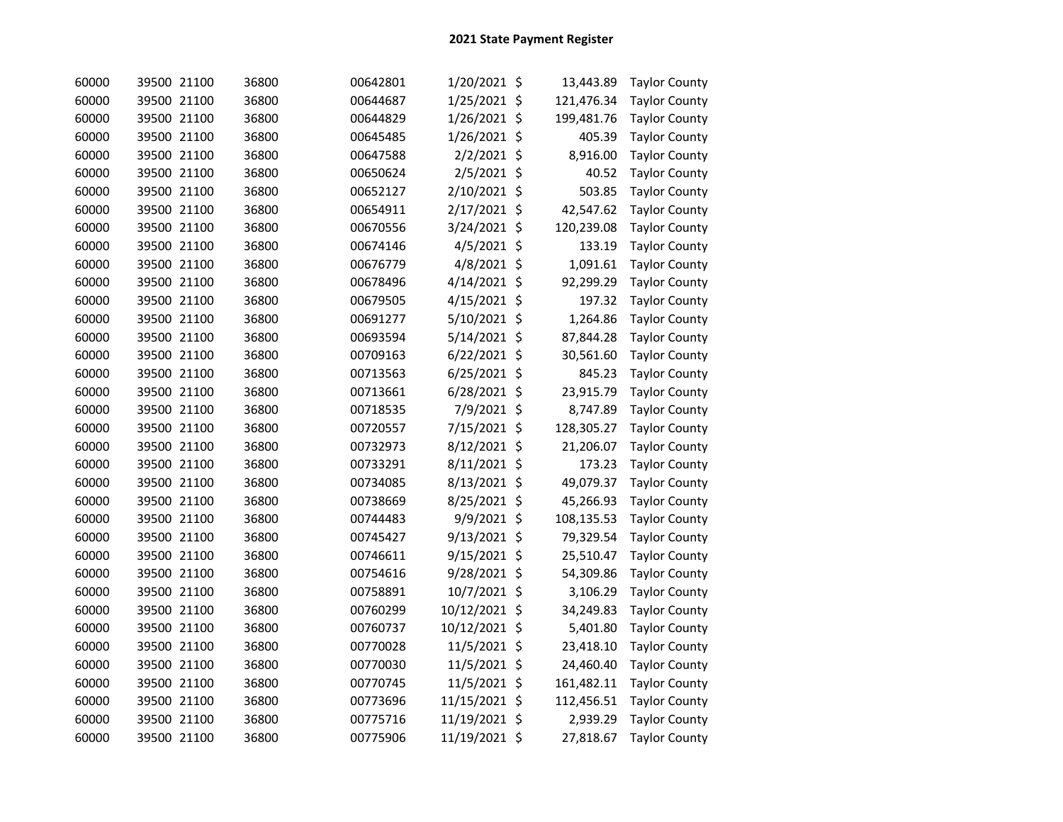| 60000 | 39500 21100 | 36800 | 00642801 | 1/20/2021 \$  | 13,443.89  | <b>Taylor County</b> |
|-------|-------------|-------|----------|---------------|------------|----------------------|
| 60000 | 39500 21100 | 36800 | 00644687 | 1/25/2021 \$  | 121,476.34 | <b>Taylor County</b> |
| 60000 | 39500 21100 | 36800 | 00644829 | 1/26/2021 \$  | 199,481.76 | <b>Taylor County</b> |
| 60000 | 39500 21100 | 36800 | 00645485 | 1/26/2021 \$  | 405.39     | <b>Taylor County</b> |
| 60000 | 39500 21100 | 36800 | 00647588 | 2/2/2021 \$   | 8,916.00   | <b>Taylor County</b> |
| 60000 | 39500 21100 | 36800 | 00650624 | 2/5/2021 \$   | 40.52      | <b>Taylor County</b> |
| 60000 | 39500 21100 | 36800 | 00652127 | 2/10/2021 \$  | 503.85     | <b>Taylor County</b> |
| 60000 | 39500 21100 | 36800 | 00654911 | 2/17/2021 \$  | 42,547.62  | <b>Taylor County</b> |
| 60000 | 39500 21100 | 36800 | 00670556 | 3/24/2021 \$  | 120,239.08 | <b>Taylor County</b> |
| 60000 | 39500 21100 | 36800 | 00674146 | 4/5/2021 \$   | 133.19     | <b>Taylor County</b> |
| 60000 | 39500 21100 | 36800 | 00676779 | 4/8/2021 \$   | 1,091.61   | <b>Taylor County</b> |
| 60000 | 39500 21100 | 36800 | 00678496 | 4/14/2021 \$  | 92,299.29  | <b>Taylor County</b> |
| 60000 | 39500 21100 | 36800 | 00679505 | 4/15/2021 \$  | 197.32     | <b>Taylor County</b> |
| 60000 | 39500 21100 | 36800 | 00691277 | 5/10/2021 \$  | 1,264.86   | <b>Taylor County</b> |
| 60000 | 39500 21100 | 36800 | 00693594 | 5/14/2021 \$  | 87,844.28  | <b>Taylor County</b> |
| 60000 | 39500 21100 | 36800 | 00709163 | 6/22/2021 \$  | 30,561.60  | <b>Taylor County</b> |
| 60000 | 39500 21100 | 36800 | 00713563 | 6/25/2021 \$  | 845.23     | <b>Taylor County</b> |
| 60000 | 39500 21100 | 36800 | 00713661 | 6/28/2021 \$  | 23,915.79  | <b>Taylor County</b> |
| 60000 | 39500 21100 | 36800 | 00718535 | 7/9/2021 \$   | 8,747.89   | <b>Taylor County</b> |
| 60000 | 39500 21100 | 36800 | 00720557 | 7/15/2021 \$  | 128,305.27 | <b>Taylor County</b> |
| 60000 | 39500 21100 | 36800 | 00732973 | 8/12/2021 \$  | 21,206.07  | <b>Taylor County</b> |
| 60000 | 39500 21100 | 36800 | 00733291 | 8/11/2021 \$  | 173.23     | <b>Taylor County</b> |
| 60000 | 39500 21100 | 36800 | 00734085 | 8/13/2021 \$  | 49,079.37  | <b>Taylor County</b> |
| 60000 | 39500 21100 | 36800 | 00738669 | 8/25/2021 \$  | 45,266.93  | <b>Taylor County</b> |
| 60000 | 39500 21100 | 36800 | 00744483 | 9/9/2021 \$   | 108,135.53 | <b>Taylor County</b> |
| 60000 | 39500 21100 | 36800 | 00745427 | 9/13/2021 \$  | 79,329.54  | <b>Taylor County</b> |
| 60000 | 39500 21100 | 36800 | 00746611 | 9/15/2021 \$  | 25,510.47  | <b>Taylor County</b> |
| 60000 | 39500 21100 | 36800 | 00754616 | 9/28/2021 \$  | 54,309.86  | <b>Taylor County</b> |
| 60000 | 39500 21100 | 36800 | 00758891 | 10/7/2021 \$  | 3,106.29   | <b>Taylor County</b> |
| 60000 | 39500 21100 | 36800 | 00760299 | 10/12/2021 \$ | 34,249.83  | <b>Taylor County</b> |
| 60000 | 39500 21100 | 36800 | 00760737 | 10/12/2021 \$ | 5,401.80   | <b>Taylor County</b> |
| 60000 | 39500 21100 | 36800 | 00770028 | 11/5/2021 \$  | 23,418.10  | <b>Taylor County</b> |
| 60000 | 39500 21100 | 36800 | 00770030 | 11/5/2021 \$  | 24,460.40  | <b>Taylor County</b> |
| 60000 | 39500 21100 | 36800 | 00770745 | 11/5/2021 \$  | 161,482.11 | <b>Taylor County</b> |
| 60000 | 39500 21100 | 36800 | 00773696 | 11/15/2021 \$ | 112,456.51 | <b>Taylor County</b> |
| 60000 | 39500 21100 | 36800 | 00775716 | 11/19/2021 \$ | 2,939.29   | <b>Taylor County</b> |
| 60000 | 39500 21100 | 36800 | 00775906 | 11/19/2021 \$ | 27,818.67  | <b>Taylor County</b> |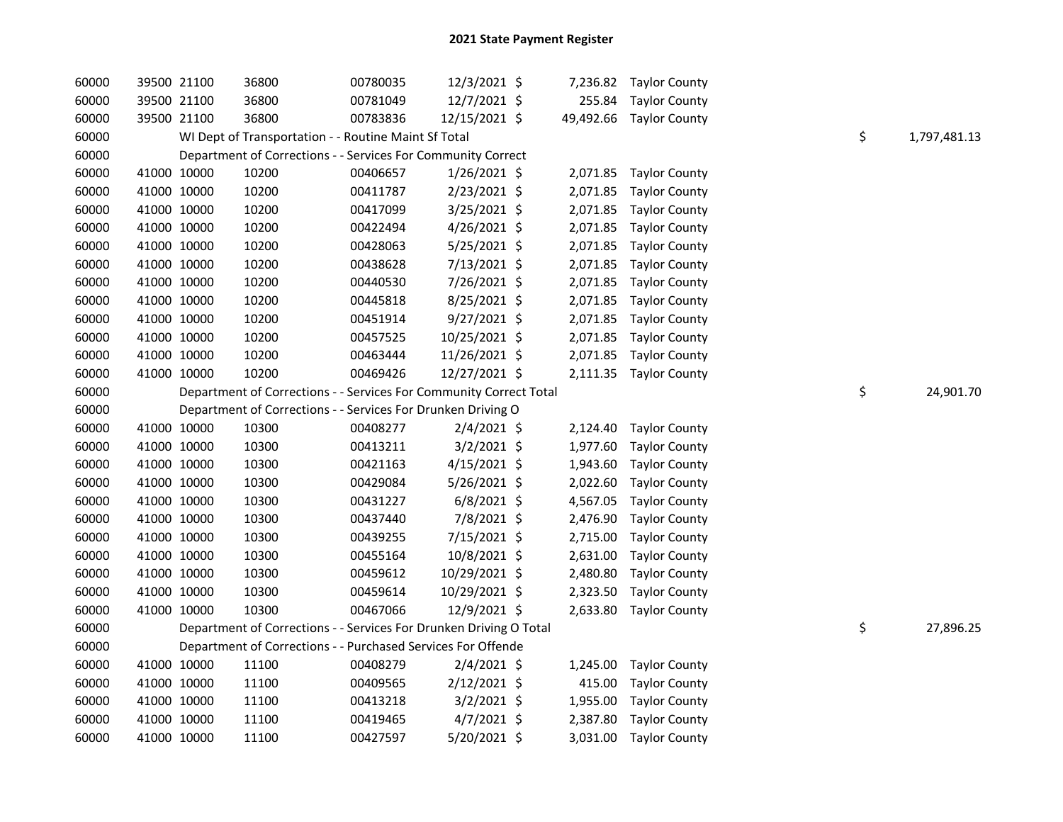| 60000 |             | 39500 21100 | 36800                                                              | 00780035 | 12/3/2021 \$   |          | 7,236.82 Taylor County  |    |              |
|-------|-------------|-------------|--------------------------------------------------------------------|----------|----------------|----------|-------------------------|----|--------------|
| 60000 |             | 39500 21100 | 36800                                                              | 00781049 | 12/7/2021 \$   |          | 255.84 Taylor County    |    |              |
| 60000 |             | 39500 21100 | 36800                                                              | 00783836 | 12/15/2021 \$  |          | 49,492.66 Taylor County |    |              |
| 60000 |             |             | WI Dept of Transportation - - Routine Maint Sf Total               |          |                |          |                         | \$ | 1,797,481.13 |
| 60000 |             |             | Department of Corrections - - Services For Community Correct       |          |                |          |                         |    |              |
| 60000 |             | 41000 10000 | 10200                                                              | 00406657 | $1/26/2021$ \$ |          | 2,071.85 Taylor County  |    |              |
| 60000 | 41000 10000 |             | 10200                                                              | 00411787 | 2/23/2021 \$   |          | 2,071.85 Taylor County  |    |              |
| 60000 | 41000 10000 |             | 10200                                                              | 00417099 | 3/25/2021 \$   |          | 2,071.85 Taylor County  |    |              |
| 60000 | 41000 10000 |             | 10200                                                              | 00422494 | 4/26/2021 \$   |          | 2,071.85 Taylor County  |    |              |
| 60000 | 41000 10000 |             | 10200                                                              | 00428063 | $5/25/2021$ \$ |          | 2,071.85 Taylor County  |    |              |
| 60000 | 41000 10000 |             | 10200                                                              | 00438628 | 7/13/2021 \$   |          | 2,071.85 Taylor County  |    |              |
| 60000 | 41000 10000 |             | 10200                                                              | 00440530 | 7/26/2021 \$   |          | 2,071.85 Taylor County  |    |              |
| 60000 | 41000 10000 |             | 10200                                                              | 00445818 | 8/25/2021 \$   |          | 2,071.85 Taylor County  |    |              |
| 60000 | 41000 10000 |             | 10200                                                              | 00451914 | $9/27/2021$ \$ |          | 2,071.85 Taylor County  |    |              |
| 60000 | 41000 10000 |             | 10200                                                              | 00457525 | 10/25/2021 \$  |          | 2,071.85 Taylor County  |    |              |
| 60000 | 41000 10000 |             | 10200                                                              | 00463444 | 11/26/2021 \$  |          | 2,071.85 Taylor County  |    |              |
| 60000 | 41000 10000 |             | 10200                                                              | 00469426 | 12/27/2021 \$  |          | 2,111.35 Taylor County  |    |              |
| 60000 |             |             | Department of Corrections - - Services For Community Correct Total |          |                |          |                         | \$ | 24,901.70    |
| 60000 |             |             | Department of Corrections - - Services For Drunken Driving O       |          |                |          |                         |    |              |
| 60000 |             | 41000 10000 | 10300                                                              | 00408277 | $2/4/2021$ \$  |          | 2,124.40 Taylor County  |    |              |
| 60000 | 41000 10000 |             | 10300                                                              | 00413211 | $3/2/2021$ \$  | 1,977.60 | <b>Taylor County</b>    |    |              |
| 60000 | 41000 10000 |             | 10300                                                              | 00421163 | $4/15/2021$ \$ | 1,943.60 | <b>Taylor County</b>    |    |              |
| 60000 | 41000 10000 |             | 10300                                                              | 00429084 | 5/26/2021 \$   | 2,022.60 | <b>Taylor County</b>    |    |              |
| 60000 | 41000 10000 |             | 10300                                                              | 00431227 | $6/8/2021$ \$  | 4,567.05 | <b>Taylor County</b>    |    |              |
| 60000 | 41000 10000 |             | 10300                                                              | 00437440 | 7/8/2021 \$    | 2,476.90 | <b>Taylor County</b>    |    |              |
| 60000 | 41000 10000 |             | 10300                                                              | 00439255 | 7/15/2021 \$   | 2,715.00 | <b>Taylor County</b>    |    |              |
| 60000 | 41000 10000 |             | 10300                                                              | 00455164 | 10/8/2021 \$   | 2,631.00 | Taylor County           |    |              |
| 60000 | 41000 10000 |             | 10300                                                              | 00459612 | 10/29/2021 \$  | 2,480.80 | <b>Taylor County</b>    |    |              |
| 60000 | 41000 10000 |             | 10300                                                              | 00459614 | 10/29/2021 \$  | 2,323.50 | <b>Taylor County</b>    |    |              |
| 60000 | 41000 10000 |             | 10300                                                              | 00467066 | 12/9/2021 \$   |          | 2,633.80 Taylor County  |    |              |
| 60000 |             |             | Department of Corrections - - Services For Drunken Driving O Total |          |                |          |                         | \$ | 27,896.25    |
| 60000 |             |             | Department of Corrections - - Purchased Services For Offende       |          |                |          |                         |    |              |
| 60000 |             | 41000 10000 | 11100                                                              | 00408279 | $2/4/2021$ \$  |          | 1,245.00 Taylor County  |    |              |
| 60000 | 41000 10000 |             | 11100                                                              | 00409565 | 2/12/2021 \$   |          | 415.00 Taylor County    |    |              |
| 60000 | 41000 10000 |             | 11100                                                              | 00413218 | $3/2/2021$ \$  |          | 1,955.00 Taylor County  |    |              |
| 60000 |             | 41000 10000 | 11100                                                              | 00419465 | $4/7/2021$ \$  |          | 2,387.80 Taylor County  |    |              |
| 60000 |             | 41000 10000 | 11100                                                              | 00427597 | 5/20/2021 \$   |          | 3,031.00 Taylor County  |    |              |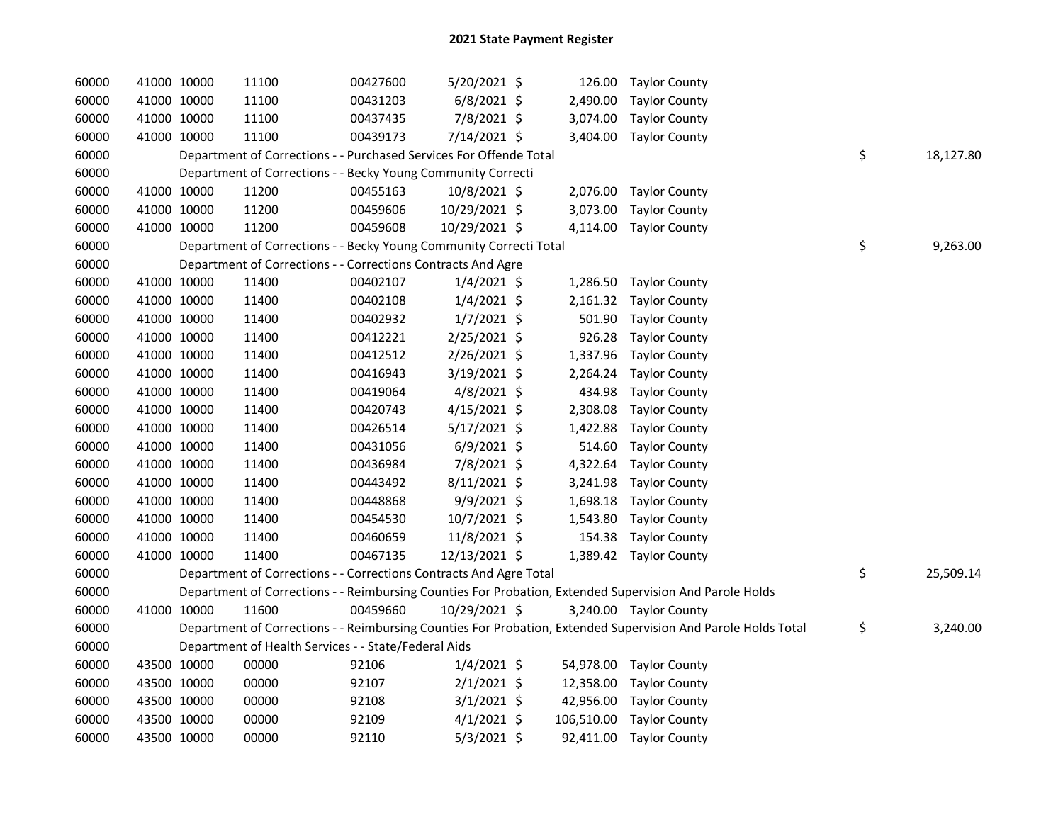| 60000 |             | 41000 10000 | 11100                                                              | 00427600 | 5/20/2021 \$   |            | 126.00 Taylor County                                                                                          |                 |
|-------|-------------|-------------|--------------------------------------------------------------------|----------|----------------|------------|---------------------------------------------------------------------------------------------------------------|-----------------|
| 60000 |             | 41000 10000 | 11100                                                              | 00431203 | $6/8/2021$ \$  | 2,490.00   | <b>Taylor County</b>                                                                                          |                 |
| 60000 |             | 41000 10000 | 11100                                                              | 00437435 | 7/8/2021 \$    | 3,074.00   | <b>Taylor County</b>                                                                                          |                 |
| 60000 |             | 41000 10000 | 11100                                                              | 00439173 | 7/14/2021 \$   |            | 3,404.00 Taylor County                                                                                        |                 |
| 60000 |             |             | Department of Corrections - - Purchased Services For Offende Total |          |                |            |                                                                                                               | \$<br>18,127.80 |
| 60000 |             |             | Department of Corrections - - Becky Young Community Correcti       |          |                |            |                                                                                                               |                 |
| 60000 |             | 41000 10000 | 11200                                                              | 00455163 | 10/8/2021 \$   | 2,076.00   | Taylor County                                                                                                 |                 |
| 60000 | 41000 10000 |             | 11200                                                              | 00459606 | 10/29/2021 \$  | 3,073.00   | <b>Taylor County</b>                                                                                          |                 |
| 60000 |             | 41000 10000 | 11200                                                              | 00459608 | 10/29/2021 \$  | 4,114.00   | <b>Taylor County</b>                                                                                          |                 |
| 60000 |             |             | Department of Corrections - - Becky Young Community Correcti Total |          |                |            |                                                                                                               | \$<br>9,263.00  |
| 60000 |             |             | Department of Corrections - - Corrections Contracts And Agre       |          |                |            |                                                                                                               |                 |
| 60000 | 41000 10000 |             | 11400                                                              | 00402107 | $1/4/2021$ \$  |            | 1,286.50 Taylor County                                                                                        |                 |
| 60000 | 41000 10000 |             | 11400                                                              | 00402108 | $1/4/2021$ \$  |            | 2,161.32 Taylor County                                                                                        |                 |
| 60000 |             | 41000 10000 | 11400                                                              | 00402932 | $1/7/2021$ \$  | 501.90     | <b>Taylor County</b>                                                                                          |                 |
| 60000 |             | 41000 10000 | 11400                                                              | 00412221 | 2/25/2021 \$   | 926.28     | <b>Taylor County</b>                                                                                          |                 |
| 60000 |             | 41000 10000 | 11400                                                              | 00412512 | 2/26/2021 \$   | 1,337.96   | <b>Taylor County</b>                                                                                          |                 |
| 60000 |             | 41000 10000 | 11400                                                              | 00416943 | 3/19/2021 \$   | 2,264.24   | <b>Taylor County</b>                                                                                          |                 |
| 60000 |             | 41000 10000 | 11400                                                              | 00419064 | $4/8/2021$ \$  | 434.98     | <b>Taylor County</b>                                                                                          |                 |
| 60000 |             | 41000 10000 | 11400                                                              | 00420743 | $4/15/2021$ \$ | 2,308.08   | <b>Taylor County</b>                                                                                          |                 |
| 60000 |             | 41000 10000 | 11400                                                              | 00426514 | 5/17/2021 \$   | 1,422.88   | <b>Taylor County</b>                                                                                          |                 |
| 60000 |             | 41000 10000 | 11400                                                              | 00431056 | $6/9/2021$ \$  | 514.60     | <b>Taylor County</b>                                                                                          |                 |
| 60000 | 41000 10000 |             | 11400                                                              | 00436984 | 7/8/2021 \$    | 4,322.64   | <b>Taylor County</b>                                                                                          |                 |
| 60000 | 41000 10000 |             | 11400                                                              | 00443492 | 8/11/2021 \$   | 3,241.98   | <b>Taylor County</b>                                                                                          |                 |
| 60000 |             | 41000 10000 | 11400                                                              | 00448868 | 9/9/2021 \$    | 1,698.18   | <b>Taylor County</b>                                                                                          |                 |
| 60000 |             | 41000 10000 | 11400                                                              | 00454530 | 10/7/2021 \$   | 1,543.80   | <b>Taylor County</b>                                                                                          |                 |
| 60000 |             | 41000 10000 | 11400                                                              | 00460659 | 11/8/2021 \$   | 154.38     | <b>Taylor County</b>                                                                                          |                 |
| 60000 |             | 41000 10000 | 11400                                                              | 00467135 | 12/13/2021 \$  |            | 1,389.42 Taylor County                                                                                        |                 |
| 60000 |             |             | Department of Corrections - - Corrections Contracts And Agre Total |          |                |            |                                                                                                               | \$<br>25,509.14 |
| 60000 |             |             |                                                                    |          |                |            | Department of Corrections - - Reimbursing Counties For Probation, Extended Supervision And Parole Holds       |                 |
| 60000 |             | 41000 10000 | 11600                                                              | 00459660 | 10/29/2021 \$  |            | 3,240.00 Taylor County                                                                                        |                 |
| 60000 |             |             |                                                                    |          |                |            | Department of Corrections - - Reimbursing Counties For Probation, Extended Supervision And Parole Holds Total | \$<br>3,240.00  |
| 60000 |             |             | Department of Health Services - - State/Federal Aids               |          |                |            |                                                                                                               |                 |
| 60000 |             | 43500 10000 | 00000                                                              | 92106    | $1/4/2021$ \$  | 54,978.00  | Taylor County                                                                                                 |                 |
| 60000 |             | 43500 10000 | 00000                                                              | 92107    | $2/1/2021$ \$  | 12,358.00  | <b>Taylor County</b>                                                                                          |                 |
| 60000 |             | 43500 10000 | 00000                                                              | 92108    | $3/1/2021$ \$  | 42,956.00  | <b>Taylor County</b>                                                                                          |                 |
| 60000 |             | 43500 10000 | 00000                                                              | 92109    | $4/1/2021$ \$  | 106,510.00 | <b>Taylor County</b>                                                                                          |                 |
| 60000 | 43500 10000 |             | 00000                                                              | 92110    | $5/3/2021$ \$  |            | 92,411.00 Taylor County                                                                                       |                 |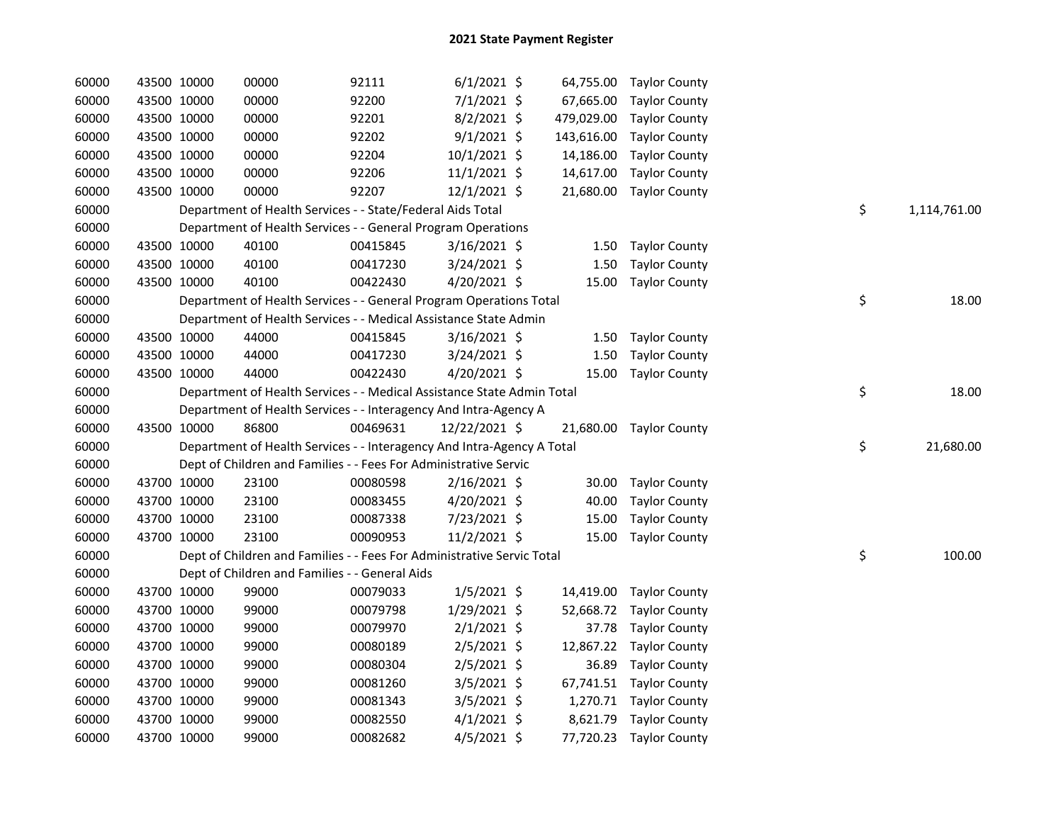| 60000 | 43500 10000 | 00000                                                                  | 92111    | $6/1/2021$ \$  |           | 64,755.00 Taylor County  |    |              |
|-------|-------------|------------------------------------------------------------------------|----------|----------------|-----------|--------------------------|----|--------------|
| 60000 | 43500 10000 | 00000                                                                  | 92200    | 7/1/2021 \$    |           | 67,665.00 Taylor County  |    |              |
| 60000 | 43500 10000 | 00000                                                                  | 92201    | $8/2/2021$ \$  |           | 479,029.00 Taylor County |    |              |
| 60000 | 43500 10000 | 00000                                                                  | 92202    | $9/1/2021$ \$  |           | 143,616.00 Taylor County |    |              |
| 60000 | 43500 10000 | 00000                                                                  | 92204    | 10/1/2021 \$   | 14,186.00 | <b>Taylor County</b>     |    |              |
| 60000 | 43500 10000 | 00000                                                                  | 92206    | $11/1/2021$ \$ | 14,617.00 | <b>Taylor County</b>     |    |              |
| 60000 | 43500 10000 | 00000                                                                  | 92207    | $12/1/2021$ \$ |           | 21,680.00 Taylor County  |    |              |
| 60000 |             | Department of Health Services - - State/Federal Aids Total             |          |                |           |                          | \$ | 1,114,761.00 |
| 60000 |             | Department of Health Services - - General Program Operations           |          |                |           |                          |    |              |
| 60000 | 43500 10000 | 40100                                                                  | 00415845 | $3/16/2021$ \$ | 1.50      | <b>Taylor County</b>     |    |              |
| 60000 | 43500 10000 | 40100                                                                  | 00417230 | $3/24/2021$ \$ | 1.50      | <b>Taylor County</b>     |    |              |
| 60000 | 43500 10000 | 40100                                                                  | 00422430 | 4/20/2021 \$   | 15.00     | <b>Taylor County</b>     |    |              |
| 60000 |             | Department of Health Services - - General Program Operations Total     |          |                |           |                          | \$ | 18.00        |
| 60000 |             | Department of Health Services - - Medical Assistance State Admin       |          |                |           |                          |    |              |
| 60000 | 43500 10000 | 44000                                                                  | 00415845 | $3/16/2021$ \$ |           | 1.50 Taylor County       |    |              |
| 60000 | 43500 10000 | 44000                                                                  | 00417230 | 3/24/2021 \$   | 1.50      | <b>Taylor County</b>     |    |              |
| 60000 | 43500 10000 | 44000                                                                  | 00422430 | 4/20/2021 \$   | 15.00     | <b>Taylor County</b>     |    |              |
| 60000 |             | Department of Health Services - - Medical Assistance State Admin Total |          |                |           |                          | \$ | 18.00        |
| 60000 |             | Department of Health Services - - Interagency And Intra-Agency A       |          |                |           |                          |    |              |
| 60000 | 43500 10000 | 86800                                                                  | 00469631 | 12/22/2021 \$  |           | 21,680.00 Taylor County  |    |              |
| 60000 |             | Department of Health Services - - Interagency And Intra-Agency A Total |          |                |           |                          | \$ | 21,680.00    |
| 60000 |             | Dept of Children and Families - - Fees For Administrative Servic       |          |                |           |                          |    |              |
| 60000 | 43700 10000 | 23100                                                                  | 00080598 | $2/16/2021$ \$ | 30.00     | <b>Taylor County</b>     |    |              |
| 60000 | 43700 10000 | 23100                                                                  | 00083455 | 4/20/2021 \$   | 40.00     | <b>Taylor County</b>     |    |              |
| 60000 | 43700 10000 | 23100                                                                  | 00087338 | 7/23/2021 \$   | 15.00     | <b>Taylor County</b>     |    |              |
| 60000 | 43700 10000 | 23100                                                                  | 00090953 | 11/2/2021 \$   | 15.00     | <b>Taylor County</b>     |    |              |
| 60000 |             | Dept of Children and Families - - Fees For Administrative Servic Total |          |                |           |                          | \$ | 100.00       |
| 60000 |             | Dept of Children and Families - - General Aids                         |          |                |           |                          |    |              |
| 60000 | 43700 10000 | 99000                                                                  | 00079033 | $1/5/2021$ \$  | 14,419.00 | <b>Taylor County</b>     |    |              |
| 60000 | 43700 10000 | 99000                                                                  | 00079798 | 1/29/2021 \$   | 52,668.72 | <b>Taylor County</b>     |    |              |
| 60000 | 43700 10000 | 99000                                                                  | 00079970 | $2/1/2021$ \$  | 37.78     | <b>Taylor County</b>     |    |              |
| 60000 | 43700 10000 | 99000                                                                  | 00080189 | $2/5/2021$ \$  |           | 12,867.22 Taylor County  |    |              |
| 60000 | 43700 10000 | 99000                                                                  | 00080304 | $2/5/2021$ \$  | 36.89     | <b>Taylor County</b>     |    |              |
| 60000 | 43700 10000 | 99000                                                                  | 00081260 | $3/5/2021$ \$  |           | 67,741.51 Taylor County  |    |              |
| 60000 | 43700 10000 | 99000                                                                  | 00081343 | 3/5/2021 \$    |           | 1,270.71 Taylor County   |    |              |
| 60000 | 43700 10000 | 99000                                                                  | 00082550 | $4/1/2021$ \$  |           | 8,621.79 Taylor County   |    |              |
| 60000 | 43700 10000 | 99000                                                                  | 00082682 | $4/5/2021$ \$  |           | 77,720.23 Taylor County  |    |              |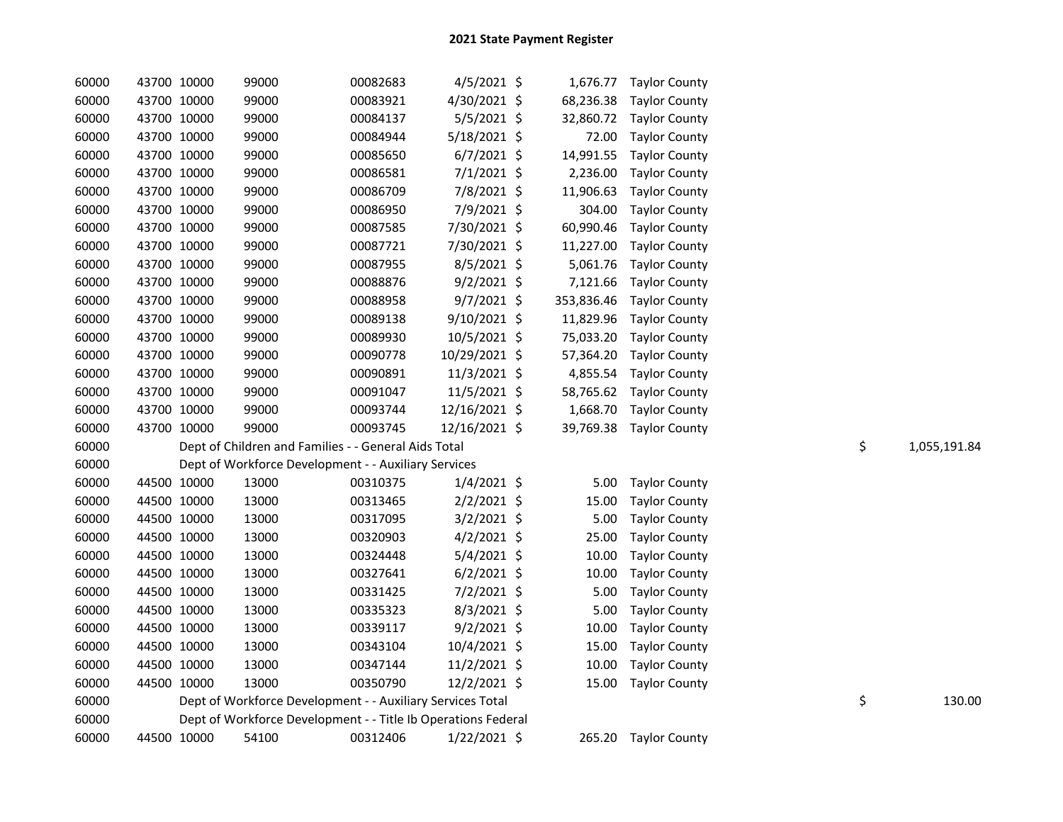| 60000 | 43700 10000 | 99000 | 00082683                                                      | $4/5/2021$ \$  |            | 1,676.77 Taylor County |    |              |
|-------|-------------|-------|---------------------------------------------------------------|----------------|------------|------------------------|----|--------------|
| 60000 | 43700 10000 | 99000 | 00083921                                                      | 4/30/2021 \$   | 68,236.38  | <b>Taylor County</b>   |    |              |
| 60000 | 43700 10000 | 99000 | 00084137                                                      | 5/5/2021 \$    | 32,860.72  | <b>Taylor County</b>   |    |              |
| 60000 | 43700 10000 | 99000 | 00084944                                                      | 5/18/2021 \$   | 72.00      | <b>Taylor County</b>   |    |              |
| 60000 | 43700 10000 | 99000 | 00085650                                                      | $6/7/2021$ \$  | 14,991.55  | <b>Taylor County</b>   |    |              |
| 60000 | 43700 10000 | 99000 | 00086581                                                      | $7/1/2021$ \$  | 2,236.00   | <b>Taylor County</b>   |    |              |
| 60000 | 43700 10000 | 99000 | 00086709                                                      | 7/8/2021 \$    | 11,906.63  | <b>Taylor County</b>   |    |              |
| 60000 | 43700 10000 | 99000 | 00086950                                                      | 7/9/2021 \$    | 304.00     | <b>Taylor County</b>   |    |              |
| 60000 | 43700 10000 | 99000 | 00087585                                                      | 7/30/2021 \$   | 60,990.46  | <b>Taylor County</b>   |    |              |
| 60000 | 43700 10000 | 99000 | 00087721                                                      | 7/30/2021 \$   | 11,227.00  | <b>Taylor County</b>   |    |              |
| 60000 | 43700 10000 | 99000 | 00087955                                                      | $8/5/2021$ \$  | 5,061.76   | <b>Taylor County</b>   |    |              |
| 60000 | 43700 10000 | 99000 | 00088876                                                      | $9/2/2021$ \$  | 7,121.66   | <b>Taylor County</b>   |    |              |
| 60000 | 43700 10000 | 99000 | 00088958                                                      | $9/7/2021$ \$  | 353,836.46 | <b>Taylor County</b>   |    |              |
| 60000 | 43700 10000 | 99000 | 00089138                                                      | $9/10/2021$ \$ | 11,829.96  | <b>Taylor County</b>   |    |              |
| 60000 | 43700 10000 | 99000 | 00089930                                                      | 10/5/2021 \$   | 75,033.20  | <b>Taylor County</b>   |    |              |
| 60000 | 43700 10000 | 99000 | 00090778                                                      | 10/29/2021 \$  | 57,364.20  | <b>Taylor County</b>   |    |              |
| 60000 | 43700 10000 | 99000 | 00090891                                                      | 11/3/2021 \$   | 4,855.54   | <b>Taylor County</b>   |    |              |
| 60000 | 43700 10000 | 99000 | 00091047                                                      | 11/5/2021 \$   | 58,765.62  | <b>Taylor County</b>   |    |              |
| 60000 | 43700 10000 | 99000 | 00093744                                                      | 12/16/2021 \$  | 1,668.70   | <b>Taylor County</b>   |    |              |
| 60000 | 43700 10000 | 99000 | 00093745                                                      | 12/16/2021 \$  | 39,769.38  | <b>Taylor County</b>   |    |              |
| 60000 |             |       | Dept of Children and Families - - General Aids Total          |                |            |                        | \$ | 1,055,191.84 |
| 60000 |             |       | Dept of Workforce Development - - Auxiliary Services          |                |            |                        |    |              |
| 60000 | 44500 10000 | 13000 | 00310375                                                      | $1/4/2021$ \$  | 5.00       | <b>Taylor County</b>   |    |              |
| 60000 | 44500 10000 | 13000 | 00313465                                                      | $2/2/2021$ \$  | 15.00      | <b>Taylor County</b>   |    |              |
| 60000 | 44500 10000 | 13000 | 00317095                                                      | $3/2/2021$ \$  | 5.00       | <b>Taylor County</b>   |    |              |
| 60000 | 44500 10000 | 13000 | 00320903                                                      | $4/2/2021$ \$  | 25.00      | <b>Taylor County</b>   |    |              |
| 60000 | 44500 10000 | 13000 | 00324448                                                      | 5/4/2021 \$    | 10.00      | <b>Taylor County</b>   |    |              |
| 60000 | 44500 10000 | 13000 | 00327641                                                      | $6/2/2021$ \$  | 10.00      | <b>Taylor County</b>   |    |              |
| 60000 | 44500 10000 | 13000 | 00331425                                                      | 7/2/2021 \$    | 5.00       | <b>Taylor County</b>   |    |              |
| 60000 | 44500 10000 | 13000 | 00335323                                                      | $8/3/2021$ \$  | 5.00       | <b>Taylor County</b>   |    |              |
| 60000 | 44500 10000 | 13000 | 00339117                                                      | $9/2/2021$ \$  | 10.00      | <b>Taylor County</b>   |    |              |
| 60000 | 44500 10000 | 13000 | 00343104                                                      | 10/4/2021 \$   | 15.00      | <b>Taylor County</b>   |    |              |
| 60000 | 44500 10000 | 13000 | 00347144                                                      | $11/2/2021$ \$ | 10.00      | <b>Taylor County</b>   |    |              |
| 60000 | 44500 10000 | 13000 | 00350790                                                      | 12/2/2021 \$   | 15.00      | <b>Taylor County</b>   |    |              |
| 60000 |             |       | Dept of Workforce Development - - Auxiliary Services Total    |                |            |                        | \$ | 130.00       |
| 60000 |             |       | Dept of Workforce Development - - Title Ib Operations Federal |                |            |                        |    |              |
| 60000 | 44500 10000 | 54100 | 00312406                                                      | $1/22/2021$ \$ |            | 265.20 Taylor County   |    |              |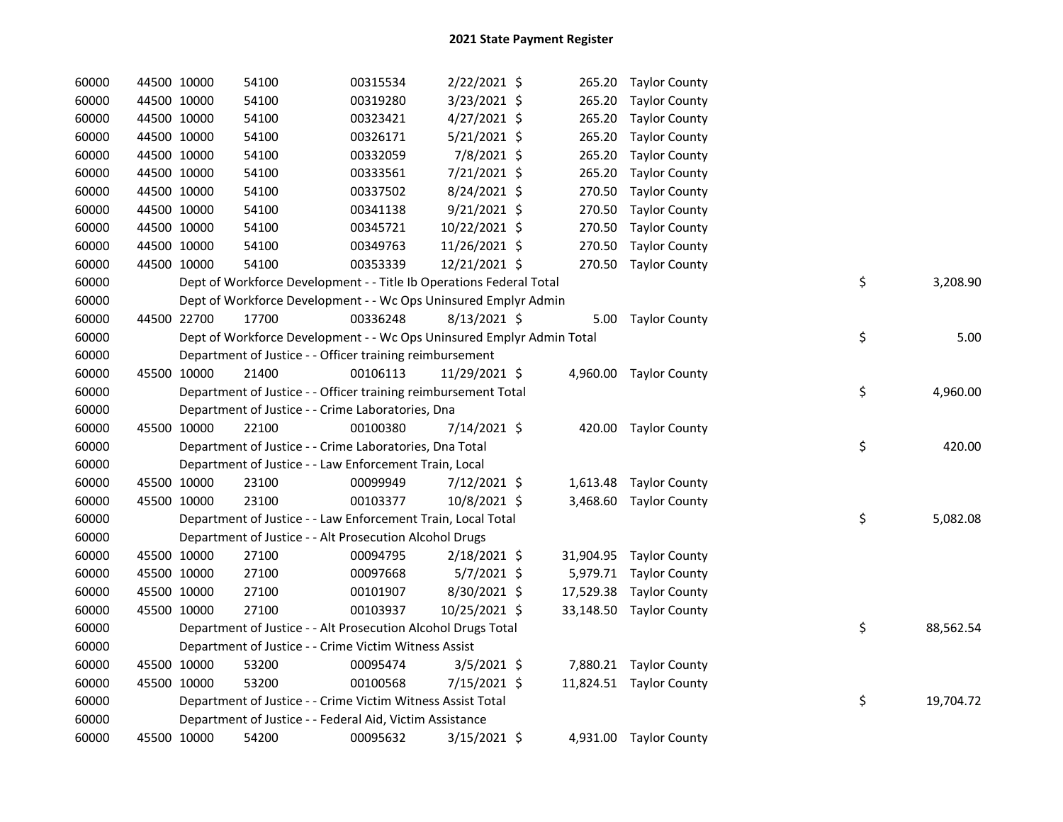| 60000 | 44500 10000 | 54100                                                                 | 00315534 | 2/22/2021 \$   |        | 265.20 Taylor County    |    |           |
|-------|-------------|-----------------------------------------------------------------------|----------|----------------|--------|-------------------------|----|-----------|
| 60000 | 44500 10000 | 54100                                                                 | 00319280 | 3/23/2021 \$   |        | 265.20 Taylor County    |    |           |
| 60000 | 44500 10000 | 54100                                                                 | 00323421 | 4/27/2021 \$   | 265.20 | <b>Taylor County</b>    |    |           |
| 60000 | 44500 10000 | 54100                                                                 | 00326171 | $5/21/2021$ \$ |        | 265.20 Taylor County    |    |           |
| 60000 | 44500 10000 | 54100                                                                 | 00332059 | 7/8/2021 \$    | 265.20 | <b>Taylor County</b>    |    |           |
| 60000 | 44500 10000 | 54100                                                                 | 00333561 | 7/21/2021 \$   | 265.20 | <b>Taylor County</b>    |    |           |
| 60000 | 44500 10000 | 54100                                                                 | 00337502 | 8/24/2021 \$   | 270.50 | <b>Taylor County</b>    |    |           |
| 60000 | 44500 10000 | 54100                                                                 | 00341138 | $9/21/2021$ \$ | 270.50 | <b>Taylor County</b>    |    |           |
| 60000 | 44500 10000 | 54100                                                                 | 00345721 | 10/22/2021 \$  | 270.50 | <b>Taylor County</b>    |    |           |
| 60000 | 44500 10000 | 54100                                                                 | 00349763 | 11/26/2021 \$  |        | 270.50 Taylor County    |    |           |
| 60000 | 44500 10000 | 54100                                                                 | 00353339 | 12/21/2021 \$  |        | 270.50 Taylor County    |    |           |
| 60000 |             | Dept of Workforce Development - - Title Ib Operations Federal Total   |          |                |        |                         | \$ | 3,208.90  |
| 60000 |             | Dept of Workforce Development - - Wc Ops Uninsured Emplyr Admin       |          |                |        |                         |    |           |
| 60000 | 44500 22700 | 17700                                                                 | 00336248 | 8/13/2021 \$   |        | 5.00 Taylor County      |    |           |
| 60000 |             | Dept of Workforce Development - - Wc Ops Uninsured Emplyr Admin Total |          |                |        |                         | \$ | 5.00      |
| 60000 |             | Department of Justice - - Officer training reimbursement              |          |                |        |                         |    |           |
| 60000 | 45500 10000 | 21400                                                                 | 00106113 | 11/29/2021 \$  |        | 4,960.00 Taylor County  |    |           |
| 60000 |             | Department of Justice - - Officer training reimbursement Total        |          |                |        |                         | \$ | 4,960.00  |
| 60000 |             | Department of Justice - - Crime Laboratories, Dna                     |          |                |        |                         |    |           |
| 60000 | 45500 10000 | 22100                                                                 | 00100380 | 7/14/2021 \$   |        | 420.00 Taylor County    |    |           |
| 60000 |             | Department of Justice - - Crime Laboratories, Dna Total               |          |                |        |                         | \$ | 420.00    |
| 60000 |             | Department of Justice - - Law Enforcement Train, Local                |          |                |        |                         |    |           |
| 60000 | 45500 10000 | 23100                                                                 | 00099949 | $7/12/2021$ \$ |        | 1,613.48 Taylor County  |    |           |
| 60000 | 45500 10000 | 23100                                                                 | 00103377 | 10/8/2021 \$   |        | 3,468.60 Taylor County  |    |           |
| 60000 |             | Department of Justice - - Law Enforcement Train, Local Total          |          |                |        |                         | \$ | 5,082.08  |
| 60000 |             | Department of Justice - - Alt Prosecution Alcohol Drugs               |          |                |        |                         |    |           |
| 60000 | 45500 10000 | 27100                                                                 | 00094795 | $2/18/2021$ \$ |        | 31,904.95 Taylor County |    |           |
| 60000 | 45500 10000 | 27100                                                                 | 00097668 | $5/7/2021$ \$  |        | 5,979.71 Taylor County  |    |           |
| 60000 | 45500 10000 | 27100                                                                 | 00101907 | 8/30/2021 \$   |        | 17,529.38 Taylor County |    |           |
| 60000 | 45500 10000 | 27100                                                                 | 00103937 | 10/25/2021 \$  |        | 33,148.50 Taylor County |    |           |
| 60000 |             | Department of Justice - - Alt Prosecution Alcohol Drugs Total         |          |                |        |                         | \$ | 88,562.54 |
| 60000 |             | Department of Justice - - Crime Victim Witness Assist                 |          |                |        |                         |    |           |
| 60000 | 45500 10000 | 53200                                                                 | 00095474 | $3/5/2021$ \$  |        | 7,880.21 Taylor County  |    |           |
| 60000 | 45500 10000 | 53200                                                                 | 00100568 | 7/15/2021 \$   |        | 11,824.51 Taylor County |    |           |
| 60000 |             | Department of Justice - - Crime Victim Witness Assist Total           |          |                |        |                         | \$ | 19,704.72 |
| 60000 |             | Department of Justice - - Federal Aid, Victim Assistance              |          |                |        |                         |    |           |
| 60000 | 45500 10000 | 54200                                                                 | 00095632 | 3/15/2021 \$   |        | 4,931.00 Taylor County  |    |           |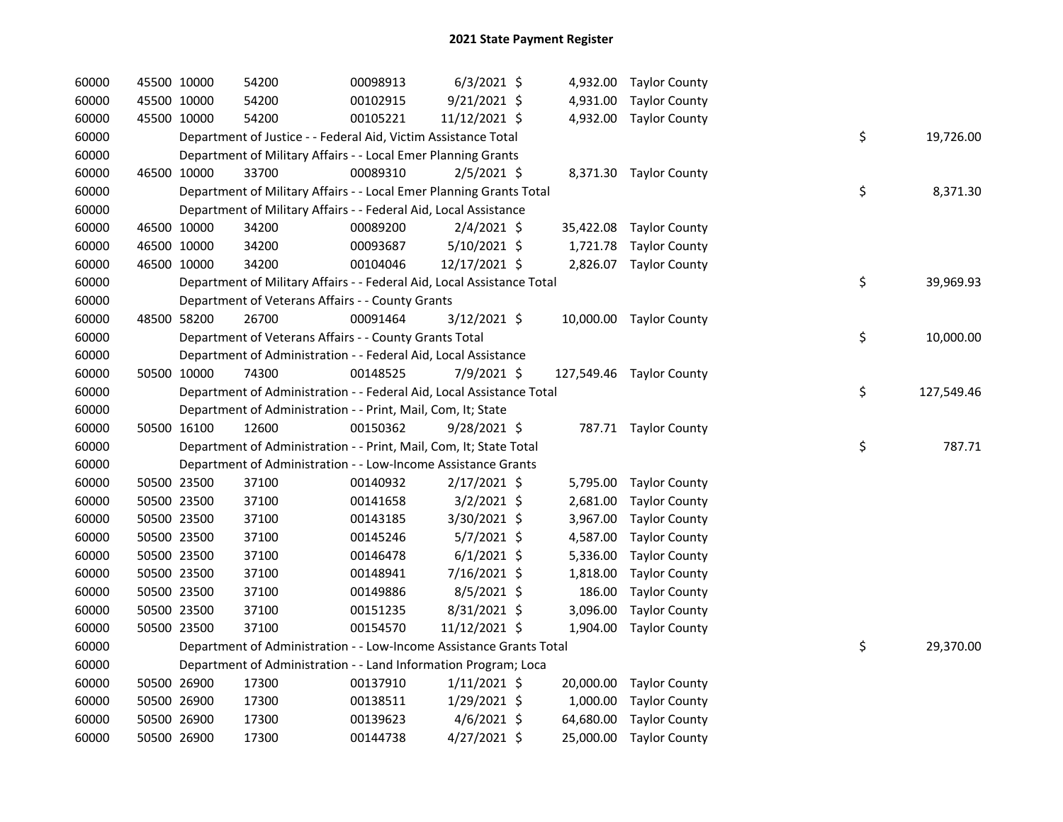| 60000 |             | 45500 10000 | 54200                                                                  | 00098913 | $6/3/2021$ \$  |          | 4,932.00 Taylor County   |    |            |
|-------|-------------|-------------|------------------------------------------------------------------------|----------|----------------|----------|--------------------------|----|------------|
| 60000 |             | 45500 10000 | 54200                                                                  | 00102915 | $9/21/2021$ \$ |          | 4,931.00 Taylor County   |    |            |
| 60000 |             | 45500 10000 | 54200                                                                  | 00105221 | 11/12/2021 \$  |          | 4,932.00 Taylor County   |    |            |
| 60000 |             |             | Department of Justice - - Federal Aid, Victim Assistance Total         |          |                |          |                          | \$ | 19,726.00  |
| 60000 |             |             | Department of Military Affairs - - Local Emer Planning Grants          |          |                |          |                          |    |            |
| 60000 |             | 46500 10000 | 33700                                                                  | 00089310 | 2/5/2021 \$    |          | 8,371.30 Taylor County   |    |            |
| 60000 |             |             | Department of Military Affairs - - Local Emer Planning Grants Total    |          |                |          |                          | \$ | 8,371.30   |
| 60000 |             |             | Department of Military Affairs - - Federal Aid, Local Assistance       |          |                |          |                          |    |            |
| 60000 |             | 46500 10000 | 34200                                                                  | 00089200 | $2/4/2021$ \$  |          | 35,422.08 Taylor County  |    |            |
| 60000 |             | 46500 10000 | 34200                                                                  | 00093687 | 5/10/2021 \$   |          | 1,721.78 Taylor County   |    |            |
| 60000 |             | 46500 10000 | 34200                                                                  | 00104046 | 12/17/2021 \$  |          | 2,826.07 Taylor County   |    |            |
| 60000 |             |             | Department of Military Affairs - - Federal Aid, Local Assistance Total |          |                |          |                          | \$ | 39,969.93  |
| 60000 |             |             | Department of Veterans Affairs - - County Grants                       |          |                |          |                          |    |            |
| 60000 |             | 48500 58200 | 26700                                                                  | 00091464 | 3/12/2021 \$   |          | 10,000.00 Taylor County  |    |            |
| 60000 |             |             | Department of Veterans Affairs - - County Grants Total                 |          |                |          |                          | \$ | 10,000.00  |
| 60000 |             |             | Department of Administration - - Federal Aid, Local Assistance         |          |                |          |                          |    |            |
| 60000 |             | 50500 10000 | 74300                                                                  | 00148525 | 7/9/2021 \$    |          | 127,549.46 Taylor County |    |            |
| 60000 |             |             | Department of Administration - - Federal Aid, Local Assistance Total   |          |                |          |                          | \$ | 127,549.46 |
| 60000 |             |             | Department of Administration - - Print, Mail, Com, It; State           |          |                |          |                          |    |            |
| 60000 |             | 50500 16100 | 12600                                                                  | 00150362 | 9/28/2021 \$   |          | 787.71 Taylor County     |    |            |
| 60000 |             |             | Department of Administration - - Print, Mail, Com, It; State Total     |          |                |          |                          | \$ | 787.71     |
| 60000 |             |             | Department of Administration - - Low-Income Assistance Grants          |          |                |          |                          |    |            |
| 60000 |             | 50500 23500 | 37100                                                                  | 00140932 | $2/17/2021$ \$ |          | 5,795.00 Taylor County   |    |            |
| 60000 |             | 50500 23500 | 37100                                                                  | 00141658 | $3/2/2021$ \$  | 2,681.00 | <b>Taylor County</b>     |    |            |
| 60000 |             | 50500 23500 | 37100                                                                  | 00143185 | 3/30/2021 \$   | 3,967.00 | <b>Taylor County</b>     |    |            |
| 60000 |             | 50500 23500 | 37100                                                                  | 00145246 | $5/7/2021$ \$  | 4,587.00 | <b>Taylor County</b>     |    |            |
| 60000 |             | 50500 23500 | 37100                                                                  | 00146478 | $6/1/2021$ \$  | 5,336.00 | Taylor County            |    |            |
| 60000 |             | 50500 23500 | 37100                                                                  | 00148941 | 7/16/2021 \$   | 1,818.00 | <b>Taylor County</b>     |    |            |
| 60000 |             | 50500 23500 | 37100                                                                  | 00149886 | 8/5/2021 \$    | 186.00   | <b>Taylor County</b>     |    |            |
| 60000 |             | 50500 23500 | 37100                                                                  | 00151235 | $8/31/2021$ \$ | 3,096.00 | <b>Taylor County</b>     |    |            |
| 60000 |             | 50500 23500 | 37100                                                                  | 00154570 | 11/12/2021 \$  |          | 1,904.00 Taylor County   |    |            |
| 60000 |             |             | Department of Administration - - Low-Income Assistance Grants Total    |          |                |          |                          | \$ | 29,370.00  |
| 60000 |             |             | Department of Administration - - Land Information Program; Loca        |          |                |          |                          |    |            |
| 60000 |             | 50500 26900 | 17300                                                                  | 00137910 | $1/11/2021$ \$ |          | 20,000.00 Taylor County  |    |            |
| 60000 |             | 50500 26900 | 17300                                                                  | 00138511 | 1/29/2021 \$   |          | 1,000.00 Taylor County   |    |            |
| 60000 |             | 50500 26900 | 17300                                                                  | 00139623 | $4/6/2021$ \$  |          | 64,680.00 Taylor County  |    |            |
| 60000 | 50500 26900 |             | 17300                                                                  | 00144738 | $4/27/2021$ \$ |          | 25,000.00 Taylor County  |    |            |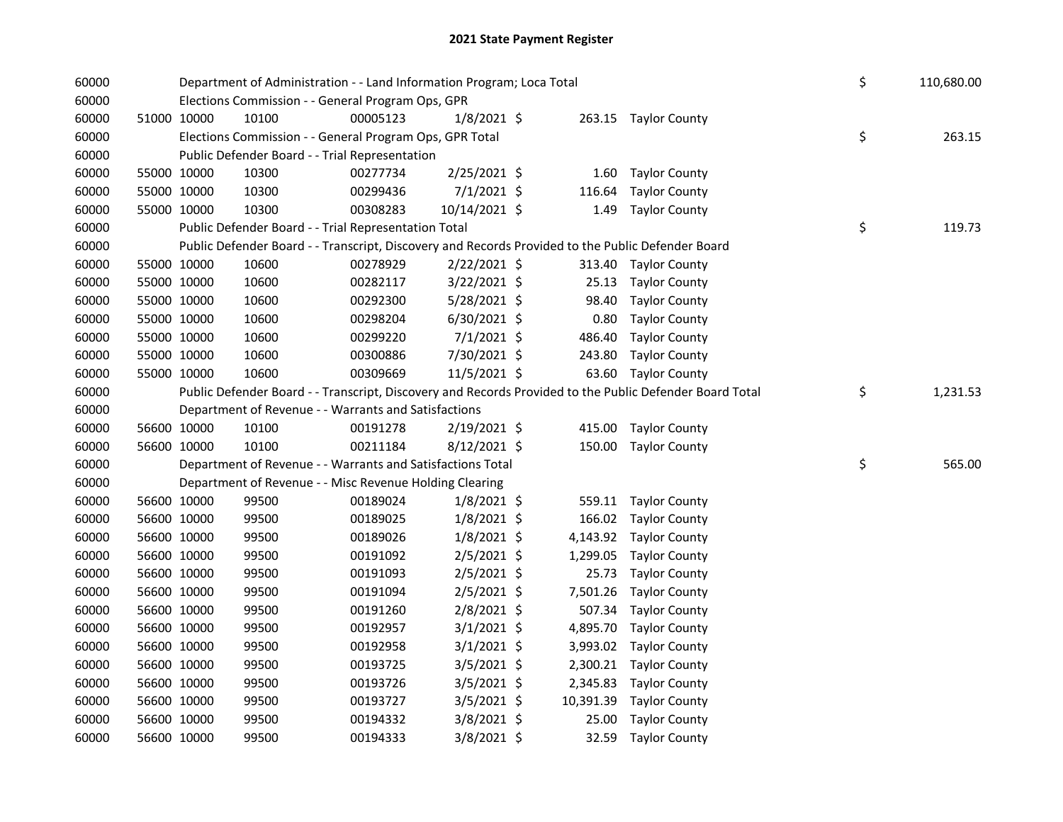| 60000 |             |             | Department of Administration - - Land Information Program; Loca Total |          |                | \$<br>110,680.00 |                                                                                                         |                |
|-------|-------------|-------------|-----------------------------------------------------------------------|----------|----------------|------------------|---------------------------------------------------------------------------------------------------------|----------------|
| 60000 |             |             | Elections Commission - - General Program Ops, GPR                     |          |                |                  |                                                                                                         |                |
| 60000 | 51000 10000 |             | 10100                                                                 | 00005123 | $1/8/2021$ \$  |                  | 263.15 Taylor County                                                                                    |                |
| 60000 |             |             | Elections Commission - - General Program Ops, GPR Total               |          |                |                  |                                                                                                         | \$<br>263.15   |
| 60000 |             |             | Public Defender Board - - Trial Representation                        |          |                |                  |                                                                                                         |                |
| 60000 |             | 55000 10000 | 10300                                                                 | 00277734 | 2/25/2021 \$   | 1.60             | <b>Taylor County</b>                                                                                    |                |
| 60000 |             | 55000 10000 | 10300                                                                 | 00299436 | $7/1/2021$ \$  | 116.64           | <b>Taylor County</b>                                                                                    |                |
| 60000 |             | 55000 10000 | 10300                                                                 | 00308283 | 10/14/2021 \$  | 1.49             | <b>Taylor County</b>                                                                                    |                |
| 60000 |             |             | Public Defender Board - - Trial Representation Total                  |          |                |                  |                                                                                                         | \$<br>119.73   |
| 60000 |             |             |                                                                       |          |                |                  | Public Defender Board - - Transcript, Discovery and Records Provided to the Public Defender Board       |                |
| 60000 |             | 55000 10000 | 10600                                                                 | 00278929 | $2/22/2021$ \$ |                  | 313.40 Taylor County                                                                                    |                |
| 60000 |             | 55000 10000 | 10600                                                                 | 00282117 | 3/22/2021 \$   | 25.13            | <b>Taylor County</b>                                                                                    |                |
| 60000 |             | 55000 10000 | 10600                                                                 | 00292300 | 5/28/2021 \$   | 98.40            | <b>Taylor County</b>                                                                                    |                |
| 60000 |             | 55000 10000 | 10600                                                                 | 00298204 | $6/30/2021$ \$ | 0.80             | <b>Taylor County</b>                                                                                    |                |
| 60000 |             | 55000 10000 | 10600                                                                 | 00299220 | $7/1/2021$ \$  | 486.40           | <b>Taylor County</b>                                                                                    |                |
| 60000 |             | 55000 10000 | 10600                                                                 | 00300886 | 7/30/2021 \$   | 243.80           | <b>Taylor County</b>                                                                                    |                |
| 60000 |             | 55000 10000 | 10600                                                                 | 00309669 | 11/5/2021 \$   |                  | 63.60 Taylor County                                                                                     |                |
| 60000 |             |             |                                                                       |          |                |                  | Public Defender Board - - Transcript, Discovery and Records Provided to the Public Defender Board Total | \$<br>1,231.53 |
| 60000 |             |             | Department of Revenue - - Warrants and Satisfactions                  |          |                |                  |                                                                                                         |                |
| 60000 |             | 56600 10000 | 10100                                                                 | 00191278 | 2/19/2021 \$   |                  | 415.00 Taylor County                                                                                    |                |
| 60000 |             | 56600 10000 | 10100                                                                 | 00211184 | $8/12/2021$ \$ |                  | 150.00 Taylor County                                                                                    |                |
| 60000 |             |             | Department of Revenue - - Warrants and Satisfactions Total            |          |                |                  |                                                                                                         | \$<br>565.00   |
| 60000 |             |             | Department of Revenue - - Misc Revenue Holding Clearing               |          |                |                  |                                                                                                         |                |
| 60000 |             | 56600 10000 | 99500                                                                 | 00189024 | $1/8/2021$ \$  |                  | 559.11 Taylor County                                                                                    |                |
| 60000 |             | 56600 10000 | 99500                                                                 | 00189025 | $1/8/2021$ \$  | 166.02           | <b>Taylor County</b>                                                                                    |                |
| 60000 |             | 56600 10000 | 99500                                                                 | 00189026 | $1/8/2021$ \$  | 4,143.92         | <b>Taylor County</b>                                                                                    |                |
| 60000 |             | 56600 10000 | 99500                                                                 | 00191092 | $2/5/2021$ \$  | 1,299.05         | <b>Taylor County</b>                                                                                    |                |
| 60000 |             | 56600 10000 | 99500                                                                 | 00191093 | $2/5/2021$ \$  | 25.73            | <b>Taylor County</b>                                                                                    |                |
| 60000 |             | 56600 10000 | 99500                                                                 | 00191094 | $2/5/2021$ \$  | 7,501.26         | <b>Taylor County</b>                                                                                    |                |
| 60000 |             | 56600 10000 | 99500                                                                 | 00191260 | $2/8/2021$ \$  | 507.34           | <b>Taylor County</b>                                                                                    |                |
| 60000 |             | 56600 10000 | 99500                                                                 | 00192957 | $3/1/2021$ \$  | 4,895.70         | <b>Taylor County</b>                                                                                    |                |
| 60000 |             | 56600 10000 | 99500                                                                 | 00192958 | $3/1/2021$ \$  |                  | 3,993.02 Taylor County                                                                                  |                |
| 60000 |             | 56600 10000 | 99500                                                                 | 00193725 | $3/5/2021$ \$  |                  | 2,300.21 Taylor County                                                                                  |                |
| 60000 |             | 56600 10000 | 99500                                                                 | 00193726 | $3/5/2021$ \$  |                  | 2,345.83 Taylor County                                                                                  |                |
| 60000 |             | 56600 10000 | 99500                                                                 | 00193727 | $3/5/2021$ \$  | 10,391.39        | <b>Taylor County</b>                                                                                    |                |
| 60000 |             | 56600 10000 | 99500                                                                 | 00194332 | 3/8/2021 \$    | 25.00            | <b>Taylor County</b>                                                                                    |                |
| 60000 |             | 56600 10000 | 99500                                                                 | 00194333 | 3/8/2021 \$    | 32.59            | <b>Taylor County</b>                                                                                    |                |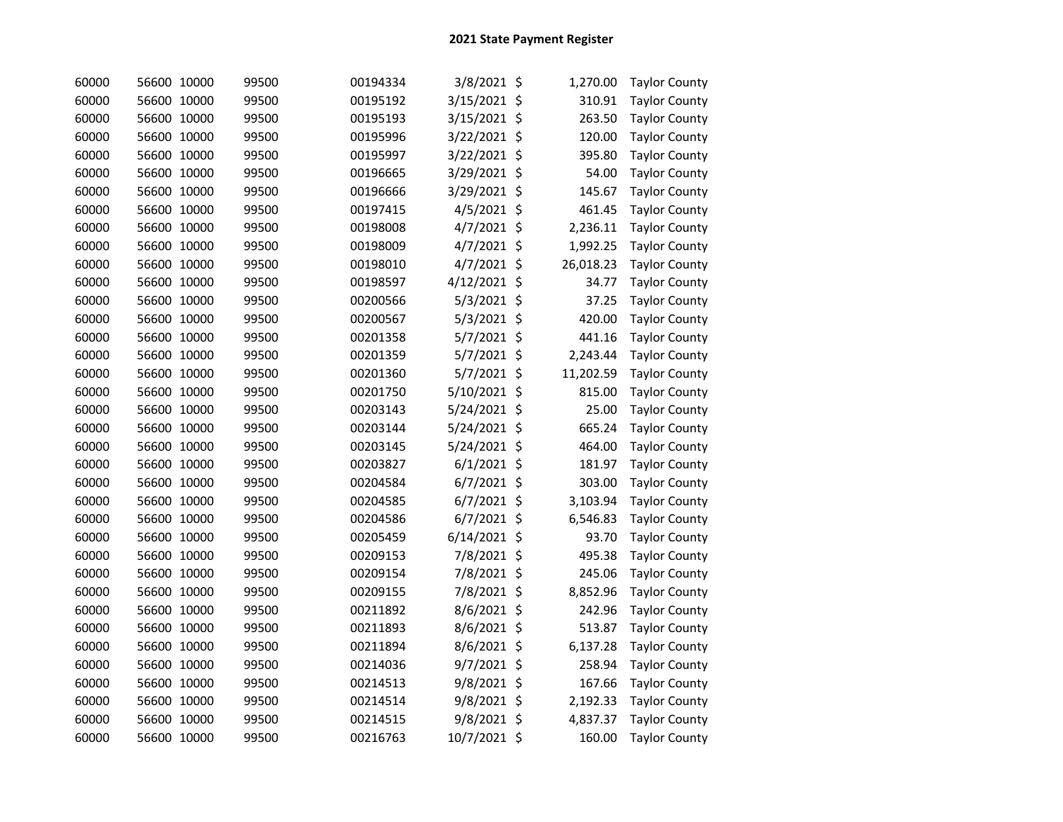| 60000 | 56600 10000 |       | 99500 | 00194334 | 3/8/2021 \$    | 1,270.00  | <b>Taylor County</b> |
|-------|-------------|-------|-------|----------|----------------|-----------|----------------------|
| 60000 | 56600 10000 |       | 99500 | 00195192 | 3/15/2021 \$   | 310.91    | <b>Taylor County</b> |
| 60000 | 56600 10000 |       | 99500 | 00195193 | 3/15/2021 \$   | 263.50    | <b>Taylor County</b> |
| 60000 | 56600 10000 |       | 99500 | 00195996 | 3/22/2021 \$   | 120.00    | <b>Taylor County</b> |
| 60000 | 56600 10000 |       | 99500 | 00195997 | 3/22/2021 \$   | 395.80    | <b>Taylor County</b> |
| 60000 | 56600 10000 |       | 99500 | 00196665 | 3/29/2021 \$   | 54.00     | <b>Taylor County</b> |
| 60000 | 56600 10000 |       | 99500 | 00196666 | 3/29/2021 \$   | 145.67    | <b>Taylor County</b> |
| 60000 | 56600 10000 |       | 99500 | 00197415 | 4/5/2021 \$    | 461.45    | <b>Taylor County</b> |
| 60000 | 56600 10000 |       | 99500 | 00198008 | 4/7/2021 \$    | 2,236.11  | <b>Taylor County</b> |
| 60000 | 56600 10000 |       | 99500 | 00198009 | $4/7/2021$ \$  | 1,992.25  | <b>Taylor County</b> |
| 60000 | 56600 10000 |       | 99500 | 00198010 | $4/7/2021$ \$  | 26,018.23 | <b>Taylor County</b> |
| 60000 | 56600 10000 |       | 99500 | 00198597 | 4/12/2021 \$   | 34.77     | <b>Taylor County</b> |
| 60000 | 56600 10000 |       | 99500 | 00200566 | $5/3/2021$ \$  | 37.25     | <b>Taylor County</b> |
| 60000 | 56600 10000 |       | 99500 | 00200567 | 5/3/2021 \$    | 420.00    | <b>Taylor County</b> |
| 60000 | 56600 10000 |       | 99500 | 00201358 | 5/7/2021 \$    | 441.16    | <b>Taylor County</b> |
| 60000 | 56600 10000 |       | 99500 | 00201359 | 5/7/2021 \$    | 2,243.44  | <b>Taylor County</b> |
| 60000 | 56600 10000 |       | 99500 | 00201360 | 5/7/2021 \$    | 11,202.59 | <b>Taylor County</b> |
| 60000 | 56600 10000 |       | 99500 | 00201750 | 5/10/2021 \$   | 815.00    | <b>Taylor County</b> |
| 60000 | 56600 10000 |       | 99500 | 00203143 | 5/24/2021 \$   | 25.00     | <b>Taylor County</b> |
| 60000 | 56600 10000 |       | 99500 | 00203144 | 5/24/2021 \$   | 665.24    | <b>Taylor County</b> |
| 60000 | 56600 10000 |       | 99500 | 00203145 | 5/24/2021 \$   | 464.00    | <b>Taylor County</b> |
| 60000 | 56600 10000 |       | 99500 | 00203827 | $6/1/2021$ \$  | 181.97    | <b>Taylor County</b> |
| 60000 | 56600 10000 |       | 99500 | 00204584 | $6/7/2021$ \$  | 303.00    | <b>Taylor County</b> |
| 60000 | 56600 10000 |       | 99500 | 00204585 | $6/7/2021$ \$  | 3,103.94  | <b>Taylor County</b> |
| 60000 | 56600 10000 |       | 99500 | 00204586 | 6/7/2021 \$    | 6,546.83  | <b>Taylor County</b> |
| 60000 | 56600       | 10000 | 99500 | 00205459 | $6/14/2021$ \$ | 93.70     | <b>Taylor County</b> |
| 60000 | 56600 10000 |       | 99500 | 00209153 | 7/8/2021 \$    | 495.38    | <b>Taylor County</b> |
| 60000 | 56600 10000 |       | 99500 | 00209154 | 7/8/2021 \$    | 245.06    | <b>Taylor County</b> |
| 60000 | 56600 10000 |       | 99500 | 00209155 | 7/8/2021 \$    | 8,852.96  | <b>Taylor County</b> |
| 60000 | 56600 10000 |       | 99500 | 00211892 | 8/6/2021 \$    | 242.96    | <b>Taylor County</b> |
| 60000 | 56600       | 10000 | 99500 | 00211893 | 8/6/2021 \$    | 513.87    | <b>Taylor County</b> |
| 60000 | 56600       | 10000 | 99500 | 00211894 | 8/6/2021 \$    | 6,137.28  | <b>Taylor County</b> |
| 60000 | 56600 10000 |       | 99500 | 00214036 | 9/7/2021 \$    | 258.94    | <b>Taylor County</b> |
| 60000 | 56600 10000 |       | 99500 | 00214513 | 9/8/2021 \$    | 167.66    | <b>Taylor County</b> |
| 60000 | 56600 10000 |       | 99500 | 00214514 | 9/8/2021 \$    | 2,192.33  | <b>Taylor County</b> |
| 60000 | 56600 10000 |       | 99500 | 00214515 | 9/8/2021 \$    | 4,837.37  | <b>Taylor County</b> |
| 60000 | 56600 10000 |       | 99500 | 00216763 | 10/7/2021 \$   | 160.00    | <b>Taylor County</b> |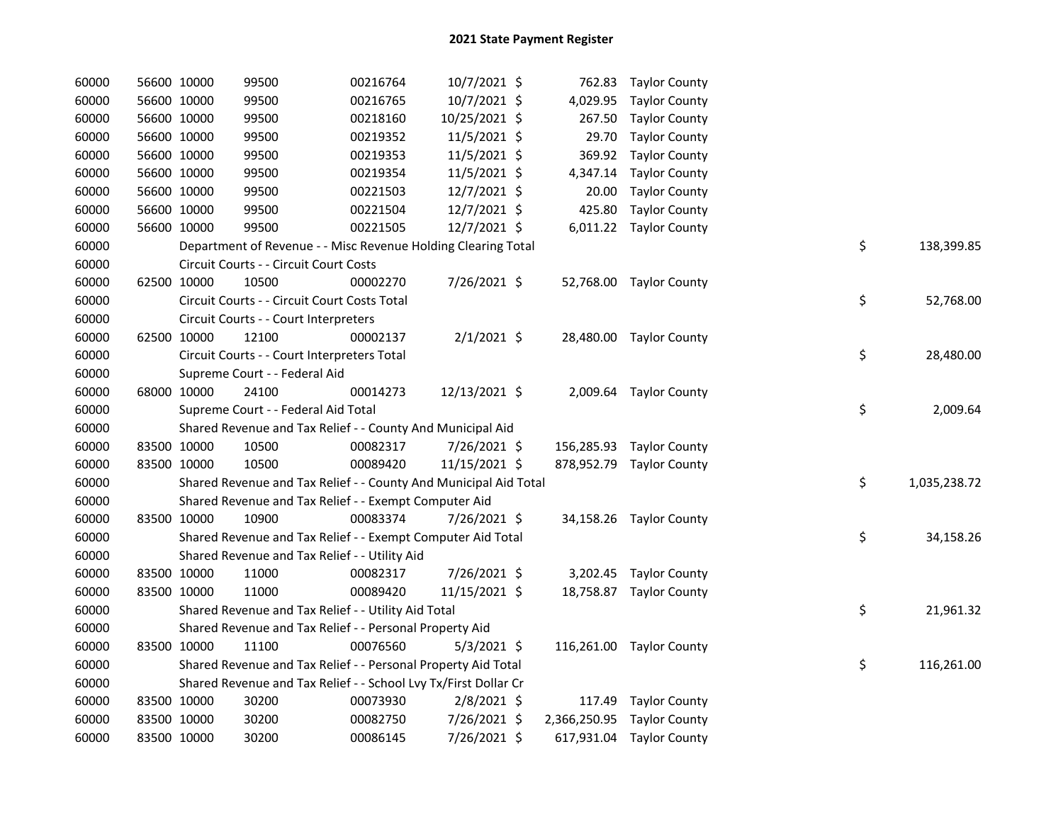| 60000 |             | 56600 10000 | 99500                                                            | 00216764 | 10/7/2021 \$  |          | 762.83 Taylor County       |    |              |
|-------|-------------|-------------|------------------------------------------------------------------|----------|---------------|----------|----------------------------|----|--------------|
| 60000 |             | 56600 10000 | 99500                                                            | 00216765 | 10/7/2021 \$  |          | 4,029.95 Taylor County     |    |              |
| 60000 |             | 56600 10000 | 99500                                                            | 00218160 | 10/25/2021 \$ | 267.50   | <b>Taylor County</b>       |    |              |
| 60000 |             | 56600 10000 | 99500                                                            | 00219352 | 11/5/2021 \$  | 29.70    | <b>Taylor County</b>       |    |              |
| 60000 |             | 56600 10000 | 99500                                                            | 00219353 | 11/5/2021 \$  | 369.92   | <b>Taylor County</b>       |    |              |
| 60000 |             | 56600 10000 | 99500                                                            | 00219354 | 11/5/2021 \$  | 4,347.14 | <b>Taylor County</b>       |    |              |
| 60000 |             | 56600 10000 | 99500                                                            | 00221503 | 12/7/2021 \$  | 20.00    | <b>Taylor County</b>       |    |              |
| 60000 | 56600 10000 |             | 99500                                                            | 00221504 | 12/7/2021 \$  |          | 425.80 Taylor County       |    |              |
| 60000 |             | 56600 10000 | 99500                                                            | 00221505 | 12/7/2021 \$  |          | 6,011.22 Taylor County     |    |              |
| 60000 |             |             | Department of Revenue - - Misc Revenue Holding Clearing Total    |          |               |          |                            | \$ | 138,399.85   |
| 60000 |             |             | Circuit Courts - - Circuit Court Costs                           |          |               |          |                            |    |              |
| 60000 |             | 62500 10000 | 10500                                                            | 00002270 | 7/26/2021 \$  |          | 52,768.00 Taylor County    |    |              |
| 60000 |             |             | Circuit Courts - - Circuit Court Costs Total                     |          |               |          |                            | \$ | 52,768.00    |
| 60000 |             |             | Circuit Courts - - Court Interpreters                            |          |               |          |                            |    |              |
| 60000 |             | 62500 10000 | 12100                                                            | 00002137 | $2/1/2021$ \$ |          | 28,480.00 Taylor County    |    |              |
| 60000 |             |             | Circuit Courts - - Court Interpreters Total                      |          |               |          |                            | \$ | 28,480.00    |
| 60000 |             |             | Supreme Court - - Federal Aid                                    |          |               |          |                            |    |              |
| 60000 |             | 68000 10000 | 24100                                                            | 00014273 | 12/13/2021 \$ |          | 2,009.64 Taylor County     |    |              |
| 60000 |             |             | Supreme Court - - Federal Aid Total                              |          |               |          |                            | \$ | 2,009.64     |
| 60000 |             |             | Shared Revenue and Tax Relief - - County And Municipal Aid       |          |               |          |                            |    |              |
| 60000 |             | 83500 10000 | 10500                                                            | 00082317 | 7/26/2021 \$  |          | 156,285.93 Taylor County   |    |              |
| 60000 |             | 83500 10000 | 10500                                                            | 00089420 | 11/15/2021 \$ |          | 878,952.79 Taylor County   |    |              |
| 60000 |             |             | Shared Revenue and Tax Relief - - County And Municipal Aid Total |          |               |          |                            | \$ | 1,035,238.72 |
| 60000 |             |             | Shared Revenue and Tax Relief - - Exempt Computer Aid            |          |               |          |                            |    |              |
| 60000 |             | 83500 10000 | 10900                                                            | 00083374 | 7/26/2021 \$  |          | 34,158.26 Taylor County    |    |              |
| 60000 |             |             | Shared Revenue and Tax Relief - - Exempt Computer Aid Total      |          |               |          |                            | \$ | 34,158.26    |
| 60000 |             |             | Shared Revenue and Tax Relief - - Utility Aid                    |          |               |          |                            |    |              |
| 60000 |             | 83500 10000 | 11000                                                            | 00082317 | 7/26/2021 \$  |          | 3,202.45 Taylor County     |    |              |
| 60000 |             | 83500 10000 | 11000                                                            | 00089420 | 11/15/2021 \$ |          | 18,758.87 Taylor County    |    |              |
| 60000 |             |             | Shared Revenue and Tax Relief - - Utility Aid Total              |          |               |          |                            | \$ | 21,961.32    |
| 60000 |             |             | Shared Revenue and Tax Relief - - Personal Property Aid          |          |               |          |                            |    |              |
| 60000 |             | 83500 10000 | 11100                                                            | 00076560 | $5/3/2021$ \$ |          | 116,261.00 Taylor County   |    |              |
| 60000 |             |             | Shared Revenue and Tax Relief - - Personal Property Aid Total    |          |               |          |                            | \$ | 116,261.00   |
| 60000 |             |             | Shared Revenue and Tax Relief - - School Lvy Tx/First Dollar Cr  |          |               |          |                            |    |              |
| 60000 |             | 83500 10000 | 30200                                                            | 00073930 | $2/8/2021$ \$ |          | 117.49 Taylor County       |    |              |
| 60000 | 83500 10000 |             | 30200                                                            | 00082750 | 7/26/2021 \$  |          | 2,366,250.95 Taylor County |    |              |
| 60000 | 83500 10000 |             | 30200                                                            | 00086145 | 7/26/2021 \$  |          | 617,931.04 Taylor County   |    |              |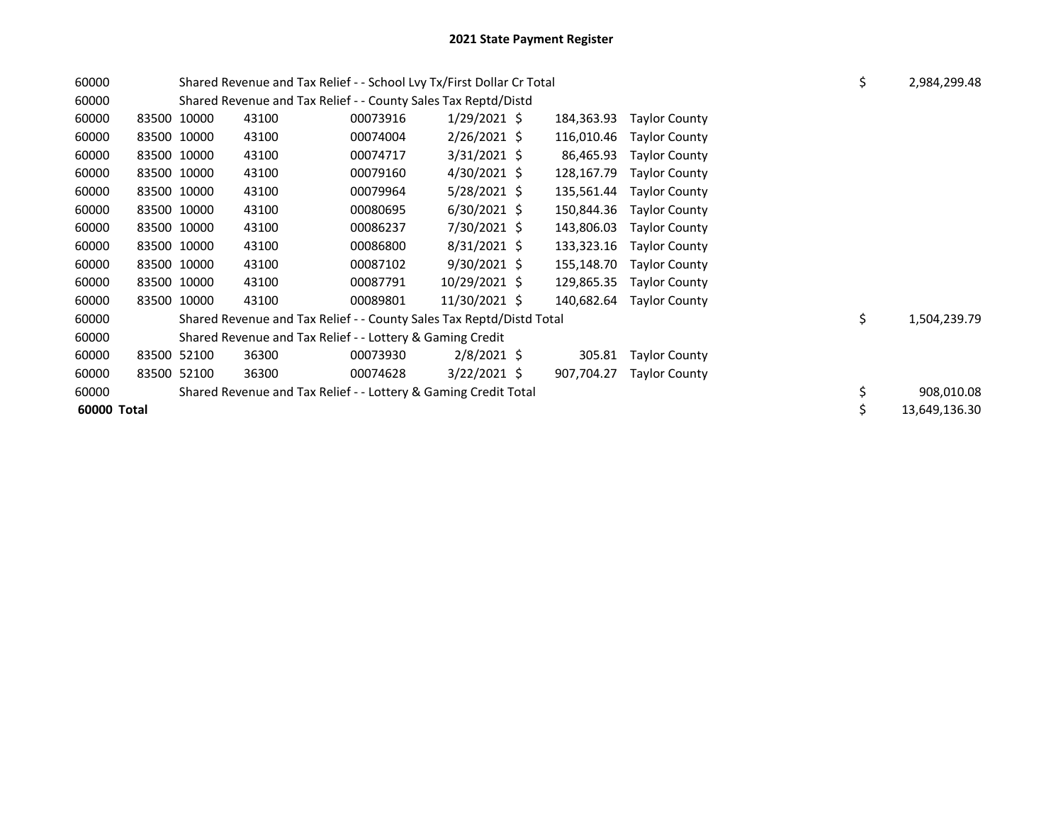| 60000 |             |             | Shared Revenue and Tax Relief - - School Lvy Tx/First Dollar Cr Total |          | \$             | 2,984,299.48 |            |                          |  |    |               |
|-------|-------------|-------------|-----------------------------------------------------------------------|----------|----------------|--------------|------------|--------------------------|--|----|---------------|
| 60000 |             |             | Shared Revenue and Tax Relief - - County Sales Tax Reptd/Distd        |          |                |              |            |                          |  |    |               |
| 60000 |             | 83500 10000 | 43100                                                                 | 00073916 | $1/29/2021$ \$ |              | 184,363.93 | <b>Taylor County</b>     |  |    |               |
| 60000 |             | 83500 10000 | 43100                                                                 | 00074004 | $2/26/2021$ \$ |              | 116,010.46 | <b>Taylor County</b>     |  |    |               |
| 60000 |             | 83500 10000 | 43100                                                                 | 00074717 | $3/31/2021$ \$ |              | 86,465.93  | <b>Taylor County</b>     |  |    |               |
| 60000 |             | 83500 10000 | 43100                                                                 | 00079160 | $4/30/2021$ \$ |              | 128,167.79 | <b>Taylor County</b>     |  |    |               |
| 60000 |             | 83500 10000 | 43100                                                                 | 00079964 | $5/28/2021$ \$ |              | 135,561.44 | <b>Taylor County</b>     |  |    |               |
| 60000 |             | 83500 10000 | 43100                                                                 | 00080695 | $6/30/2021$ \$ |              | 150,844.36 | <b>Taylor County</b>     |  |    |               |
| 60000 |             | 83500 10000 | 43100                                                                 | 00086237 | 7/30/2021 \$   |              | 143,806.03 | <b>Taylor County</b>     |  |    |               |
| 60000 |             | 83500 10000 | 43100                                                                 | 00086800 | $8/31/2021$ \$ |              | 133,323.16 | <b>Taylor County</b>     |  |    |               |
| 60000 |             | 83500 10000 | 43100                                                                 | 00087102 | $9/30/2021$ \$ |              | 155,148.70 | <b>Taylor County</b>     |  |    |               |
| 60000 |             | 83500 10000 | 43100                                                                 | 00087791 | 10/29/2021 \$  |              | 129,865.35 | <b>Taylor County</b>     |  |    |               |
| 60000 |             | 83500 10000 | 43100                                                                 | 00089801 | 11/30/2021 \$  |              |            | 140,682.64 Taylor County |  |    |               |
| 60000 |             |             | Shared Revenue and Tax Relief - - County Sales Tax Reptd/Distd Total  |          |                |              |            |                          |  | \$ | 1,504,239.79  |
| 60000 |             |             | Shared Revenue and Tax Relief - - Lottery & Gaming Credit             |          |                |              |            |                          |  |    |               |
| 60000 |             | 83500 52100 | 36300                                                                 | 00073930 | $2/8/2021$ \$  |              | 305.81     | <b>Taylor County</b>     |  |    |               |
| 60000 |             | 83500 52100 | 36300                                                                 | 00074628 | $3/22/2021$ \$ |              | 907,704.27 | <b>Taylor County</b>     |  |    |               |
| 60000 |             |             | Shared Revenue and Tax Relief - - Lottery & Gaming Credit Total       |          |                |              |            |                          |  | \$ | 908,010.08    |
|       | 60000 Total |             |                                                                       |          |                |              |            |                          |  |    | 13,649,136.30 |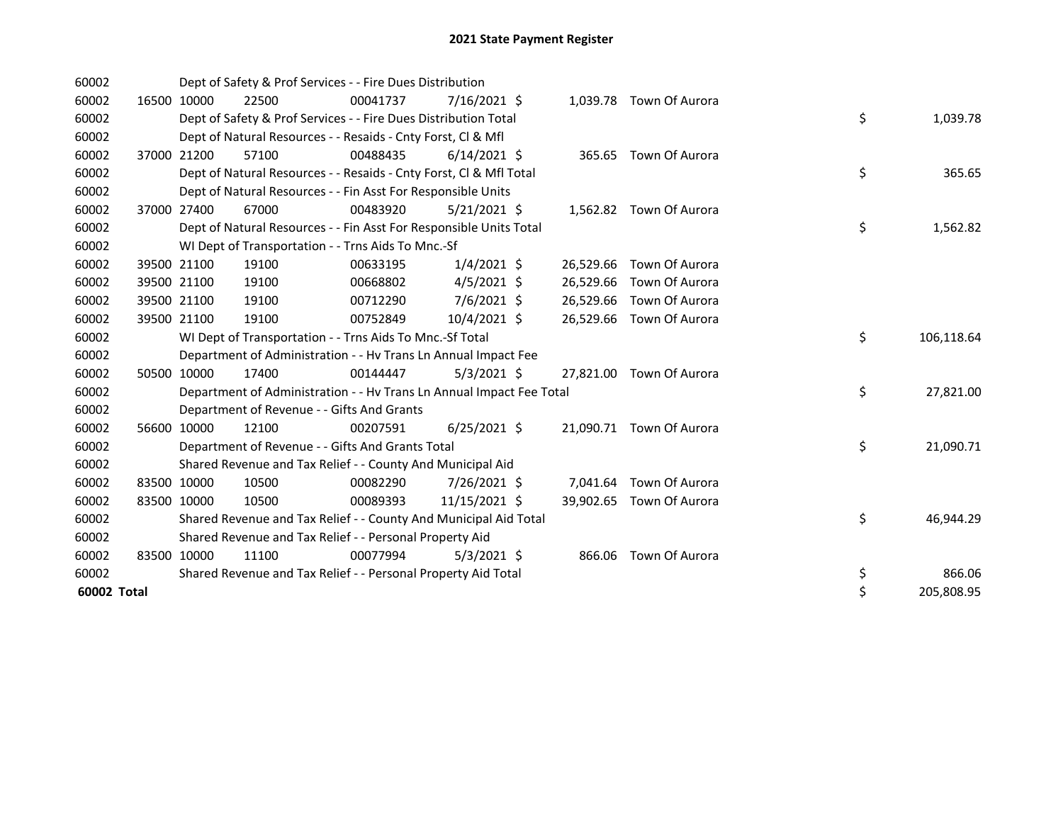| 60002       |             | Dept of Safety & Prof Services - - Fire Dues Distribution            |          |                |  |                          |    |            |
|-------------|-------------|----------------------------------------------------------------------|----------|----------------|--|--------------------------|----|------------|
| 60002       | 16500 10000 | 22500                                                                | 00041737 | 7/16/2021 \$   |  | 1,039.78 Town Of Aurora  |    |            |
| 60002       |             | Dept of Safety & Prof Services - - Fire Dues Distribution Total      |          |                |  |                          | \$ | 1,039.78   |
| 60002       |             | Dept of Natural Resources - - Resaids - Cnty Forst, CI & Mfl         |          |                |  |                          |    |            |
| 60002       | 37000 21200 | 57100                                                                | 00488435 | $6/14/2021$ \$ |  | 365.65 Town Of Aurora    |    |            |
| 60002       |             | Dept of Natural Resources - - Resaids - Cnty Forst, CI & Mfl Total   |          |                |  |                          | \$ | 365.65     |
| 60002       |             | Dept of Natural Resources - - Fin Asst For Responsible Units         |          |                |  |                          |    |            |
| 60002       | 37000 27400 | 67000                                                                | 00483920 | $5/21/2021$ \$ |  | 1,562.82 Town Of Aurora  |    |            |
| 60002       |             | Dept of Natural Resources - - Fin Asst For Responsible Units Total   |          |                |  |                          | \$ | 1,562.82   |
| 60002       |             | WI Dept of Transportation - - Trns Aids To Mnc.-Sf                   |          |                |  |                          |    |            |
| 60002       | 39500 21100 | 19100                                                                | 00633195 | $1/4/2021$ \$  |  | 26,529.66 Town Of Aurora |    |            |
| 60002       | 39500 21100 | 19100                                                                | 00668802 | $4/5/2021$ \$  |  | 26,529.66 Town Of Aurora |    |            |
| 60002       | 39500 21100 | 19100                                                                | 00712290 | $7/6/2021$ \$  |  | 26,529.66 Town Of Aurora |    |            |
| 60002       | 39500 21100 | 19100                                                                | 00752849 | 10/4/2021 \$   |  | 26,529.66 Town Of Aurora |    |            |
| 60002       |             | WI Dept of Transportation - - Trns Aids To Mnc.-Sf Total             |          |                |  |                          | \$ | 106,118.64 |
| 60002       |             | Department of Administration - - Hv Trans Ln Annual Impact Fee       |          |                |  |                          |    |            |
| 60002       | 50500 10000 | 17400                                                                | 00144447 | $5/3/2021$ \$  |  | 27,821.00 Town Of Aurora |    |            |
| 60002       |             | Department of Administration - - Hv Trans Ln Annual Impact Fee Total |          |                |  |                          | \$ | 27,821.00  |
| 60002       |             | Department of Revenue - - Gifts And Grants                           |          |                |  |                          |    |            |
| 60002       | 56600 10000 | 12100                                                                | 00207591 | $6/25/2021$ \$ |  | 21,090.71 Town Of Aurora |    |            |
| 60002       |             | Department of Revenue - - Gifts And Grants Total                     |          |                |  |                          | \$ | 21,090.71  |
| 60002       |             | Shared Revenue and Tax Relief - - County And Municipal Aid           |          |                |  |                          |    |            |
| 60002       | 83500 10000 | 10500                                                                | 00082290 | 7/26/2021 \$   |  | 7,041.64 Town Of Aurora  |    |            |
| 60002       | 83500 10000 | 10500                                                                | 00089393 | 11/15/2021 \$  |  | 39,902.65 Town Of Aurora |    |            |
| 60002       |             | Shared Revenue and Tax Relief - - County And Municipal Aid Total     |          |                |  |                          | \$ | 46,944.29  |
| 60002       |             | Shared Revenue and Tax Relief - - Personal Property Aid              |          |                |  |                          |    |            |
| 60002       | 83500 10000 | 11100                                                                | 00077994 | $5/3/2021$ \$  |  | 866.06 Town Of Aurora    |    |            |
| 60002       |             | Shared Revenue and Tax Relief - - Personal Property Aid Total        |          |                |  |                          | \$ | 866.06     |
| 60002 Total |             |                                                                      |          |                |  |                          | \$ | 205,808.95 |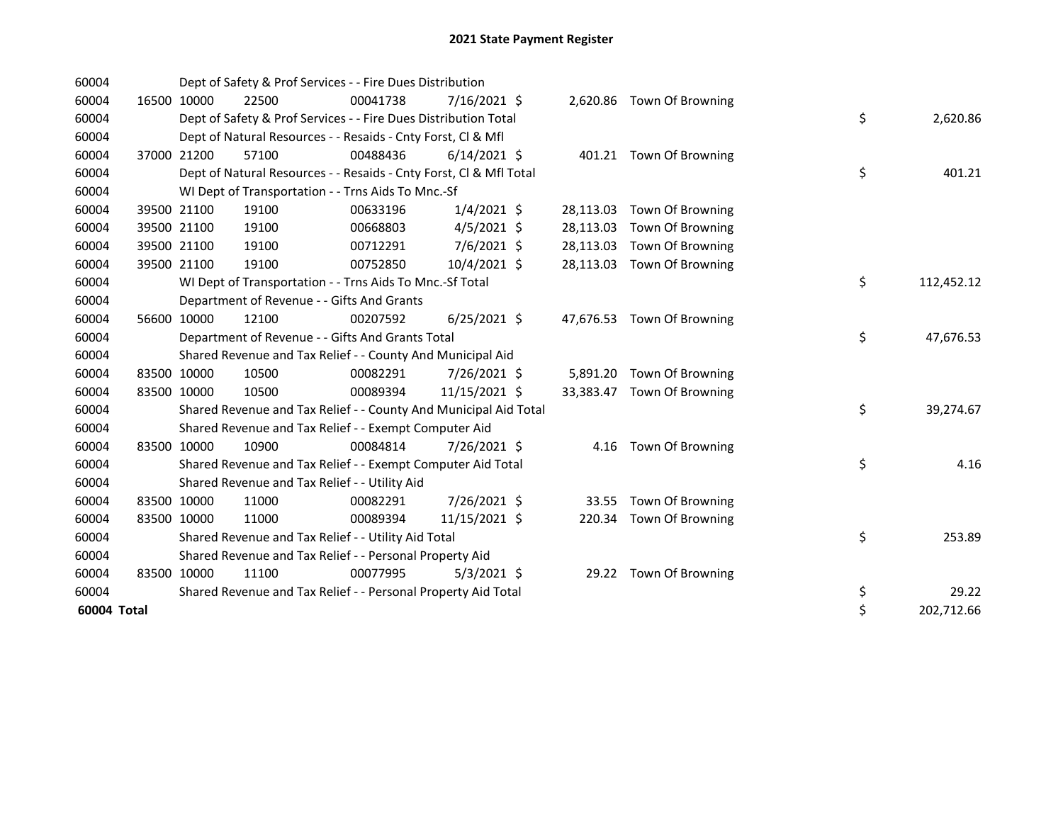| 60004       |             | Dept of Safety & Prof Services - - Fire Dues Distribution          |          |                |           |                            |                  |
|-------------|-------------|--------------------------------------------------------------------|----------|----------------|-----------|----------------------------|------------------|
| 60004       | 16500 10000 | 22500                                                              | 00041738 | $7/16/2021$ \$ |           | 2,620.86 Town Of Browning  |                  |
| 60004       |             | Dept of Safety & Prof Services - - Fire Dues Distribution Total    |          |                |           |                            | \$<br>2,620.86   |
| 60004       |             | Dept of Natural Resources - - Resaids - Cnty Forst, Cl & Mfl       |          |                |           |                            |                  |
| 60004       | 37000 21200 | 57100                                                              | 00488436 | $6/14/2021$ \$ |           | 401.21 Town Of Browning    |                  |
| 60004       |             | Dept of Natural Resources - - Resaids - Cnty Forst, CI & Mfl Total |          |                |           |                            | \$<br>401.21     |
| 60004       |             | WI Dept of Transportation - - Trns Aids To Mnc.-Sf                 |          |                |           |                            |                  |
| 60004       | 39500 21100 | 19100                                                              | 00633196 | $1/4/2021$ \$  | 28,113.03 | Town Of Browning           |                  |
| 60004       | 39500 21100 | 19100                                                              | 00668803 | $4/5/2021$ \$  | 28,113.03 | Town Of Browning           |                  |
| 60004       | 39500 21100 | 19100                                                              | 00712291 | 7/6/2021 \$    | 28,113.03 | Town Of Browning           |                  |
| 60004       | 39500 21100 | 19100                                                              | 00752850 | 10/4/2021 \$   | 28,113.03 | <b>Town Of Browning</b>    |                  |
| 60004       |             | WI Dept of Transportation - - Trns Aids To Mnc.-Sf Total           |          |                |           |                            | \$<br>112,452.12 |
| 60004       |             | Department of Revenue - - Gifts And Grants                         |          |                |           |                            |                  |
| 60004       | 56600 10000 | 12100                                                              | 00207592 | $6/25/2021$ \$ |           | 47,676.53 Town Of Browning |                  |
| 60004       |             | Department of Revenue - - Gifts And Grants Total                   |          |                |           |                            | \$<br>47,676.53  |
| 60004       |             | Shared Revenue and Tax Relief - - County And Municipal Aid         |          |                |           |                            |                  |
| 60004       | 83500 10000 | 10500                                                              | 00082291 | 7/26/2021 \$   | 5,891.20  | Town Of Browning           |                  |
| 60004       | 83500 10000 | 10500                                                              | 00089394 | 11/15/2021 \$  | 33,383.47 | <b>Town Of Browning</b>    |                  |
| 60004       |             | Shared Revenue and Tax Relief - - County And Municipal Aid Total   |          |                |           |                            | \$<br>39,274.67  |
| 60004       |             | Shared Revenue and Tax Relief - - Exempt Computer Aid              |          |                |           |                            |                  |
| 60004       | 83500 10000 | 10900                                                              | 00084814 | 7/26/2021 \$   |           | 4.16 Town Of Browning      |                  |
| 60004       |             | Shared Revenue and Tax Relief - - Exempt Computer Aid Total        |          |                |           |                            | \$<br>4.16       |
| 60004       |             | Shared Revenue and Tax Relief - - Utility Aid                      |          |                |           |                            |                  |
| 60004       | 83500 10000 | 11000                                                              | 00082291 | 7/26/2021 \$   | 33.55     | Town Of Browning           |                  |
| 60004       | 83500 10000 | 11000                                                              | 00089394 | 11/15/2021 \$  |           | 220.34 Town Of Browning    |                  |
| 60004       |             | Shared Revenue and Tax Relief - - Utility Aid Total                |          |                |           |                            | \$<br>253.89     |
| 60004       |             | Shared Revenue and Tax Relief - - Personal Property Aid            |          |                |           |                            |                  |
| 60004       | 83500 10000 | 11100                                                              | 00077995 | $5/3/2021$ \$  |           | 29.22 Town Of Browning     |                  |
| 60004       |             | Shared Revenue and Tax Relief - - Personal Property Aid Total      |          |                |           |                            | \$<br>29.22      |
| 60004 Total |             |                                                                    |          |                |           |                            | \$<br>202,712.66 |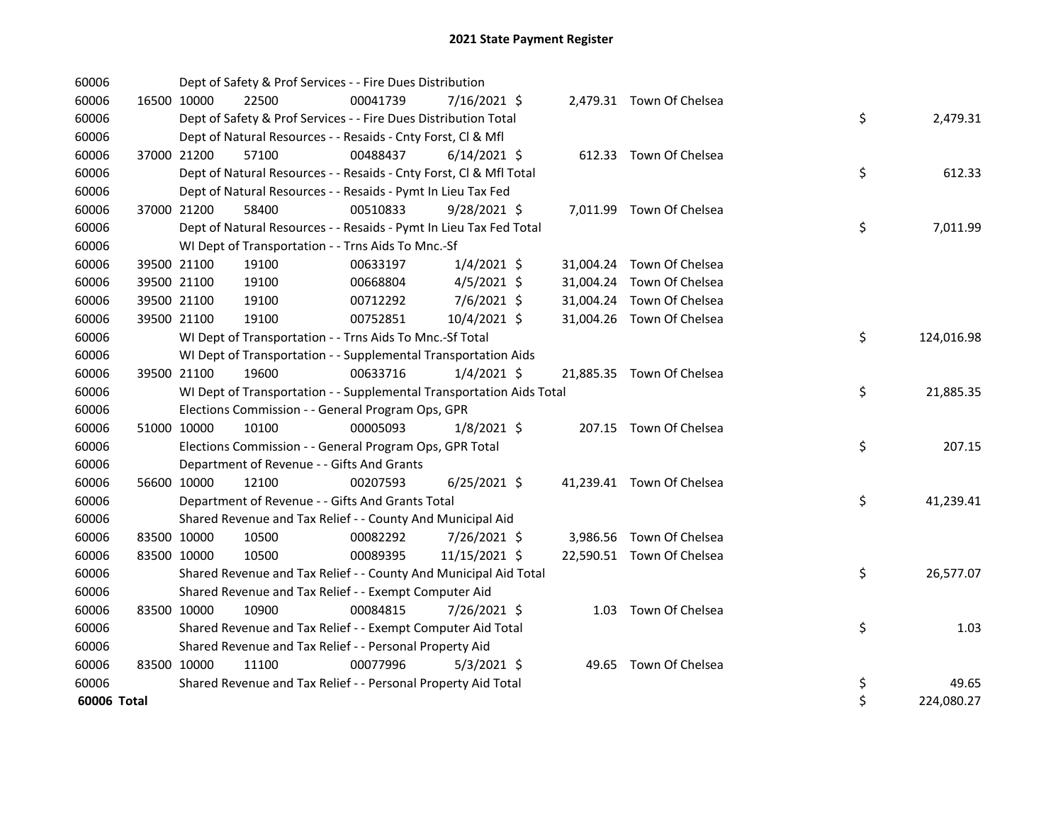| 60006       |             | Dept of Safety & Prof Services - - Fire Dues Distribution            |          |                |  |                           |    |            |
|-------------|-------------|----------------------------------------------------------------------|----------|----------------|--|---------------------------|----|------------|
| 60006       | 16500 10000 | 22500                                                                | 00041739 | 7/16/2021 \$   |  | 2,479.31 Town Of Chelsea  |    |            |
| 60006       |             | Dept of Safety & Prof Services - - Fire Dues Distribution Total      |          |                |  |                           | \$ | 2,479.31   |
| 60006       |             | Dept of Natural Resources - - Resaids - Cnty Forst, Cl & Mfl         |          |                |  |                           |    |            |
| 60006       | 37000 21200 | 57100                                                                | 00488437 | $6/14/2021$ \$ |  | 612.33 Town Of Chelsea    |    |            |
| 60006       |             | Dept of Natural Resources - - Resaids - Cnty Forst, Cl & Mfl Total   |          |                |  |                           | \$ | 612.33     |
| 60006       |             | Dept of Natural Resources - - Resaids - Pymt In Lieu Tax Fed         |          |                |  |                           |    |            |
| 60006       | 37000 21200 | 58400                                                                | 00510833 | $9/28/2021$ \$ |  | 7,011.99 Town Of Chelsea  |    |            |
| 60006       |             | Dept of Natural Resources - - Resaids - Pymt In Lieu Tax Fed Total   |          |                |  |                           | \$ | 7,011.99   |
| 60006       |             | WI Dept of Transportation - - Trns Aids To Mnc.-Sf                   |          |                |  |                           |    |            |
| 60006       | 39500 21100 | 19100                                                                | 00633197 | $1/4/2021$ \$  |  | 31,004.24 Town Of Chelsea |    |            |
| 60006       | 39500 21100 | 19100                                                                | 00668804 | 4/5/2021 \$    |  | 31,004.24 Town Of Chelsea |    |            |
| 60006       | 39500 21100 | 19100                                                                | 00712292 | 7/6/2021 \$    |  | 31,004.24 Town Of Chelsea |    |            |
| 60006       | 39500 21100 | 19100                                                                | 00752851 | 10/4/2021 \$   |  | 31,004.26 Town Of Chelsea |    |            |
| 60006       |             | WI Dept of Transportation - - Trns Aids To Mnc.-Sf Total             |          |                |  |                           | \$ | 124,016.98 |
| 60006       |             | WI Dept of Transportation - - Supplemental Transportation Aids       |          |                |  |                           |    |            |
| 60006       | 39500 21100 | 19600                                                                | 00633716 | $1/4/2021$ \$  |  | 21,885.35 Town Of Chelsea |    |            |
| 60006       |             | WI Dept of Transportation - - Supplemental Transportation Aids Total |          |                |  |                           | \$ | 21,885.35  |
| 60006       |             | Elections Commission - - General Program Ops, GPR                    |          |                |  |                           |    |            |
| 60006       | 51000 10000 | 10100                                                                | 00005093 | $1/8/2021$ \$  |  | 207.15 Town Of Chelsea    |    |            |
| 60006       |             | Elections Commission - - General Program Ops, GPR Total              |          |                |  |                           | \$ | 207.15     |
| 60006       |             | Department of Revenue - - Gifts And Grants                           |          |                |  |                           |    |            |
| 60006       | 56600 10000 | 12100                                                                | 00207593 | $6/25/2021$ \$ |  | 41,239.41 Town Of Chelsea |    |            |
| 60006       |             | Department of Revenue - - Gifts And Grants Total                     |          |                |  |                           | \$ | 41,239.41  |
| 60006       |             | Shared Revenue and Tax Relief - - County And Municipal Aid           |          |                |  |                           |    |            |
| 60006       | 83500 10000 | 10500                                                                | 00082292 | 7/26/2021 \$   |  | 3,986.56 Town Of Chelsea  |    |            |
| 60006       | 83500 10000 | 10500                                                                | 00089395 | 11/15/2021 \$  |  | 22,590.51 Town Of Chelsea |    |            |
| 60006       |             | Shared Revenue and Tax Relief - - County And Municipal Aid Total     |          |                |  |                           | \$ | 26,577.07  |
| 60006       |             | Shared Revenue and Tax Relief - - Exempt Computer Aid                |          |                |  |                           |    |            |
| 60006       | 83500 10000 | 10900                                                                | 00084815 | 7/26/2021 \$   |  | 1.03 Town Of Chelsea      |    |            |
| 60006       |             | Shared Revenue and Tax Relief - - Exempt Computer Aid Total          |          |                |  |                           | \$ | 1.03       |
| 60006       |             | Shared Revenue and Tax Relief - - Personal Property Aid              |          |                |  |                           |    |            |
| 60006       | 83500 10000 | 11100                                                                | 00077996 | $5/3/2021$ \$  |  | 49.65 Town Of Chelsea     |    |            |
| 60006       |             | Shared Revenue and Tax Relief - - Personal Property Aid Total        |          |                |  |                           | \$ | 49.65      |
| 60006 Total |             |                                                                      |          |                |  |                           | \$ | 224,080.27 |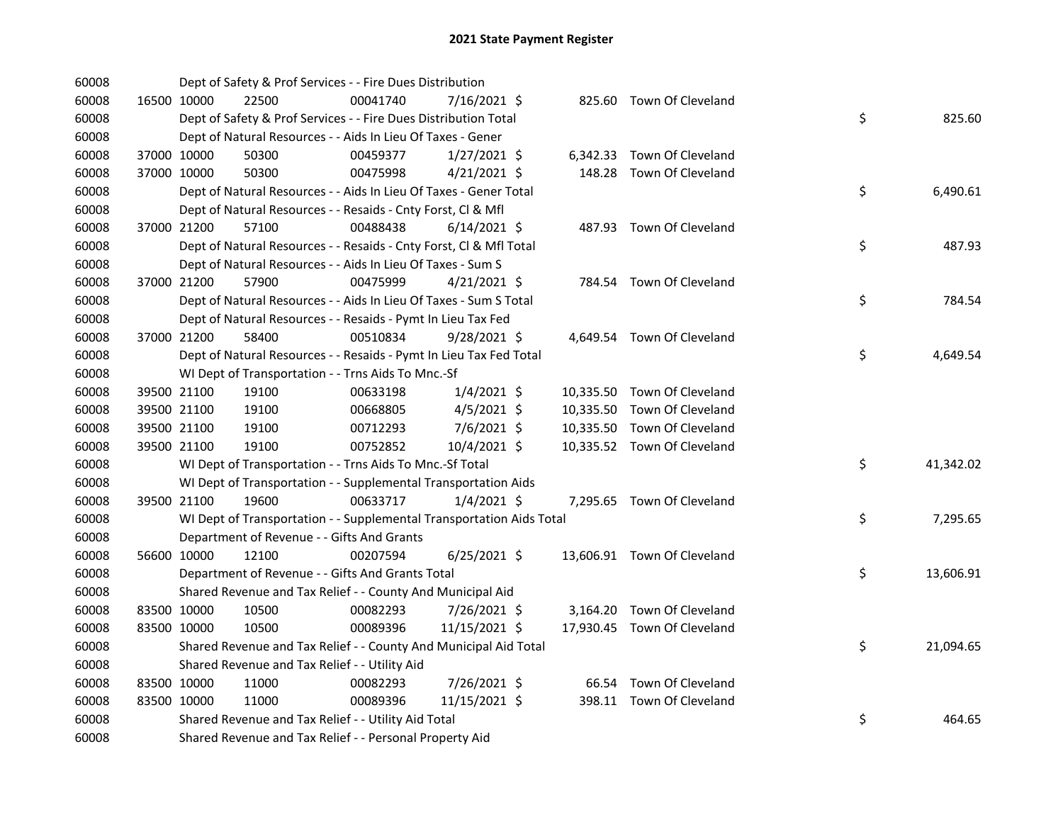| 60008 |             | Dept of Safety & Prof Services - - Fire Dues Distribution            |          |                |  |                             |    |           |
|-------|-------------|----------------------------------------------------------------------|----------|----------------|--|-----------------------------|----|-----------|
| 60008 | 16500 10000 | 22500                                                                | 00041740 | 7/16/2021 \$   |  | 825.60 Town Of Cleveland    |    |           |
| 60008 |             | Dept of Safety & Prof Services - - Fire Dues Distribution Total      |          |                |  |                             | \$ | 825.60    |
| 60008 |             | Dept of Natural Resources - - Aids In Lieu Of Taxes - Gener          |          |                |  |                             |    |           |
| 60008 | 37000 10000 | 50300                                                                | 00459377 | $1/27/2021$ \$ |  | 6,342.33 Town Of Cleveland  |    |           |
| 60008 | 37000 10000 | 50300                                                                | 00475998 | $4/21/2021$ \$ |  | 148.28 Town Of Cleveland    |    |           |
| 60008 |             | Dept of Natural Resources - - Aids In Lieu Of Taxes - Gener Total    |          |                |  |                             | \$ | 6,490.61  |
| 60008 |             | Dept of Natural Resources - - Resaids - Cnty Forst, Cl & Mfl         |          |                |  |                             |    |           |
| 60008 | 37000 21200 | 57100                                                                | 00488438 | $6/14/2021$ \$ |  | 487.93 Town Of Cleveland    |    |           |
| 60008 |             | Dept of Natural Resources - - Resaids - Cnty Forst, Cl & Mfl Total   |          |                |  |                             | \$ | 487.93    |
| 60008 |             | Dept of Natural Resources - - Aids In Lieu Of Taxes - Sum S          |          |                |  |                             |    |           |
| 60008 | 37000 21200 | 57900                                                                | 00475999 | $4/21/2021$ \$ |  | 784.54 Town Of Cleveland    |    |           |
| 60008 |             | Dept of Natural Resources - - Aids In Lieu Of Taxes - Sum S Total    |          |                |  |                             | \$ | 784.54    |
| 60008 |             | Dept of Natural Resources - - Resaids - Pymt In Lieu Tax Fed         |          |                |  |                             |    |           |
| 60008 | 37000 21200 | 58400                                                                | 00510834 | 9/28/2021 \$   |  | 4,649.54 Town Of Cleveland  |    |           |
| 60008 |             | Dept of Natural Resources - - Resaids - Pymt In Lieu Tax Fed Total   |          |                |  |                             | \$ | 4,649.54  |
| 60008 |             | WI Dept of Transportation - - Trns Aids To Mnc.-Sf                   |          |                |  |                             |    |           |
| 60008 | 39500 21100 | 19100                                                                | 00633198 | $1/4/2021$ \$  |  | 10,335.50 Town Of Cleveland |    |           |
| 60008 | 39500 21100 | 19100                                                                | 00668805 | $4/5/2021$ \$  |  | 10,335.50 Town Of Cleveland |    |           |
| 60008 | 39500 21100 | 19100                                                                | 00712293 | 7/6/2021 \$    |  | 10,335.50 Town Of Cleveland |    |           |
| 60008 | 39500 21100 | 19100                                                                | 00752852 | 10/4/2021 \$   |  | 10,335.52 Town Of Cleveland |    |           |
| 60008 |             | WI Dept of Transportation - - Trns Aids To Mnc.-Sf Total             |          |                |  |                             | \$ | 41,342.02 |
| 60008 |             | WI Dept of Transportation - - Supplemental Transportation Aids       |          |                |  |                             |    |           |
| 60008 | 39500 21100 | 19600                                                                | 00633717 | $1/4/2021$ \$  |  | 7,295.65 Town Of Cleveland  |    |           |
| 60008 |             | WI Dept of Transportation - - Supplemental Transportation Aids Total |          |                |  |                             | \$ | 7,295.65  |
| 60008 |             | Department of Revenue - - Gifts And Grants                           |          |                |  |                             |    |           |
| 60008 | 56600 10000 | 12100                                                                | 00207594 | $6/25/2021$ \$ |  | 13,606.91 Town Of Cleveland |    |           |
| 60008 |             | Department of Revenue - - Gifts And Grants Total                     |          |                |  |                             | \$ | 13,606.91 |
| 60008 |             | Shared Revenue and Tax Relief - - County And Municipal Aid           |          |                |  |                             |    |           |
| 60008 | 83500 10000 | 10500                                                                | 00082293 | 7/26/2021 \$   |  | 3,164.20 Town Of Cleveland  |    |           |
| 60008 | 83500 10000 | 10500                                                                | 00089396 | 11/15/2021 \$  |  | 17,930.45 Town Of Cleveland |    |           |
| 60008 |             | Shared Revenue and Tax Relief - - County And Municipal Aid Total     |          |                |  |                             | \$ | 21,094.65 |
| 60008 |             | Shared Revenue and Tax Relief - - Utility Aid                        |          |                |  |                             |    |           |
| 60008 | 83500 10000 | 11000                                                                | 00082293 | 7/26/2021 \$   |  | 66.54 Town Of Cleveland     |    |           |
| 60008 | 83500 10000 | 11000                                                                | 00089396 | 11/15/2021 \$  |  | 398.11 Town Of Cleveland    |    |           |
| 60008 |             | Shared Revenue and Tax Relief - - Utility Aid Total                  |          |                |  |                             | \$ | 464.65    |
| 60008 |             | Shared Revenue and Tax Relief - - Personal Property Aid              |          |                |  |                             |    |           |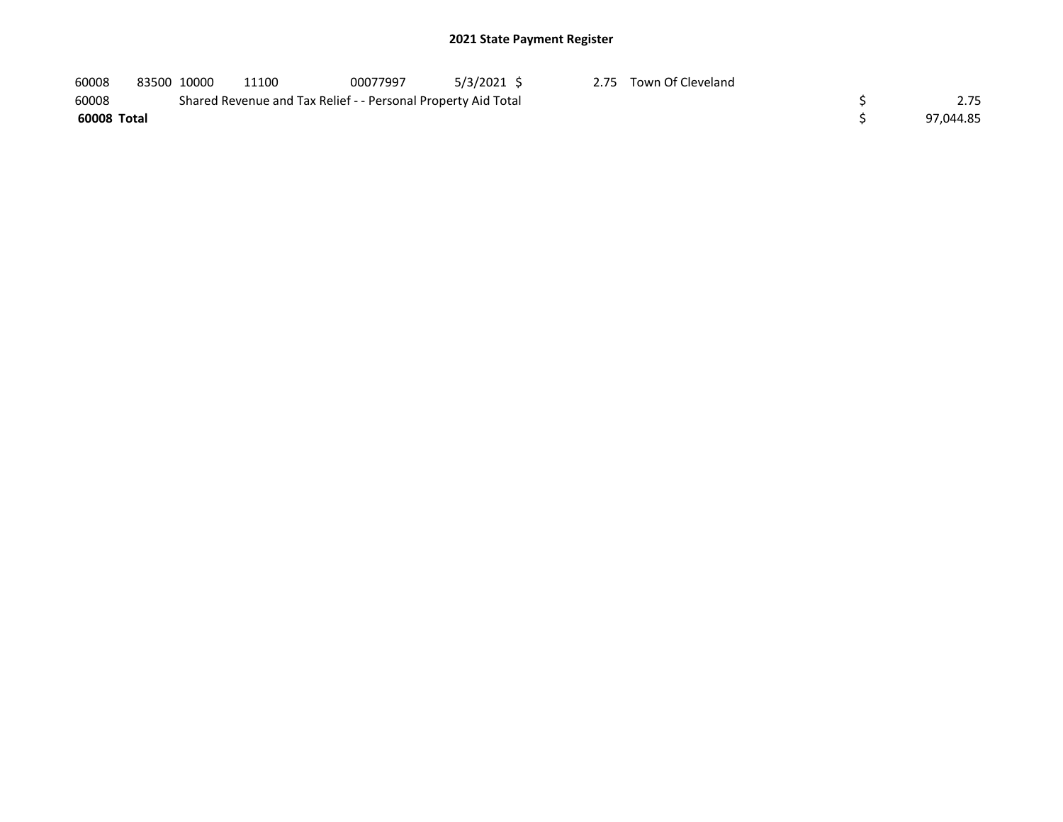| 60008       | 83500 10000 | 11100                                                         | 00077997 | 5/3/2021 \$ | 2.75 Town Of Cleveland |           |
|-------------|-------------|---------------------------------------------------------------|----------|-------------|------------------------|-----------|
| 60008       |             | Shared Revenue and Tax Relief - - Personal Property Aid Total |          |             |                        | 2.75      |
| 60008 Total |             |                                                               |          |             |                        | 97.044.85 |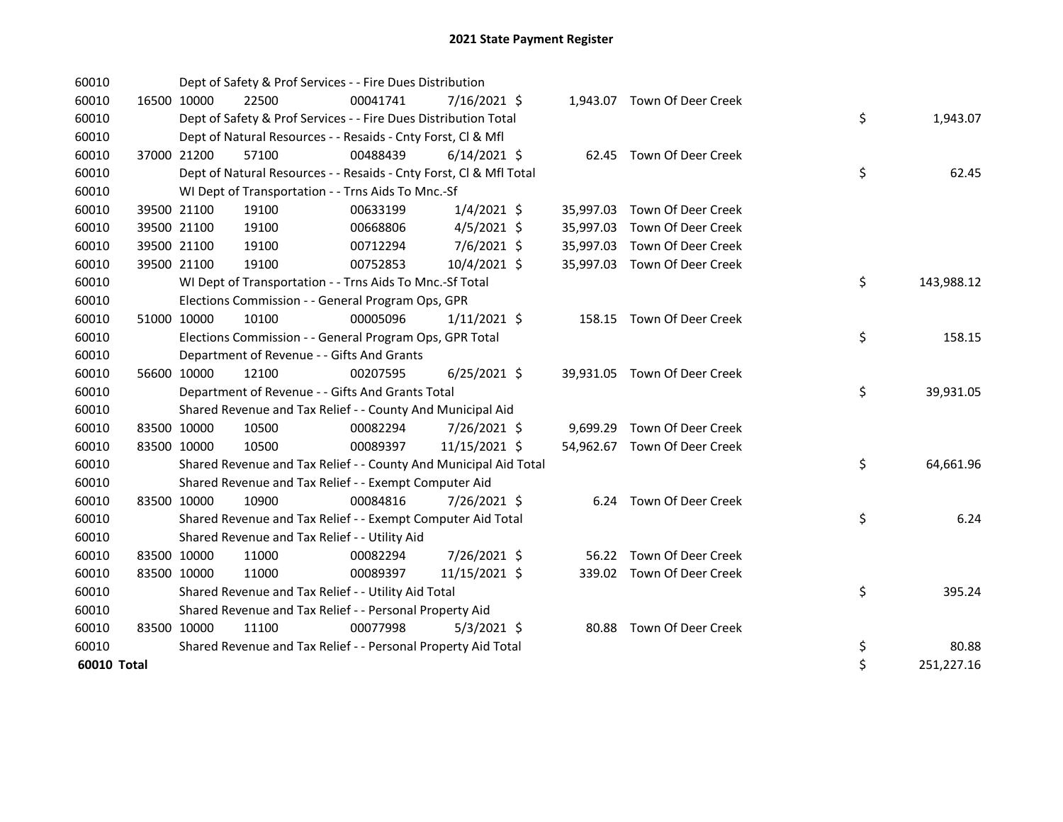| 60010       |             |             | Dept of Safety & Prof Services - - Fire Dues Distribution          |          |                |  |                              |    |            |
|-------------|-------------|-------------|--------------------------------------------------------------------|----------|----------------|--|------------------------------|----|------------|
| 60010       | 16500 10000 |             | 22500                                                              | 00041741 | 7/16/2021 \$   |  | 1,943.07 Town Of Deer Creek  |    |            |
| 60010       |             |             | Dept of Safety & Prof Services - - Fire Dues Distribution Total    |          |                |  |                              | \$ | 1,943.07   |
| 60010       |             |             | Dept of Natural Resources - - Resaids - Cnty Forst, CI & Mfl       |          |                |  |                              |    |            |
| 60010       | 37000 21200 |             | 57100                                                              | 00488439 | $6/14/2021$ \$ |  | 62.45 Town Of Deer Creek     |    |            |
| 60010       |             |             | Dept of Natural Resources - - Resaids - Cnty Forst, CI & Mfl Total |          |                |  |                              | \$ | 62.45      |
| 60010       |             |             | WI Dept of Transportation - - Trns Aids To Mnc.-Sf                 |          |                |  |                              |    |            |
| 60010       |             | 39500 21100 | 19100                                                              | 00633199 | $1/4/2021$ \$  |  | 35,997.03 Town Of Deer Creek |    |            |
| 60010       | 39500 21100 |             | 19100                                                              | 00668806 | $4/5/2021$ \$  |  | 35,997.03 Town Of Deer Creek |    |            |
| 60010       |             | 39500 21100 | 19100                                                              | 00712294 | 7/6/2021 \$    |  | 35,997.03 Town Of Deer Creek |    |            |
| 60010       | 39500 21100 |             | 19100                                                              | 00752853 | 10/4/2021 \$   |  | 35,997.03 Town Of Deer Creek |    |            |
| 60010       |             |             | WI Dept of Transportation - - Trns Aids To Mnc.-Sf Total           |          |                |  |                              | \$ | 143,988.12 |
| 60010       |             |             | Elections Commission - - General Program Ops, GPR                  |          |                |  |                              |    |            |
| 60010       | 51000 10000 |             | 10100                                                              | 00005096 | $1/11/2021$ \$ |  | 158.15 Town Of Deer Creek    |    |            |
| 60010       |             |             | Elections Commission - - General Program Ops, GPR Total            |          |                |  |                              | \$ | 158.15     |
| 60010       |             |             | Department of Revenue - - Gifts And Grants                         |          |                |  |                              |    |            |
| 60010       |             | 56600 10000 | 12100                                                              | 00207595 | $6/25/2021$ \$ |  | 39,931.05 Town Of Deer Creek |    |            |
| 60010       |             |             | Department of Revenue - - Gifts And Grants Total                   |          |                |  |                              | \$ | 39,931.05  |
| 60010       |             |             | Shared Revenue and Tax Relief - - County And Municipal Aid         |          |                |  |                              |    |            |
| 60010       |             | 83500 10000 | 10500                                                              | 00082294 | 7/26/2021 \$   |  | 9,699.29 Town Of Deer Creek  |    |            |
| 60010       |             | 83500 10000 | 10500                                                              | 00089397 | 11/15/2021 \$  |  | 54,962.67 Town Of Deer Creek |    |            |
| 60010       |             |             | Shared Revenue and Tax Relief - - County And Municipal Aid Total   |          |                |  |                              | \$ | 64,661.96  |
| 60010       |             |             | Shared Revenue and Tax Relief - - Exempt Computer Aid              |          |                |  |                              |    |            |
| 60010       | 83500 10000 |             | 10900                                                              | 00084816 | 7/26/2021 \$   |  | 6.24 Town Of Deer Creek      |    |            |
| 60010       |             |             | Shared Revenue and Tax Relief - - Exempt Computer Aid Total        |          |                |  |                              | \$ | 6.24       |
| 60010       |             |             | Shared Revenue and Tax Relief - - Utility Aid                      |          |                |  |                              |    |            |
| 60010       | 83500 10000 |             | 11000                                                              | 00082294 | 7/26/2021 \$   |  | 56.22 Town Of Deer Creek     |    |            |
| 60010       | 83500 10000 |             | 11000                                                              | 00089397 | 11/15/2021 \$  |  | 339.02 Town Of Deer Creek    |    |            |
| 60010       |             |             | Shared Revenue and Tax Relief - - Utility Aid Total                |          |                |  |                              | \$ | 395.24     |
| 60010       |             |             | Shared Revenue and Tax Relief - - Personal Property Aid            |          |                |  |                              |    |            |
| 60010       | 83500 10000 |             | 11100                                                              | 00077998 | $5/3/2021$ \$  |  | 80.88 Town Of Deer Creek     |    |            |
| 60010       |             |             | Shared Revenue and Tax Relief - - Personal Property Aid Total      |          |                |  |                              | \$ | 80.88      |
| 60010 Total |             |             |                                                                    |          |                |  |                              | \$ | 251,227.16 |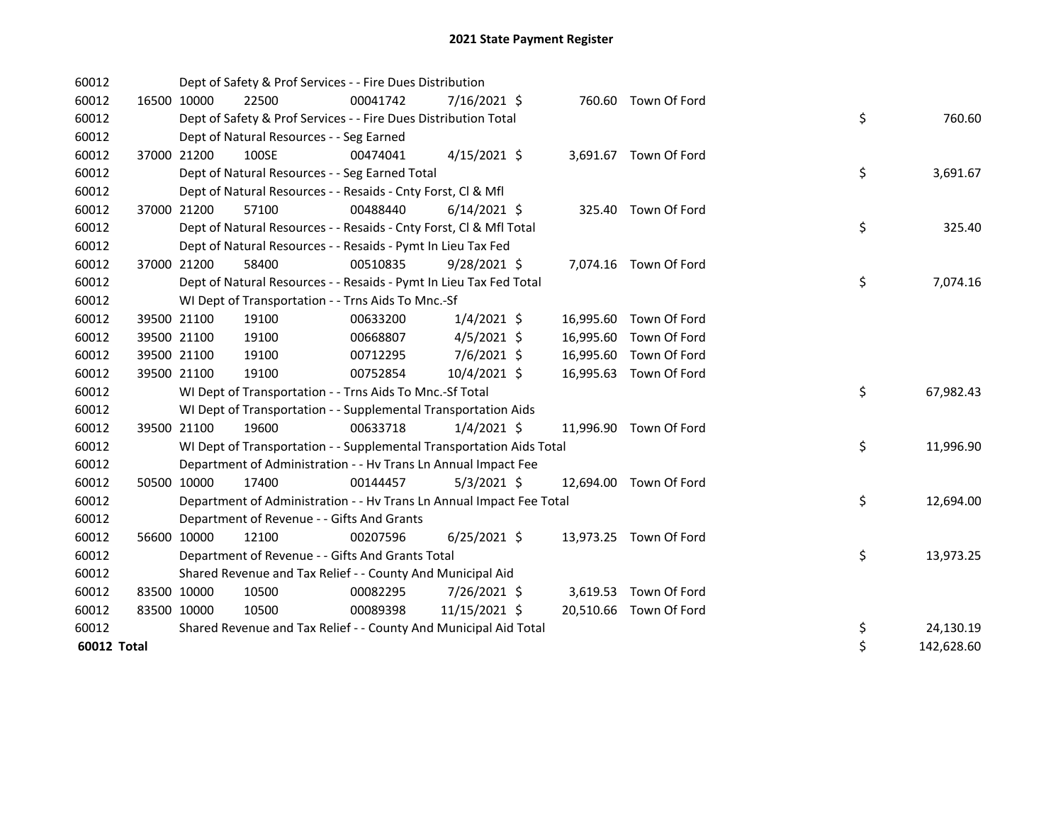| 60012       |             | Dept of Safety & Prof Services - - Fire Dues Distribution            |          |                |  |                        |    |            |
|-------------|-------------|----------------------------------------------------------------------|----------|----------------|--|------------------------|----|------------|
| 60012       | 16500 10000 | 22500                                                                | 00041742 | $7/16/2021$ \$ |  | 760.60 Town Of Ford    |    |            |
| 60012       |             | Dept of Safety & Prof Services - - Fire Dues Distribution Total      |          |                |  |                        | \$ | 760.60     |
| 60012       |             | Dept of Natural Resources - - Seg Earned                             |          |                |  |                        |    |            |
| 60012       | 37000 21200 | 100SE                                                                | 00474041 | $4/15/2021$ \$ |  | 3,691.67 Town Of Ford  |    |            |
| 60012       |             | Dept of Natural Resources - - Seg Earned Total                       |          |                |  |                        | \$ | 3,691.67   |
| 60012       |             | Dept of Natural Resources - - Resaids - Cnty Forst, CI & Mfl         |          |                |  |                        |    |            |
| 60012       | 37000 21200 | 57100                                                                | 00488440 | $6/14/2021$ \$ |  | 325.40 Town Of Ford    |    |            |
| 60012       |             | Dept of Natural Resources - - Resaids - Cnty Forst, Cl & Mfl Total   |          |                |  |                        | \$ | 325.40     |
| 60012       |             | Dept of Natural Resources - - Resaids - Pymt In Lieu Tax Fed         |          |                |  |                        |    |            |
| 60012       | 37000 21200 | 58400                                                                | 00510835 | $9/28/2021$ \$ |  | 7,074.16 Town Of Ford  |    |            |
| 60012       |             | Dept of Natural Resources - - Resaids - Pymt In Lieu Tax Fed Total   |          |                |  |                        | \$ | 7,074.16   |
| 60012       |             | WI Dept of Transportation - - Trns Aids To Mnc.-Sf                   |          |                |  |                        |    |            |
| 60012       | 39500 21100 | 19100                                                                | 00633200 | $1/4/2021$ \$  |  | 16,995.60 Town Of Ford |    |            |
| 60012       | 39500 21100 | 19100                                                                | 00668807 | $4/5/2021$ \$  |  | 16,995.60 Town Of Ford |    |            |
| 60012       | 39500 21100 | 19100                                                                | 00712295 | 7/6/2021 \$    |  | 16,995.60 Town Of Ford |    |            |
| 60012       | 39500 21100 | 19100                                                                | 00752854 | 10/4/2021 \$   |  | 16,995.63 Town Of Ford |    |            |
| 60012       |             | WI Dept of Transportation - - Trns Aids To Mnc.-Sf Total             |          |                |  |                        | \$ | 67,982.43  |
| 60012       |             | WI Dept of Transportation - - Supplemental Transportation Aids       |          |                |  |                        |    |            |
| 60012       | 39500 21100 | 19600                                                                | 00633718 | $1/4/2021$ \$  |  | 11,996.90 Town Of Ford |    |            |
| 60012       |             | WI Dept of Transportation - - Supplemental Transportation Aids Total |          |                |  |                        | \$ | 11,996.90  |
| 60012       |             | Department of Administration - - Hv Trans Ln Annual Impact Fee       |          |                |  |                        |    |            |
| 60012       | 50500 10000 | 17400                                                                | 00144457 | $5/3/2021$ \$  |  | 12,694.00 Town Of Ford |    |            |
| 60012       |             | Department of Administration - - Hv Trans Ln Annual Impact Fee Total |          |                |  |                        | \$ | 12,694.00  |
| 60012       |             | Department of Revenue - - Gifts And Grants                           |          |                |  |                        |    |            |
| 60012       | 56600 10000 | 12100                                                                | 00207596 | $6/25/2021$ \$ |  | 13,973.25 Town Of Ford |    |            |
| 60012       |             | Department of Revenue - - Gifts And Grants Total                     |          |                |  |                        | \$ | 13,973.25  |
| 60012       |             | Shared Revenue and Tax Relief - - County And Municipal Aid           |          |                |  |                        |    |            |
| 60012       | 83500 10000 | 10500                                                                | 00082295 | 7/26/2021 \$   |  | 3,619.53 Town Of Ford  |    |            |
| 60012       | 83500 10000 | 10500                                                                | 00089398 | 11/15/2021 \$  |  | 20,510.66 Town Of Ford |    |            |
| 60012       |             | Shared Revenue and Tax Relief - - County And Municipal Aid Total     |          |                |  |                        | \$ | 24,130.19  |
| 60012 Total |             |                                                                      |          |                |  |                        | \$ | 142,628.60 |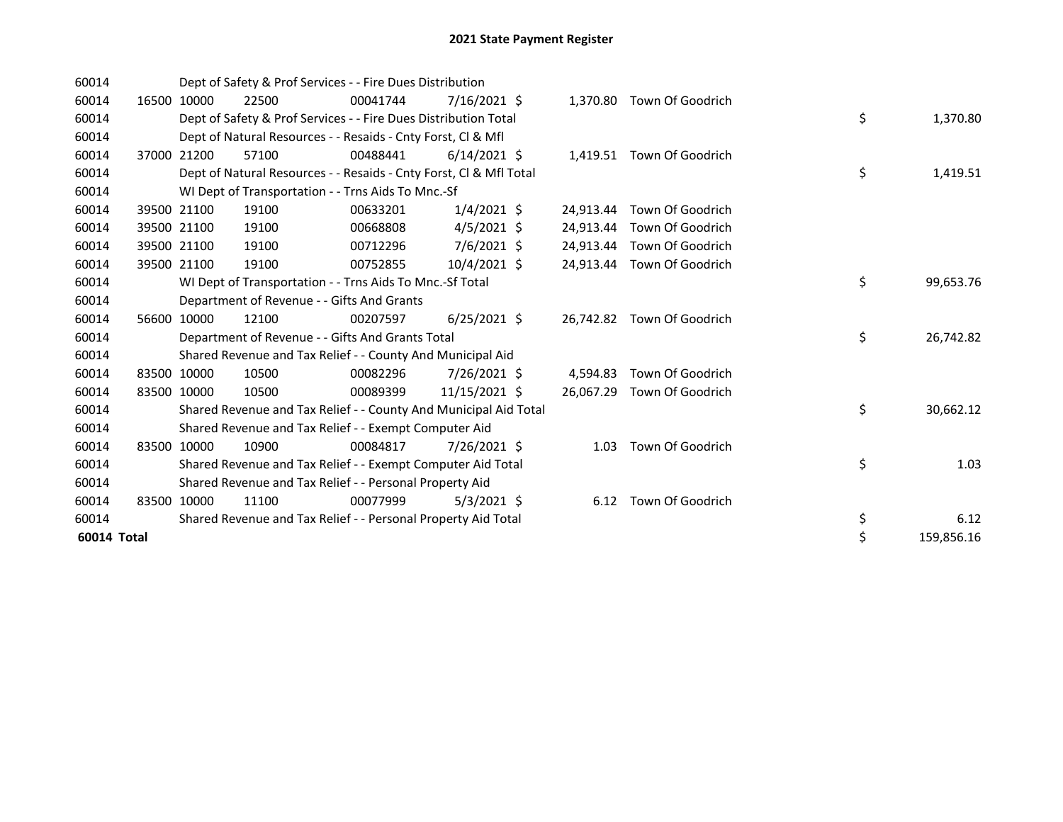| 60014       |       |             | Dept of Safety & Prof Services - - Fire Dues Distribution          |          |                |           |                           |    |            |
|-------------|-------|-------------|--------------------------------------------------------------------|----------|----------------|-----------|---------------------------|----|------------|
| 60014       | 16500 | 10000       | 22500                                                              | 00041744 | $7/16/2021$ \$ | 1,370.80  | Town Of Goodrich          |    |            |
| 60014       |       |             | Dept of Safety & Prof Services - - Fire Dues Distribution Total    |          |                |           |                           | \$ | 1,370.80   |
| 60014       |       |             | Dept of Natural Resources - - Resaids - Cnty Forst, CI & Mfl       |          |                |           |                           |    |            |
| 60014       |       | 37000 21200 | 57100                                                              | 00488441 | $6/14/2021$ \$ |           | 1,419.51 Town Of Goodrich |    |            |
| 60014       |       |             | Dept of Natural Resources - - Resaids - Cnty Forst, Cl & Mfl Total |          |                |           |                           | \$ | 1,419.51   |
| 60014       |       |             | WI Dept of Transportation - - Trns Aids To Mnc.-Sf                 |          |                |           |                           |    |            |
| 60014       |       | 39500 21100 | 19100                                                              | 00633201 | $1/4/2021$ \$  | 24.913.44 | Town Of Goodrich          |    |            |
| 60014       |       | 39500 21100 | 19100                                                              | 00668808 | $4/5/2021$ \$  | 24.913.44 | Town Of Goodrich          |    |            |
| 60014       |       | 39500 21100 | 19100                                                              | 00712296 | 7/6/2021 \$    | 24.913.44 | Town Of Goodrich          |    |            |
| 60014       |       | 39500 21100 | 19100                                                              | 00752855 | $10/4/2021$ \$ | 24,913.44 | Town Of Goodrich          |    |            |
| 60014       |       |             | WI Dept of Transportation - - Trns Aids To Mnc.-Sf Total           |          |                |           |                           | \$ | 99,653.76  |
| 60014       |       |             | Department of Revenue - - Gifts And Grants                         |          |                |           |                           |    |            |
| 60014       |       | 56600 10000 | 12100                                                              | 00207597 | $6/25/2021$ \$ | 26,742.82 | Town Of Goodrich          |    |            |
| 60014       |       |             | Department of Revenue - - Gifts And Grants Total                   |          |                |           |                           | \$ | 26,742.82  |
| 60014       |       |             | Shared Revenue and Tax Relief - - County And Municipal Aid         |          |                |           |                           |    |            |
| 60014       |       | 83500 10000 | 10500                                                              | 00082296 | 7/26/2021 \$   | 4,594.83  | Town Of Goodrich          |    |            |
| 60014       | 83500 | 10000       | 10500                                                              | 00089399 | 11/15/2021 \$  | 26,067.29 | Town Of Goodrich          |    |            |
| 60014       |       |             | Shared Revenue and Tax Relief - - County And Municipal Aid Total   |          |                |           |                           | \$ | 30,662.12  |
| 60014       |       |             | Shared Revenue and Tax Relief - - Exempt Computer Aid              |          |                |           |                           |    |            |
| 60014       |       | 83500 10000 | 10900                                                              | 00084817 | 7/26/2021 \$   | 1.03      | Town Of Goodrich          |    |            |
| 60014       |       |             | Shared Revenue and Tax Relief - - Exempt Computer Aid Total        |          |                |           |                           | \$ | 1.03       |
| 60014       |       |             | Shared Revenue and Tax Relief - - Personal Property Aid            |          |                |           |                           |    |            |
| 60014       |       | 83500 10000 | 11100                                                              | 00077999 | $5/3/2021$ \$  | 6.12      | Town Of Goodrich          |    |            |
| 60014       |       |             | Shared Revenue and Tax Relief - - Personal Property Aid Total      |          |                |           |                           | \$ | 6.12       |
| 60014 Total |       |             |                                                                    |          |                |           |                           | \$ | 159,856.16 |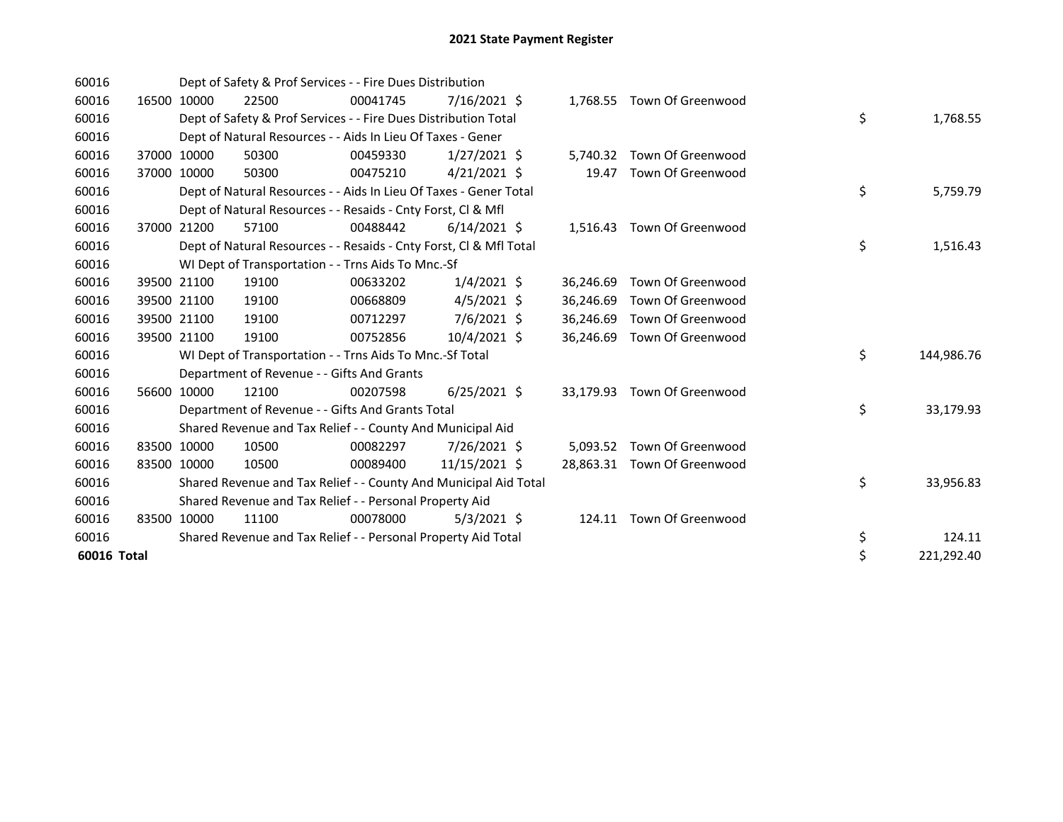| 60016       |       |             | Dept of Safety & Prof Services - - Fire Dues Distribution          |          |                |           |                             |    |            |
|-------------|-------|-------------|--------------------------------------------------------------------|----------|----------------|-----------|-----------------------------|----|------------|
| 60016       |       | 16500 10000 | 22500                                                              | 00041745 | $7/16/2021$ \$ |           | 1,768.55 Town Of Greenwood  |    |            |
| 60016       |       |             | Dept of Safety & Prof Services - - Fire Dues Distribution Total    |          |                |           |                             | \$ | 1,768.55   |
| 60016       |       |             | Dept of Natural Resources - - Aids In Lieu Of Taxes - Gener        |          |                |           |                             |    |            |
| 60016       |       | 37000 10000 | 50300                                                              | 00459330 | $1/27/2021$ \$ | 5,740.32  | Town Of Greenwood           |    |            |
| 60016       |       | 37000 10000 | 50300                                                              | 00475210 | $4/21/2021$ \$ | 19.47     | Town Of Greenwood           |    |            |
| 60016       |       |             | Dept of Natural Resources - - Aids In Lieu Of Taxes - Gener Total  |          |                |           |                             | \$ | 5,759.79   |
| 60016       |       |             | Dept of Natural Resources - - Resaids - Cnty Forst, CI & Mfl       |          |                |           |                             |    |            |
| 60016       | 37000 | 21200       | 57100                                                              | 00488442 | $6/14/2021$ \$ |           | 1,516.43 Town Of Greenwood  |    |            |
| 60016       |       |             | Dept of Natural Resources - - Resaids - Cnty Forst, CI & Mfl Total |          |                |           |                             | \$ | 1,516.43   |
| 60016       |       |             | WI Dept of Transportation - - Trns Aids To Mnc.-Sf                 |          |                |           |                             |    |            |
| 60016       |       | 39500 21100 | 19100                                                              | 00633202 | $1/4/2021$ \$  | 36,246.69 | Town Of Greenwood           |    |            |
| 60016       |       | 39500 21100 | 19100                                                              | 00668809 | $4/5/2021$ \$  | 36,246.69 | Town Of Greenwood           |    |            |
| 60016       |       | 39500 21100 | 19100                                                              | 00712297 | 7/6/2021 \$    | 36,246.69 | Town Of Greenwood           |    |            |
| 60016       |       | 39500 21100 | 19100                                                              | 00752856 | 10/4/2021 \$   | 36,246.69 | Town Of Greenwood           |    |            |
| 60016       |       |             | WI Dept of Transportation - - Trns Aids To Mnc.-Sf Total           |          |                |           |                             | \$ | 144,986.76 |
| 60016       |       |             | Department of Revenue - - Gifts And Grants                         |          |                |           |                             |    |            |
| 60016       |       | 56600 10000 | 12100                                                              | 00207598 | $6/25/2021$ \$ |           | 33,179.93 Town Of Greenwood |    |            |
| 60016       |       |             | Department of Revenue - - Gifts And Grants Total                   |          |                |           |                             | \$ | 33,179.93  |
| 60016       |       |             | Shared Revenue and Tax Relief - - County And Municipal Aid         |          |                |           |                             |    |            |
| 60016       |       | 83500 10000 | 10500                                                              | 00082297 | 7/26/2021 \$   |           | 5,093.52 Town Of Greenwood  |    |            |
| 60016       |       | 83500 10000 | 10500                                                              | 00089400 | 11/15/2021 \$  |           | 28,863.31 Town Of Greenwood |    |            |
| 60016       |       |             | Shared Revenue and Tax Relief - - County And Municipal Aid Total   |          |                |           |                             | \$ | 33,956.83  |
| 60016       |       |             | Shared Revenue and Tax Relief - - Personal Property Aid            |          |                |           |                             |    |            |
| 60016       |       | 83500 10000 | 11100                                                              | 00078000 | $5/3/2021$ \$  |           | 124.11 Town Of Greenwood    |    |            |
| 60016       |       |             | Shared Revenue and Tax Relief - - Personal Property Aid Total      |          |                |           |                             | \$ | 124.11     |
| 60016 Total |       |             |                                                                    |          |                |           |                             | \$ | 221,292.40 |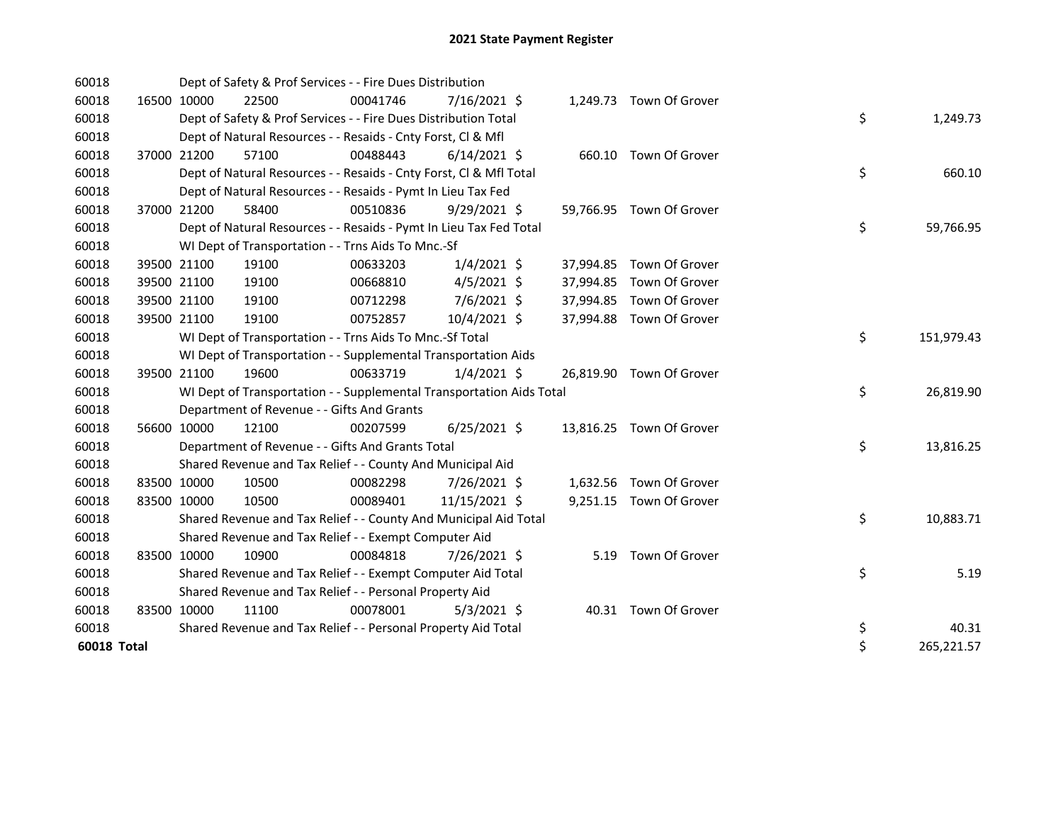| 60018       |             |                                            | Dept of Safety & Prof Services - - Fire Dues Distribution            |                |      |                          |    |            |
|-------------|-------------|--------------------------------------------|----------------------------------------------------------------------|----------------|------|--------------------------|----|------------|
| 60018       | 16500 10000 | 22500                                      | 00041746                                                             | 7/16/2021 \$   |      | 1,249.73 Town Of Grover  |    |            |
| 60018       |             |                                            | Dept of Safety & Prof Services - - Fire Dues Distribution Total      |                |      |                          | \$ | 1,249.73   |
| 60018       |             |                                            | Dept of Natural Resources - - Resaids - Cnty Forst, CI & Mfl         |                |      |                          |    |            |
| 60018       | 37000 21200 | 57100                                      | 00488443                                                             | $6/14/2021$ \$ |      | 660.10 Town Of Grover    |    |            |
| 60018       |             |                                            | Dept of Natural Resources - - Resaids - Cnty Forst, CI & Mfl Total   |                |      |                          | \$ | 660.10     |
| 60018       |             |                                            | Dept of Natural Resources - - Resaids - Pymt In Lieu Tax Fed         |                |      |                          |    |            |
| 60018       | 37000 21200 | 58400                                      | 00510836                                                             | $9/29/2021$ \$ |      | 59,766.95 Town Of Grover |    |            |
| 60018       |             |                                            | Dept of Natural Resources - - Resaids - Pymt In Lieu Tax Fed Total   |                |      |                          | \$ | 59,766.95  |
| 60018       |             |                                            | WI Dept of Transportation - - Trns Aids To Mnc.-Sf                   |                |      |                          |    |            |
| 60018       | 39500 21100 | 19100                                      | 00633203                                                             | $1/4/2021$ \$  |      | 37,994.85 Town Of Grover |    |            |
| 60018       | 39500 21100 | 19100                                      | 00668810                                                             | $4/5/2021$ \$  |      | 37,994.85 Town Of Grover |    |            |
| 60018       | 39500 21100 | 19100                                      | 00712298                                                             | 7/6/2021 \$    |      | 37,994.85 Town Of Grover |    |            |
| 60018       | 39500 21100 | 19100                                      | 00752857                                                             | 10/4/2021 \$   |      | 37,994.88 Town Of Grover |    |            |
| 60018       |             |                                            | WI Dept of Transportation - - Trns Aids To Mnc.-Sf Total             |                |      |                          | \$ | 151,979.43 |
| 60018       |             |                                            | WI Dept of Transportation - - Supplemental Transportation Aids       |                |      |                          |    |            |
| 60018       | 39500 21100 | 19600                                      | 00633719                                                             | $1/4/2021$ \$  |      | 26,819.90 Town Of Grover |    |            |
| 60018       |             |                                            | WI Dept of Transportation - - Supplemental Transportation Aids Total |                |      |                          | \$ | 26,819.90  |
| 60018       |             | Department of Revenue - - Gifts And Grants |                                                                      |                |      |                          |    |            |
| 60018       | 56600 10000 | 12100                                      | 00207599                                                             | $6/25/2021$ \$ |      | 13,816.25 Town Of Grover |    |            |
| 60018       |             |                                            | Department of Revenue - - Gifts And Grants Total                     |                |      |                          | \$ | 13,816.25  |
| 60018       |             |                                            | Shared Revenue and Tax Relief - - County And Municipal Aid           |                |      |                          |    |            |
| 60018       | 83500 10000 | 10500                                      | 00082298                                                             | 7/26/2021 \$   |      | 1,632.56 Town Of Grover  |    |            |
| 60018       | 83500 10000 | 10500                                      | 00089401                                                             | 11/15/2021 \$  |      | 9,251.15 Town Of Grover  |    |            |
| 60018       |             |                                            | Shared Revenue and Tax Relief - - County And Municipal Aid Total     |                |      |                          | \$ | 10,883.71  |
| 60018       |             |                                            | Shared Revenue and Tax Relief - - Exempt Computer Aid                |                |      |                          |    |            |
| 60018       | 83500 10000 | 10900                                      | 00084818                                                             | 7/26/2021 \$   | 5.19 | Town Of Grover           |    |            |
| 60018       |             |                                            | Shared Revenue and Tax Relief - - Exempt Computer Aid Total          |                |      |                          | \$ | 5.19       |
| 60018       |             |                                            | Shared Revenue and Tax Relief - - Personal Property Aid              |                |      |                          |    |            |
| 60018       | 83500 10000 | 11100                                      | 00078001                                                             | $5/3/2021$ \$  |      | 40.31 Town Of Grover     |    |            |
| 60018       |             |                                            | Shared Revenue and Tax Relief - - Personal Property Aid Total        |                |      |                          | \$ | 40.31      |
| 60018 Total |             |                                            |                                                                      |                |      |                          | \$ | 265,221.57 |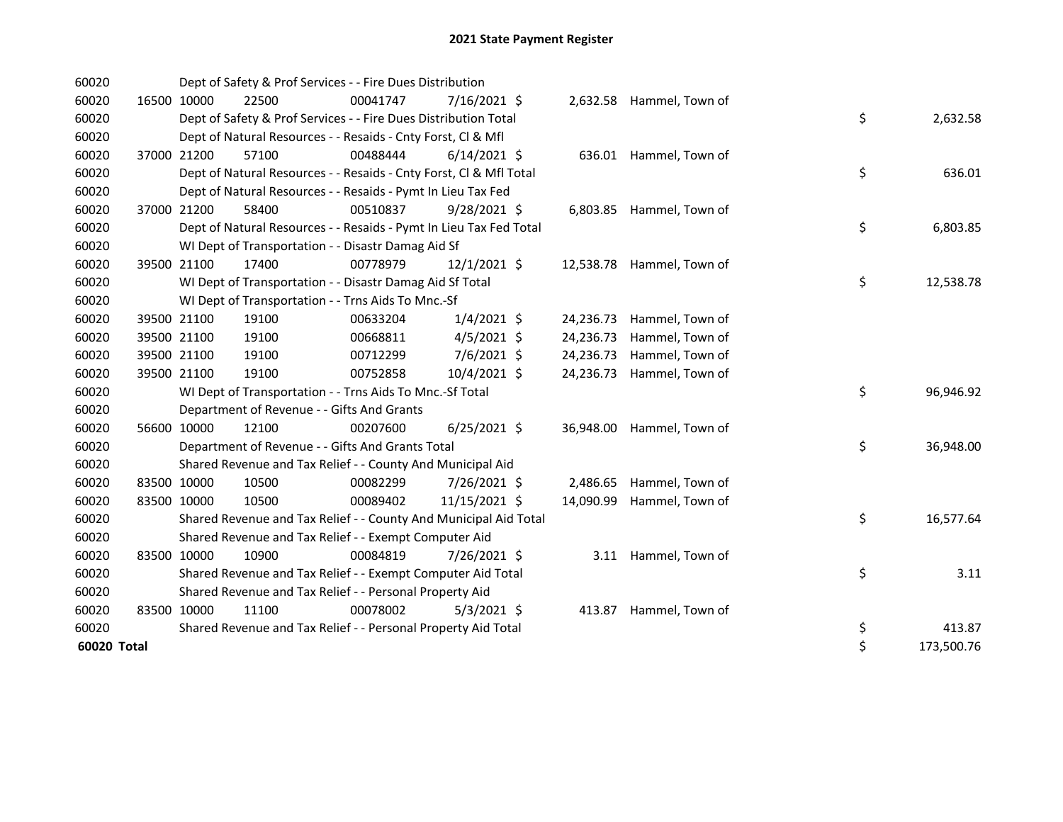| 60020       |             |                                            | Dept of Safety & Prof Services - - Fire Dues Distribution          |                |           |                           |    |            |
|-------------|-------------|--------------------------------------------|--------------------------------------------------------------------|----------------|-----------|---------------------------|----|------------|
| 60020       | 16500 10000 | 22500                                      | 00041747                                                           | 7/16/2021 \$   |           | 2,632.58 Hammel, Town of  |    |            |
| 60020       |             |                                            | Dept of Safety & Prof Services - - Fire Dues Distribution Total    |                |           |                           | \$ | 2,632.58   |
| 60020       |             |                                            | Dept of Natural Resources - - Resaids - Cnty Forst, CI & Mfl       |                |           |                           |    |            |
| 60020       | 37000 21200 | 57100                                      | 00488444                                                           | $6/14/2021$ \$ |           | 636.01 Hammel, Town of    |    |            |
| 60020       |             |                                            | Dept of Natural Resources - - Resaids - Cnty Forst, Cl & Mfl Total |                |           |                           | \$ | 636.01     |
| 60020       |             |                                            | Dept of Natural Resources - - Resaids - Pymt In Lieu Tax Fed       |                |           |                           |    |            |
| 60020       | 37000 21200 | 58400                                      | 00510837                                                           | $9/28/2021$ \$ |           | 6,803.85 Hammel, Town of  |    |            |
| 60020       |             |                                            | Dept of Natural Resources - - Resaids - Pymt In Lieu Tax Fed Total |                |           |                           | \$ | 6,803.85   |
| 60020       |             |                                            | WI Dept of Transportation - - Disastr Damag Aid Sf                 |                |           |                           |    |            |
| 60020       | 39500 21100 | 17400                                      | 00778979                                                           | $12/1/2021$ \$ |           | 12,538.78 Hammel, Town of |    |            |
| 60020       |             |                                            | WI Dept of Transportation - - Disastr Damag Aid Sf Total           |                |           |                           | \$ | 12,538.78  |
| 60020       |             |                                            | WI Dept of Transportation - - Trns Aids To Mnc.-Sf                 |                |           |                           |    |            |
| 60020       | 39500 21100 | 19100                                      | 00633204                                                           | $1/4/2021$ \$  | 24,236.73 | Hammel, Town of           |    |            |
| 60020       | 39500 21100 | 19100                                      | 00668811                                                           | $4/5/2021$ \$  | 24,236.73 | Hammel, Town of           |    |            |
| 60020       | 39500 21100 | 19100                                      | 00712299                                                           | $7/6/2021$ \$  | 24,236.73 | Hammel, Town of           |    |            |
| 60020       | 39500 21100 | 19100                                      | 00752858                                                           | 10/4/2021 \$   | 24,236.73 | Hammel, Town of           |    |            |
| 60020       |             |                                            | WI Dept of Transportation - - Trns Aids To Mnc.-Sf Total           |                |           |                           | \$ | 96,946.92  |
| 60020       |             | Department of Revenue - - Gifts And Grants |                                                                    |                |           |                           |    |            |
| 60020       | 56600 10000 | 12100                                      | 00207600                                                           | $6/25/2021$ \$ |           | 36,948.00 Hammel, Town of |    |            |
| 60020       |             |                                            | Department of Revenue - - Gifts And Grants Total                   |                |           |                           | \$ | 36,948.00  |
| 60020       |             |                                            | Shared Revenue and Tax Relief - - County And Municipal Aid         |                |           |                           |    |            |
| 60020       | 83500 10000 | 10500                                      | 00082299                                                           | 7/26/2021 \$   | 2,486.65  | Hammel, Town of           |    |            |
| 60020       | 83500 10000 | 10500                                      | 00089402                                                           | 11/15/2021 \$  | 14,090.99 | Hammel, Town of           |    |            |
| 60020       |             |                                            | Shared Revenue and Tax Relief - - County And Municipal Aid Total   |                |           |                           | \$ | 16,577.64  |
| 60020       |             |                                            | Shared Revenue and Tax Relief - - Exempt Computer Aid              |                |           |                           |    |            |
| 60020       | 83500 10000 | 10900                                      | 00084819                                                           | 7/26/2021 \$   |           | 3.11 Hammel, Town of      |    |            |
| 60020       |             |                                            | Shared Revenue and Tax Relief - - Exempt Computer Aid Total        |                |           |                           | \$ | 3.11       |
| 60020       |             |                                            | Shared Revenue and Tax Relief - - Personal Property Aid            |                |           |                           |    |            |
| 60020       | 83500 10000 | 11100                                      | 00078002                                                           | $5/3/2021$ \$  |           | 413.87 Hammel, Town of    |    |            |
| 60020       |             |                                            | Shared Revenue and Tax Relief - - Personal Property Aid Total      |                |           |                           | \$ | 413.87     |
| 60020 Total |             |                                            |                                                                    |                |           |                           | \$ | 173,500.76 |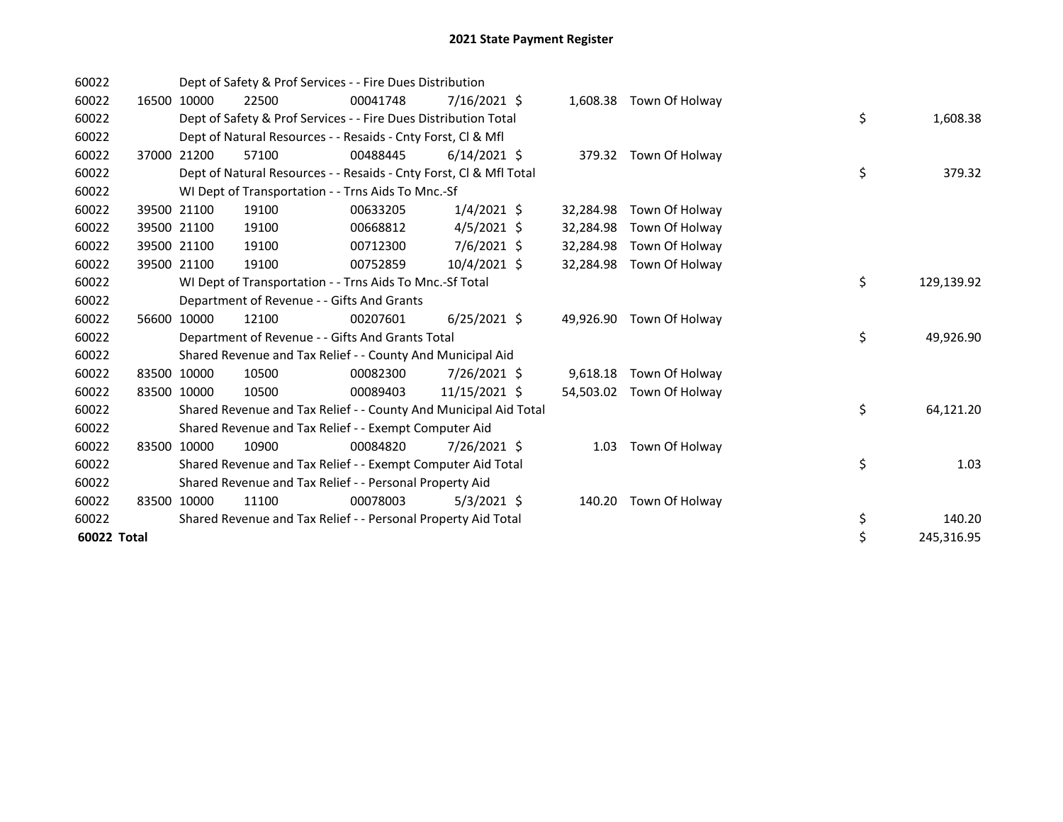| 60022       |       |             | Dept of Safety & Prof Services - - Fire Dues Distribution          |          |                |           |                       |    |            |
|-------------|-------|-------------|--------------------------------------------------------------------|----------|----------------|-----------|-----------------------|----|------------|
| 60022       | 16500 | 10000       | 22500                                                              | 00041748 | $7/16/2021$ \$ | 1,608.38  | Town Of Holway        |    |            |
| 60022       |       |             | Dept of Safety & Prof Services - - Fire Dues Distribution Total    |          |                |           |                       | \$ | 1,608.38   |
| 60022       |       |             | Dept of Natural Resources - - Resaids - Cnty Forst, CI & Mfl       |          |                |           |                       |    |            |
| 60022       |       | 37000 21200 | 57100                                                              | 00488445 | $6/14/2021$ \$ |           | 379.32 Town Of Holway |    |            |
| 60022       |       |             | Dept of Natural Resources - - Resaids - Cnty Forst, CI & Mfl Total |          |                |           |                       | \$ | 379.32     |
| 60022       |       |             | WI Dept of Transportation - - Trns Aids To Mnc.-Sf                 |          |                |           |                       |    |            |
| 60022       |       | 39500 21100 | 19100                                                              | 00633205 | $1/4/2021$ \$  | 32,284.98 | Town Of Holway        |    |            |
| 60022       |       | 39500 21100 | 19100                                                              | 00668812 | $4/5/2021$ \$  | 32,284.98 | Town Of Holway        |    |            |
| 60022       |       | 39500 21100 | 19100                                                              | 00712300 | 7/6/2021 \$    | 32,284.98 | Town Of Holway        |    |            |
| 60022       |       | 39500 21100 | 19100                                                              | 00752859 | 10/4/2021 \$   | 32,284.98 | Town Of Holway        |    |            |
| 60022       |       |             | WI Dept of Transportation - - Trns Aids To Mnc.-Sf Total           |          |                |           |                       | \$ | 129,139.92 |
| 60022       |       |             | Department of Revenue - - Gifts And Grants                         |          |                |           |                       |    |            |
| 60022       |       | 56600 10000 | 12100                                                              | 00207601 | $6/25/2021$ \$ | 49,926.90 | Town Of Holway        |    |            |
| 60022       |       |             | Department of Revenue - - Gifts And Grants Total                   |          |                |           |                       | \$ | 49,926.90  |
| 60022       |       |             | Shared Revenue and Tax Relief - - County And Municipal Aid         |          |                |           |                       |    |            |
| 60022       |       | 83500 10000 | 10500                                                              | 00082300 | 7/26/2021 \$   | 9,618.18  | Town Of Holway        |    |            |
| 60022       |       | 83500 10000 | 10500                                                              | 00089403 | 11/15/2021 \$  | 54,503.02 | Town Of Holway        |    |            |
| 60022       |       |             | Shared Revenue and Tax Relief - - County And Municipal Aid Total   |          |                |           |                       | \$ | 64,121.20  |
| 60022       |       |             | Shared Revenue and Tax Relief - - Exempt Computer Aid              |          |                |           |                       |    |            |
| 60022       |       | 83500 10000 | 10900                                                              | 00084820 | 7/26/2021 \$   | 1.03      | Town Of Holway        |    |            |
| 60022       |       |             | Shared Revenue and Tax Relief - - Exempt Computer Aid Total        |          |                |           |                       | \$ | 1.03       |
| 60022       |       |             | Shared Revenue and Tax Relief - - Personal Property Aid            |          |                |           |                       |    |            |
| 60022       |       | 83500 10000 | 11100                                                              | 00078003 | $5/3/2021$ \$  | 140.20    | Town Of Holway        |    |            |
| 60022       |       |             | Shared Revenue and Tax Relief - - Personal Property Aid Total      |          |                |           |                       | \$ | 140.20     |
| 60022 Total |       |             |                                                                    |          |                |           |                       | \$ | 245,316.95 |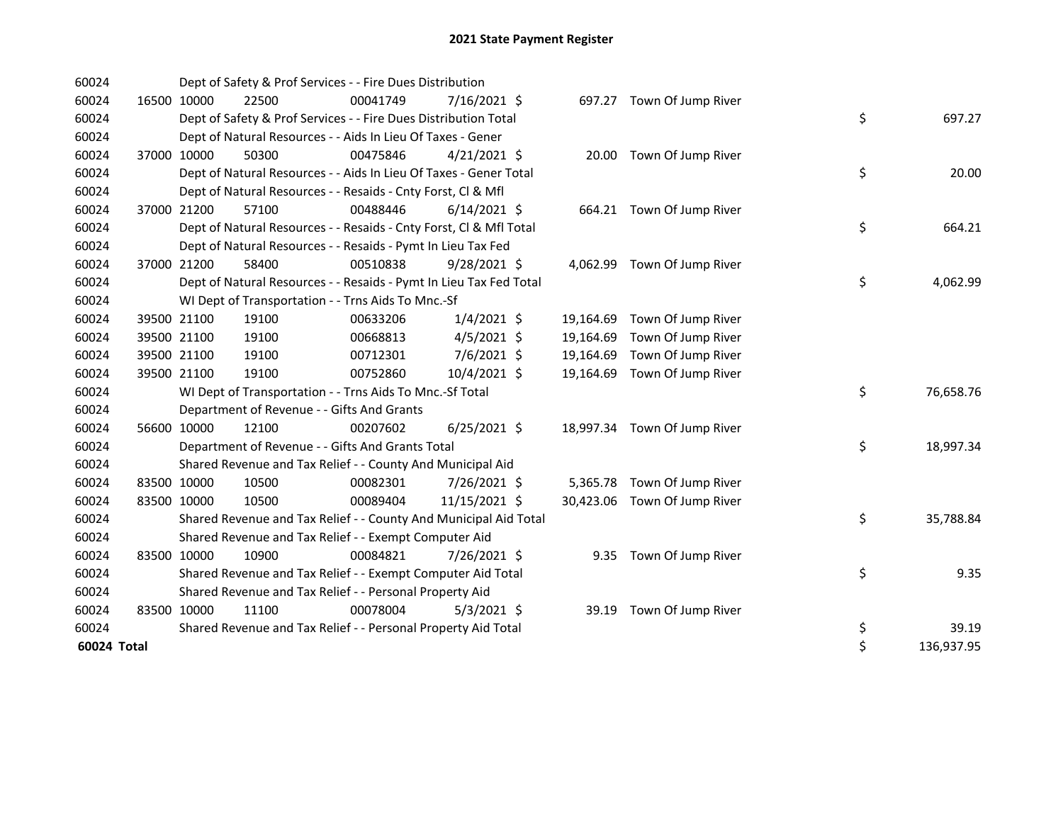| 60024       |             | Dept of Safety & Prof Services - - Fire Dues Distribution          |          |                |           |                              |    |            |
|-------------|-------------|--------------------------------------------------------------------|----------|----------------|-----------|------------------------------|----|------------|
| 60024       | 16500 10000 | 22500                                                              | 00041749 | 7/16/2021 \$   |           | 697.27 Town Of Jump River    |    |            |
| 60024       |             | Dept of Safety & Prof Services - - Fire Dues Distribution Total    |          |                |           |                              | \$ | 697.27     |
| 60024       |             | Dept of Natural Resources - - Aids In Lieu Of Taxes - Gener        |          |                |           |                              |    |            |
| 60024       | 37000 10000 | 50300                                                              | 00475846 | $4/21/2021$ \$ |           | 20.00 Town Of Jump River     |    |            |
| 60024       |             | Dept of Natural Resources - - Aids In Lieu Of Taxes - Gener Total  |          |                |           |                              | \$ | 20.00      |
| 60024       |             | Dept of Natural Resources - - Resaids - Cnty Forst, Cl & Mfl       |          |                |           |                              |    |            |
| 60024       | 37000 21200 | 57100                                                              | 00488446 | $6/14/2021$ \$ |           | 664.21 Town Of Jump River    |    |            |
| 60024       |             | Dept of Natural Resources - - Resaids - Cnty Forst, Cl & Mfl Total |          |                |           |                              | \$ | 664.21     |
| 60024       |             | Dept of Natural Resources - - Resaids - Pymt In Lieu Tax Fed       |          |                |           |                              |    |            |
| 60024       | 37000 21200 | 58400                                                              | 00510838 | 9/28/2021 \$   |           | 4,062.99 Town Of Jump River  |    |            |
| 60024       |             | Dept of Natural Resources - - Resaids - Pymt In Lieu Tax Fed Total |          |                |           |                              | \$ | 4,062.99   |
| 60024       |             | WI Dept of Transportation - - Trns Aids To Mnc.-Sf                 |          |                |           |                              |    |            |
| 60024       | 39500 21100 | 19100                                                              | 00633206 | $1/4/2021$ \$  | 19,164.69 | Town Of Jump River           |    |            |
| 60024       | 39500 21100 | 19100                                                              | 00668813 | $4/5/2021$ \$  | 19,164.69 | Town Of Jump River           |    |            |
| 60024       | 39500 21100 | 19100                                                              | 00712301 | 7/6/2021 \$    | 19,164.69 | Town Of Jump River           |    |            |
| 60024       | 39500 21100 | 19100                                                              | 00752860 | 10/4/2021 \$   | 19,164.69 | Town Of Jump River           |    |            |
| 60024       |             | WI Dept of Transportation - - Trns Aids To Mnc.-Sf Total           |          |                |           |                              | \$ | 76,658.76  |
| 60024       |             | Department of Revenue - - Gifts And Grants                         |          |                |           |                              |    |            |
| 60024       | 56600 10000 | 12100                                                              | 00207602 | $6/25/2021$ \$ |           | 18,997.34 Town Of Jump River |    |            |
| 60024       |             | Department of Revenue - - Gifts And Grants Total                   |          |                |           |                              | \$ | 18,997.34  |
| 60024       |             | Shared Revenue and Tax Relief - - County And Municipal Aid         |          |                |           |                              |    |            |
| 60024       | 83500 10000 | 10500                                                              | 00082301 | 7/26/2021 \$   |           | 5,365.78 Town Of Jump River  |    |            |
| 60024       | 83500 10000 | 10500                                                              | 00089404 | 11/15/2021 \$  |           | 30,423.06 Town Of Jump River |    |            |
| 60024       |             | Shared Revenue and Tax Relief - - County And Municipal Aid Total   |          |                |           |                              | \$ | 35,788.84  |
| 60024       |             | Shared Revenue and Tax Relief - - Exempt Computer Aid              |          |                |           |                              |    |            |
| 60024       | 83500 10000 | 10900                                                              | 00084821 | 7/26/2021 \$   | 9.35      | Town Of Jump River           |    |            |
| 60024       |             | Shared Revenue and Tax Relief - - Exempt Computer Aid Total        |          |                |           |                              | \$ | 9.35       |
| 60024       |             | Shared Revenue and Tax Relief - - Personal Property Aid            |          |                |           |                              |    |            |
| 60024       | 83500 10000 | 11100                                                              | 00078004 | $5/3/2021$ \$  | 39.19     | Town Of Jump River           |    |            |
| 60024       |             | Shared Revenue and Tax Relief - - Personal Property Aid Total      |          |                |           |                              | \$ | 39.19      |
| 60024 Total |             |                                                                    |          |                |           |                              | \$ | 136,937.95 |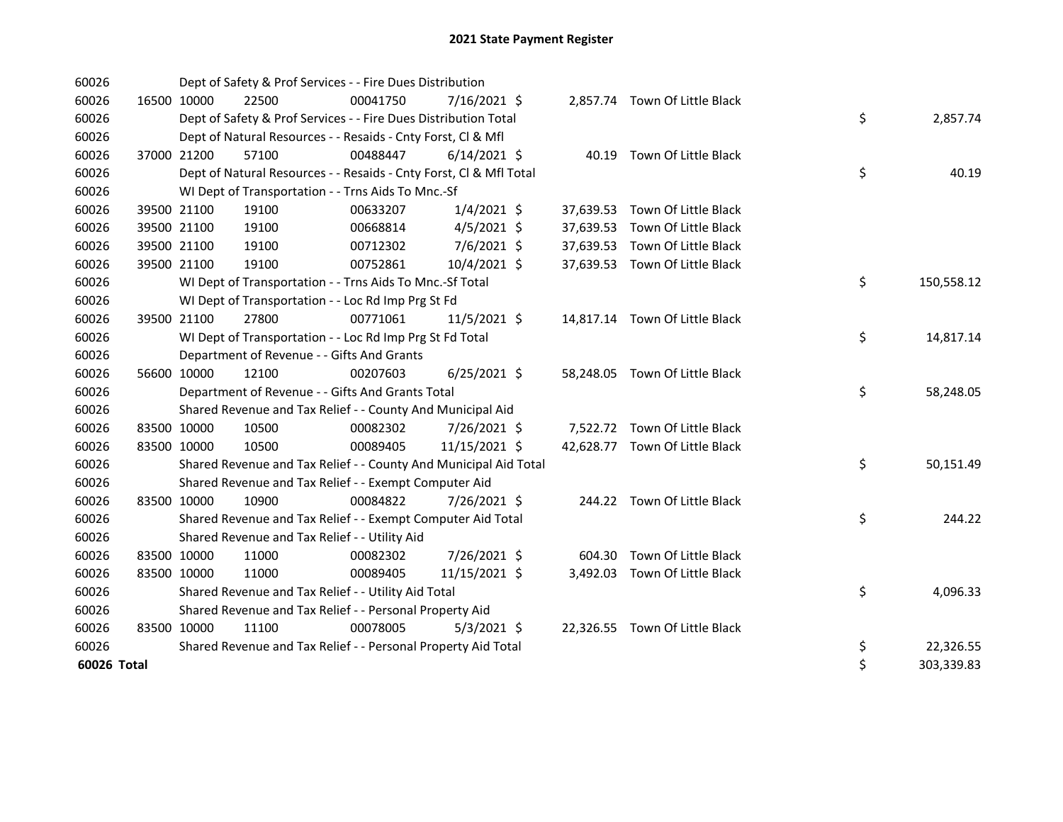| 60026       |             |             | Dept of Safety & Prof Services - - Fire Dues Distribution          |          |                |           |                                |    |            |
|-------------|-------------|-------------|--------------------------------------------------------------------|----------|----------------|-----------|--------------------------------|----|------------|
| 60026       | 16500 10000 |             | 22500                                                              | 00041750 | 7/16/2021 \$   |           | 2,857.74 Town Of Little Black  |    |            |
| 60026       |             |             | Dept of Safety & Prof Services - - Fire Dues Distribution Total    |          |                |           |                                | \$ | 2,857.74   |
| 60026       |             |             | Dept of Natural Resources - - Resaids - Cnty Forst, CI & Mfl       |          |                |           |                                |    |            |
| 60026       |             | 37000 21200 | 57100                                                              | 00488447 | $6/14/2021$ \$ |           | 40.19 Town Of Little Black     |    |            |
| 60026       |             |             | Dept of Natural Resources - - Resaids - Cnty Forst, Cl & Mfl Total |          |                |           |                                | \$ | 40.19      |
| 60026       |             |             | WI Dept of Transportation - - Trns Aids To Mnc.-Sf                 |          |                |           |                                |    |            |
| 60026       |             | 39500 21100 | 19100                                                              | 00633207 | $1/4/2021$ \$  |           | 37,639.53 Town Of Little Black |    |            |
| 60026       |             | 39500 21100 | 19100                                                              | 00668814 | $4/5/2021$ \$  | 37,639.53 | Town Of Little Black           |    |            |
| 60026       |             | 39500 21100 | 19100                                                              | 00712302 | 7/6/2021 \$    |           | 37,639.53 Town Of Little Black |    |            |
| 60026       |             | 39500 21100 | 19100                                                              | 00752861 | 10/4/2021 \$   |           | 37,639.53 Town Of Little Black |    |            |
| 60026       |             |             | WI Dept of Transportation - - Trns Aids To Mnc.-Sf Total           |          |                |           |                                | \$ | 150,558.12 |
| 60026       |             |             | WI Dept of Transportation - - Loc Rd Imp Prg St Fd                 |          |                |           |                                |    |            |
| 60026       |             | 39500 21100 | 27800                                                              | 00771061 | 11/5/2021 \$   |           | 14,817.14 Town Of Little Black |    |            |
| 60026       |             |             | WI Dept of Transportation - - Loc Rd Imp Prg St Fd Total           |          |                |           |                                | \$ | 14,817.14  |
| 60026       |             |             | Department of Revenue - - Gifts And Grants                         |          |                |           |                                |    |            |
| 60026       | 56600 10000 |             | 12100                                                              | 00207603 | $6/25/2021$ \$ |           | 58,248.05 Town Of Little Black |    |            |
| 60026       |             |             | Department of Revenue - - Gifts And Grants Total                   |          |                |           |                                | \$ | 58,248.05  |
| 60026       |             |             | Shared Revenue and Tax Relief - - County And Municipal Aid         |          |                |           |                                |    |            |
| 60026       |             | 83500 10000 | 10500                                                              | 00082302 | 7/26/2021 \$   |           | 7,522.72 Town Of Little Black  |    |            |
| 60026       |             | 83500 10000 | 10500                                                              | 00089405 | 11/15/2021 \$  |           | 42,628.77 Town Of Little Black |    |            |
| 60026       |             |             | Shared Revenue and Tax Relief - - County And Municipal Aid Total   |          |                |           |                                | \$ | 50,151.49  |
| 60026       |             |             | Shared Revenue and Tax Relief - - Exempt Computer Aid              |          |                |           |                                |    |            |
| 60026       | 83500 10000 |             | 10900                                                              | 00084822 | 7/26/2021 \$   |           | 244.22 Town Of Little Black    |    |            |
| 60026       |             |             | Shared Revenue and Tax Relief - - Exempt Computer Aid Total        |          |                |           |                                | \$ | 244.22     |
| 60026       |             |             | Shared Revenue and Tax Relief - - Utility Aid                      |          |                |           |                                |    |            |
| 60026       | 83500 10000 |             | 11000                                                              | 00082302 | 7/26/2021 \$   |           | 604.30 Town Of Little Black    |    |            |
| 60026       | 83500 10000 |             | 11000                                                              | 00089405 | 11/15/2021 \$  |           | 3,492.03 Town Of Little Black  |    |            |
| 60026       |             |             | Shared Revenue and Tax Relief - - Utility Aid Total                |          |                |           |                                | \$ | 4,096.33   |
| 60026       |             |             | Shared Revenue and Tax Relief - - Personal Property Aid            |          |                |           |                                |    |            |
| 60026       | 83500 10000 |             | 11100                                                              | 00078005 | $5/3/2021$ \$  |           | 22,326.55 Town Of Little Black |    |            |
| 60026       |             |             | Shared Revenue and Tax Relief - - Personal Property Aid Total      |          |                |           |                                | \$ | 22,326.55  |
| 60026 Total |             |             |                                                                    |          |                |           |                                | \$ | 303,339.83 |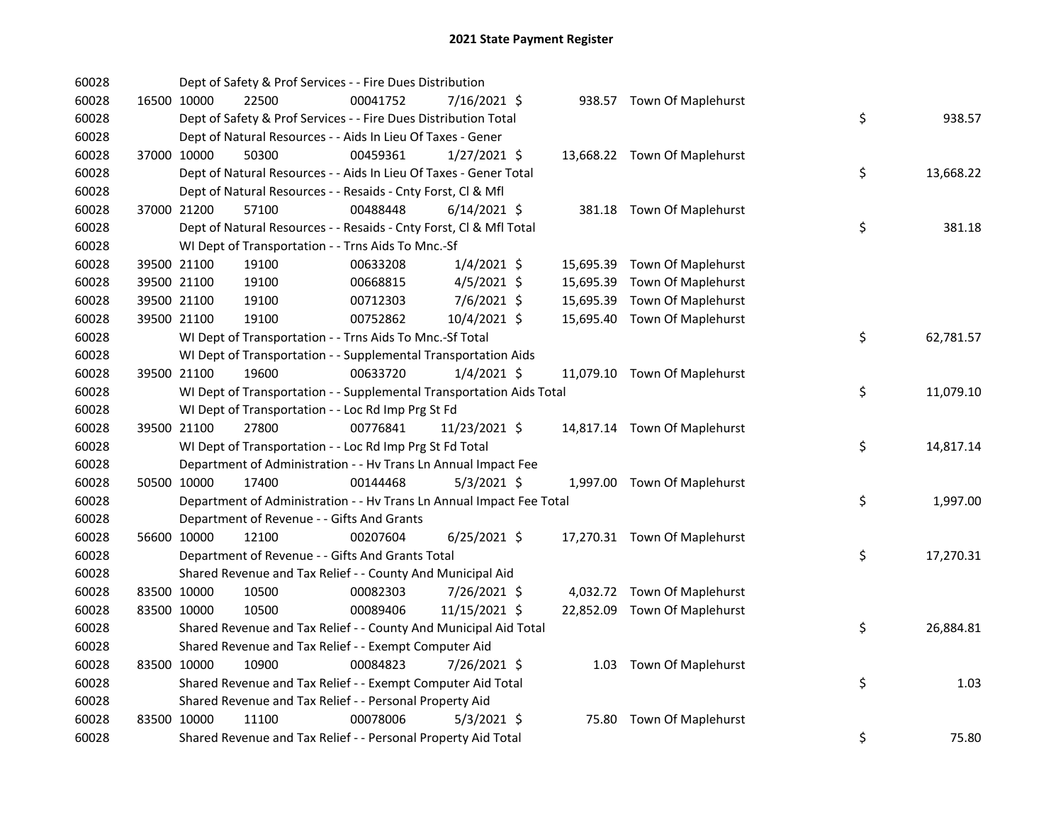| 60028 |             | Dept of Safety & Prof Services - - Fire Dues Distribution            |          |                |  |                              |                 |
|-------|-------------|----------------------------------------------------------------------|----------|----------------|--|------------------------------|-----------------|
| 60028 |             | 16500 10000<br>22500                                                 | 00041752 | 7/16/2021 \$   |  | 938.57 Town Of Maplehurst    |                 |
| 60028 |             | Dept of Safety & Prof Services - - Fire Dues Distribution Total      |          |                |  |                              | \$<br>938.57    |
| 60028 |             | Dept of Natural Resources - - Aids In Lieu Of Taxes - Gener          |          |                |  |                              |                 |
| 60028 | 37000 10000 | 50300                                                                | 00459361 | $1/27/2021$ \$ |  | 13,668.22 Town Of Maplehurst |                 |
| 60028 |             | Dept of Natural Resources - - Aids In Lieu Of Taxes - Gener Total    |          |                |  |                              | \$<br>13,668.22 |
| 60028 |             | Dept of Natural Resources - - Resaids - Cnty Forst, Cl & Mfl         |          |                |  |                              |                 |
| 60028 | 37000 21200 | 57100                                                                | 00488448 | $6/14/2021$ \$ |  | 381.18 Town Of Maplehurst    |                 |
| 60028 |             | Dept of Natural Resources - - Resaids - Cnty Forst, Cl & Mfl Total   |          |                |  |                              | \$<br>381.18    |
| 60028 |             | WI Dept of Transportation - - Trns Aids To Mnc.-Sf                   |          |                |  |                              |                 |
| 60028 |             | 39500 21100<br>19100                                                 | 00633208 | $1/4/2021$ \$  |  | 15,695.39 Town Of Maplehurst |                 |
| 60028 |             | 19100<br>39500 21100                                                 | 00668815 | 4/5/2021 \$    |  | 15,695.39 Town Of Maplehurst |                 |
| 60028 |             | 39500 21100<br>19100                                                 | 00712303 | $7/6/2021$ \$  |  | 15,695.39 Town Of Maplehurst |                 |
| 60028 | 39500 21100 | 19100                                                                | 00752862 | 10/4/2021 \$   |  | 15,695.40 Town Of Maplehurst |                 |
| 60028 |             | WI Dept of Transportation - - Trns Aids To Mnc.-Sf Total             |          |                |  |                              | \$<br>62,781.57 |
| 60028 |             | WI Dept of Transportation - - Supplemental Transportation Aids       |          |                |  |                              |                 |
| 60028 | 39500 21100 | 19600                                                                | 00633720 | $1/4/2021$ \$  |  | 11,079.10 Town Of Maplehurst |                 |
| 60028 |             | WI Dept of Transportation - - Supplemental Transportation Aids Total |          |                |  |                              | \$<br>11,079.10 |
| 60028 |             | WI Dept of Transportation - - Loc Rd Imp Prg St Fd                   |          |                |  |                              |                 |
| 60028 |             | 27800<br>39500 21100                                                 | 00776841 | 11/23/2021 \$  |  | 14,817.14 Town Of Maplehurst |                 |
| 60028 |             | WI Dept of Transportation - - Loc Rd Imp Prg St Fd Total             |          |                |  |                              | \$<br>14,817.14 |
| 60028 |             | Department of Administration - - Hv Trans Ln Annual Impact Fee       |          |                |  |                              |                 |
| 60028 | 50500 10000 | 17400                                                                | 00144468 | $5/3/2021$ \$  |  | 1,997.00 Town Of Maplehurst  |                 |
| 60028 |             | Department of Administration - - Hv Trans Ln Annual Impact Fee Total |          |                |  |                              | \$<br>1,997.00  |
| 60028 |             | Department of Revenue - - Gifts And Grants                           |          |                |  |                              |                 |
| 60028 |             | 56600 10000<br>12100                                                 | 00207604 | $6/25/2021$ \$ |  | 17,270.31 Town Of Maplehurst |                 |
| 60028 |             | Department of Revenue - - Gifts And Grants Total                     |          |                |  |                              | \$<br>17,270.31 |
| 60028 |             | Shared Revenue and Tax Relief - - County And Municipal Aid           |          |                |  |                              |                 |
| 60028 | 83500 10000 | 10500                                                                | 00082303 | 7/26/2021 \$   |  | 4,032.72 Town Of Maplehurst  |                 |
| 60028 | 83500 10000 | 10500                                                                | 00089406 | 11/15/2021 \$  |  | 22,852.09 Town Of Maplehurst |                 |
| 60028 |             | Shared Revenue and Tax Relief - - County And Municipal Aid Total     |          |                |  |                              | \$<br>26,884.81 |
| 60028 |             | Shared Revenue and Tax Relief - - Exempt Computer Aid                |          |                |  |                              |                 |
| 60028 |             | 83500 10000<br>10900                                                 | 00084823 | 7/26/2021 \$   |  | 1.03 Town Of Maplehurst      |                 |
| 60028 |             | Shared Revenue and Tax Relief - - Exempt Computer Aid Total          |          |                |  |                              | \$<br>1.03      |
| 60028 |             | Shared Revenue and Tax Relief - - Personal Property Aid              |          |                |  |                              |                 |
| 60028 | 83500 10000 | 11100                                                                | 00078006 | $5/3/2021$ \$  |  | 75.80 Town Of Maplehurst     |                 |
| 60028 |             | Shared Revenue and Tax Relief - - Personal Property Aid Total        |          |                |  |                              | \$<br>75.80     |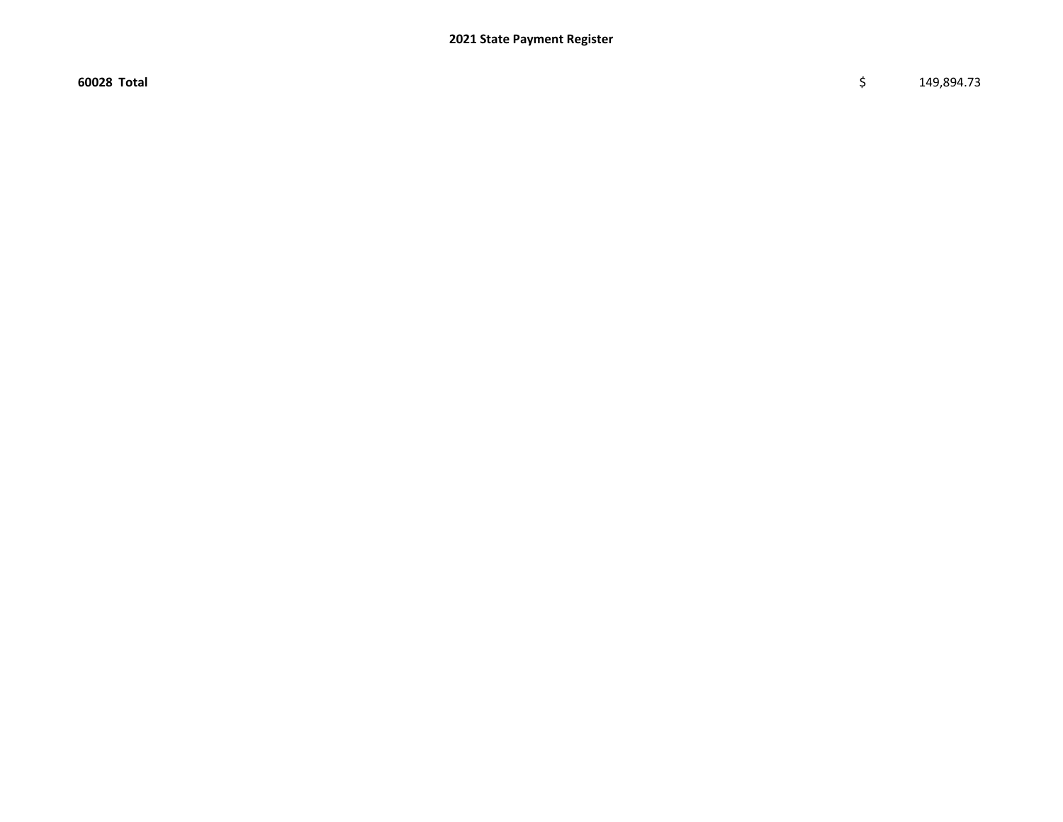$\sim$  60028 Total \$ 149,894.73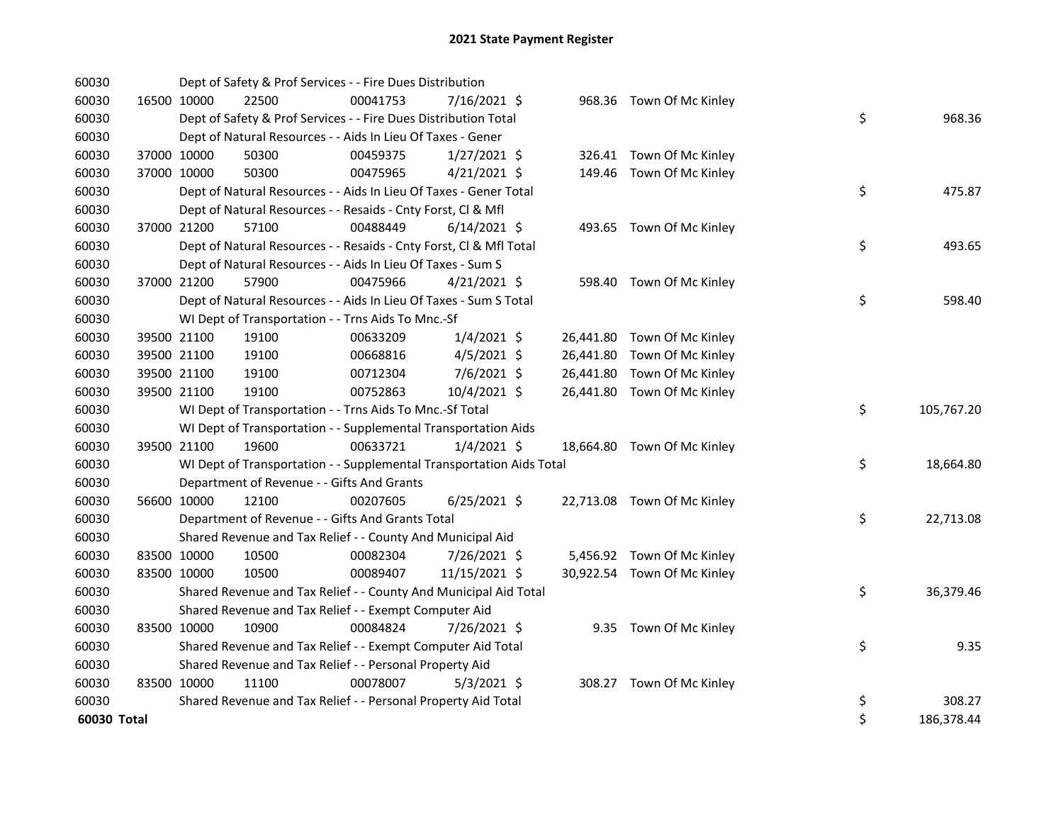| 60030       |             |             | Dept of Safety & Prof Services - - Fire Dues Distribution            |          |                |  |                             |    |            |
|-------------|-------------|-------------|----------------------------------------------------------------------|----------|----------------|--|-----------------------------|----|------------|
| 60030       |             | 16500 10000 | 22500                                                                | 00041753 | 7/16/2021 \$   |  | 968.36 Town Of Mc Kinley    |    |            |
| 60030       |             |             | Dept of Safety & Prof Services - - Fire Dues Distribution Total      |          |                |  |                             | \$ | 968.36     |
| 60030       |             |             | Dept of Natural Resources - - Aids In Lieu Of Taxes - Gener          |          |                |  |                             |    |            |
| 60030       |             | 37000 10000 | 50300                                                                | 00459375 | $1/27/2021$ \$ |  | 326.41 Town Of Mc Kinley    |    |            |
| 60030       |             | 37000 10000 | 50300                                                                | 00475965 | $4/21/2021$ \$ |  | 149.46 Town Of Mc Kinley    |    |            |
| 60030       |             |             | Dept of Natural Resources - - Aids In Lieu Of Taxes - Gener Total    |          |                |  |                             | \$ | 475.87     |
| 60030       |             |             | Dept of Natural Resources - - Resaids - Cnty Forst, Cl & Mfl         |          |                |  |                             |    |            |
| 60030       |             | 37000 21200 | 57100                                                                | 00488449 | $6/14/2021$ \$ |  | 493.65 Town Of Mc Kinley    |    |            |
| 60030       |             |             | Dept of Natural Resources - - Resaids - Cnty Forst, CI & Mfl Total   |          |                |  |                             | \$ | 493.65     |
| 60030       |             |             | Dept of Natural Resources - - Aids In Lieu Of Taxes - Sum S          |          |                |  |                             |    |            |
| 60030       |             | 37000 21200 | 57900                                                                | 00475966 | $4/21/2021$ \$ |  | 598.40 Town Of Mc Kinley    |    |            |
| 60030       |             |             | Dept of Natural Resources - - Aids In Lieu Of Taxes - Sum S Total    |          |                |  |                             | \$ | 598.40     |
| 60030       |             |             | WI Dept of Transportation - - Trns Aids To Mnc.-Sf                   |          |                |  |                             |    |            |
| 60030       |             | 39500 21100 | 19100                                                                | 00633209 | $1/4/2021$ \$  |  | 26,441.80 Town Of Mc Kinley |    |            |
| 60030       |             | 39500 21100 | 19100                                                                | 00668816 | $4/5/2021$ \$  |  | 26,441.80 Town Of Mc Kinley |    |            |
| 60030       |             | 39500 21100 | 19100                                                                | 00712304 | 7/6/2021 \$    |  | 26,441.80 Town Of Mc Kinley |    |            |
| 60030       |             | 39500 21100 | 19100                                                                | 00752863 | 10/4/2021 \$   |  | 26,441.80 Town Of Mc Kinley |    |            |
| 60030       |             |             | WI Dept of Transportation - - Trns Aids To Mnc.-Sf Total             |          |                |  |                             | \$ | 105,767.20 |
| 60030       |             |             | WI Dept of Transportation - - Supplemental Transportation Aids       |          |                |  |                             |    |            |
| 60030       |             | 39500 21100 | 19600                                                                | 00633721 | $1/4/2021$ \$  |  | 18,664.80 Town Of Mc Kinley |    |            |
| 60030       |             |             | WI Dept of Transportation - - Supplemental Transportation Aids Total |          |                |  |                             | \$ | 18,664.80  |
| 60030       |             |             | Department of Revenue - - Gifts And Grants                           |          |                |  |                             |    |            |
| 60030       |             | 56600 10000 | 12100                                                                | 00207605 | $6/25/2021$ \$ |  | 22,713.08 Town Of Mc Kinley |    |            |
| 60030       |             |             | Department of Revenue - - Gifts And Grants Total                     |          |                |  |                             | \$ | 22,713.08  |
| 60030       |             |             | Shared Revenue and Tax Relief - - County And Municipal Aid           |          |                |  |                             |    |            |
| 60030       |             | 83500 10000 | 10500                                                                | 00082304 | 7/26/2021 \$   |  | 5,456.92 Town Of Mc Kinley  |    |            |
| 60030       |             | 83500 10000 | 10500                                                                | 00089407 | 11/15/2021 \$  |  | 30,922.54 Town Of Mc Kinley |    |            |
| 60030       |             |             | Shared Revenue and Tax Relief - - County And Municipal Aid Total     |          |                |  |                             | \$ | 36,379.46  |
| 60030       |             |             | Shared Revenue and Tax Relief - - Exempt Computer Aid                |          |                |  |                             |    |            |
| 60030       | 83500 10000 |             | 10900                                                                | 00084824 | 7/26/2021 \$   |  | 9.35 Town Of Mc Kinley      |    |            |
| 60030       |             |             | Shared Revenue and Tax Relief - - Exempt Computer Aid Total          |          |                |  |                             | \$ | 9.35       |
| 60030       |             |             | Shared Revenue and Tax Relief - - Personal Property Aid              |          |                |  |                             |    |            |
| 60030       |             | 83500 10000 | 11100                                                                | 00078007 | $5/3/2021$ \$  |  | 308.27 Town Of Mc Kinley    |    |            |
| 60030       |             |             | Shared Revenue and Tax Relief - - Personal Property Aid Total        |          |                |  |                             | \$ | 308.27     |
| 60030 Total |             |             |                                                                      |          |                |  |                             | \$ | 186,378.44 |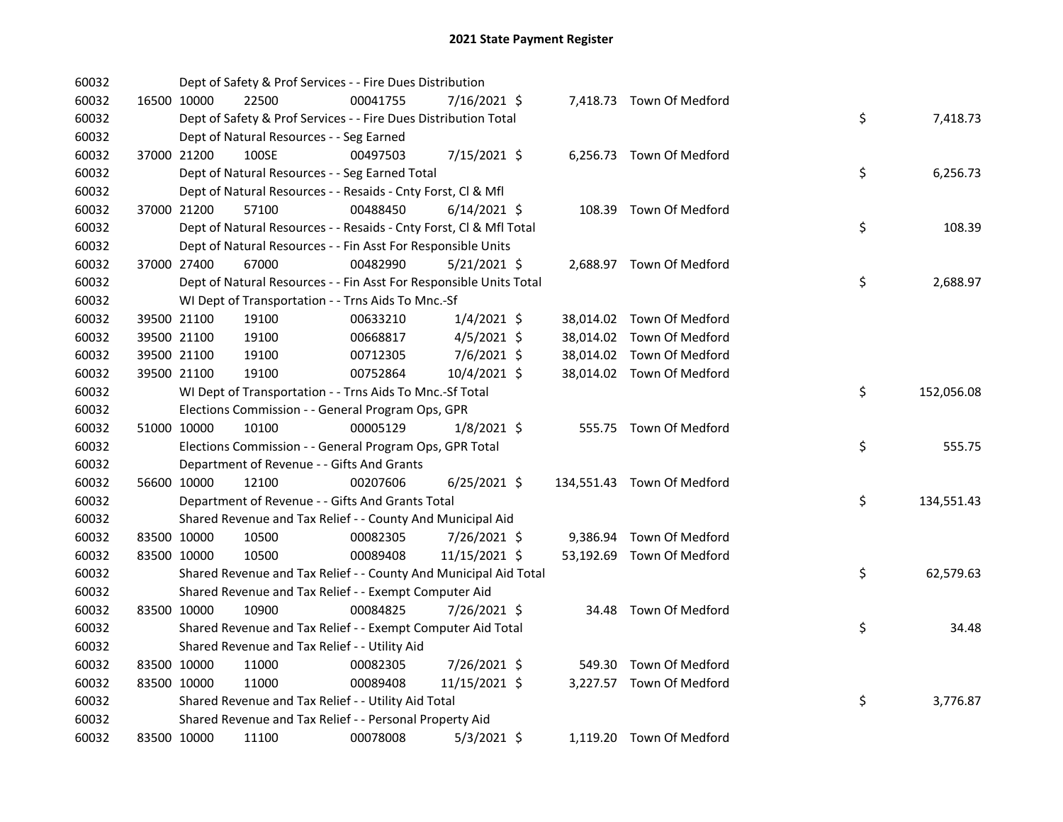| 60032 |             | Dept of Safety & Prof Services - - Fire Dues Distribution          |          |                |  |                            |    |            |
|-------|-------------|--------------------------------------------------------------------|----------|----------------|--|----------------------------|----|------------|
| 60032 | 16500 10000 | 22500                                                              | 00041755 | 7/16/2021 \$   |  | 7,418.73 Town Of Medford   |    |            |
| 60032 |             | Dept of Safety & Prof Services - - Fire Dues Distribution Total    |          |                |  |                            | \$ | 7,418.73   |
| 60032 |             | Dept of Natural Resources - - Seg Earned                           |          |                |  |                            |    |            |
| 60032 | 37000 21200 | 100SE                                                              | 00497503 | 7/15/2021 \$   |  | 6,256.73 Town Of Medford   |    |            |
| 60032 |             | Dept of Natural Resources - - Seg Earned Total                     |          |                |  |                            | \$ | 6,256.73   |
| 60032 |             | Dept of Natural Resources - - Resaids - Cnty Forst, Cl & Mfl       |          |                |  |                            |    |            |
| 60032 | 37000 21200 | 57100                                                              | 00488450 | $6/14/2021$ \$ |  | 108.39 Town Of Medford     |    |            |
| 60032 |             | Dept of Natural Resources - - Resaids - Cnty Forst, Cl & Mfl Total |          |                |  |                            | \$ | 108.39     |
| 60032 |             | Dept of Natural Resources - - Fin Asst For Responsible Units       |          |                |  |                            |    |            |
| 60032 | 37000 27400 | 67000                                                              | 00482990 | $5/21/2021$ \$ |  | 2,688.97 Town Of Medford   |    |            |
| 60032 |             | Dept of Natural Resources - - Fin Asst For Responsible Units Total |          |                |  |                            | \$ | 2,688.97   |
| 60032 |             | WI Dept of Transportation - - Trns Aids To Mnc.-Sf                 |          |                |  |                            |    |            |
| 60032 | 39500 21100 | 19100                                                              | 00633210 | $1/4/2021$ \$  |  | 38,014.02 Town Of Medford  |    |            |
| 60032 | 39500 21100 | 19100                                                              | 00668817 | $4/5/2021$ \$  |  | 38,014.02 Town Of Medford  |    |            |
| 60032 | 39500 21100 | 19100                                                              | 00712305 | 7/6/2021 \$    |  | 38,014.02 Town Of Medford  |    |            |
| 60032 | 39500 21100 | 19100                                                              | 00752864 | 10/4/2021 \$   |  | 38,014.02 Town Of Medford  |    |            |
| 60032 |             | WI Dept of Transportation - - Trns Aids To Mnc.-Sf Total           |          |                |  |                            | \$ | 152,056.08 |
| 60032 |             | Elections Commission - - General Program Ops, GPR                  |          |                |  |                            |    |            |
| 60032 | 51000 10000 | 10100                                                              | 00005129 | $1/8/2021$ \$  |  | 555.75 Town Of Medford     |    |            |
| 60032 |             | Elections Commission - - General Program Ops, GPR Total            |          |                |  |                            | \$ | 555.75     |
| 60032 |             | Department of Revenue - - Gifts And Grants                         |          |                |  |                            |    |            |
| 60032 | 56600 10000 | 12100                                                              | 00207606 | $6/25/2021$ \$ |  | 134,551.43 Town Of Medford |    |            |
| 60032 |             | Department of Revenue - - Gifts And Grants Total                   |          |                |  |                            | \$ | 134,551.43 |
| 60032 |             | Shared Revenue and Tax Relief - - County And Municipal Aid         |          |                |  |                            |    |            |
| 60032 | 83500 10000 | 10500                                                              | 00082305 | 7/26/2021 \$   |  | 9,386.94 Town Of Medford   |    |            |
| 60032 | 83500 10000 | 10500                                                              | 00089408 | 11/15/2021 \$  |  | 53,192.69 Town Of Medford  |    |            |
| 60032 |             | Shared Revenue and Tax Relief - - County And Municipal Aid Total   |          |                |  |                            | \$ | 62,579.63  |
| 60032 |             | Shared Revenue and Tax Relief - - Exempt Computer Aid              |          |                |  |                            |    |            |
| 60032 | 83500 10000 | 10900                                                              | 00084825 | 7/26/2021 \$   |  | 34.48 Town Of Medford      |    |            |
| 60032 |             | Shared Revenue and Tax Relief - - Exempt Computer Aid Total        |          |                |  |                            | \$ | 34.48      |
| 60032 |             | Shared Revenue and Tax Relief - - Utility Aid                      |          |                |  |                            |    |            |
| 60032 | 83500 10000 | 11000                                                              | 00082305 | 7/26/2021 \$   |  | 549.30 Town Of Medford     |    |            |
| 60032 | 83500 10000 | 11000                                                              | 00089408 | 11/15/2021 \$  |  | 3,227.57 Town Of Medford   |    |            |
| 60032 |             | Shared Revenue and Tax Relief - - Utility Aid Total                |          |                |  |                            | \$ | 3,776.87   |
| 60032 |             | Shared Revenue and Tax Relief - - Personal Property Aid            |          |                |  |                            |    |            |
| 60032 | 83500 10000 | 11100                                                              | 00078008 | $5/3/2021$ \$  |  | 1,119.20 Town Of Medford   |    |            |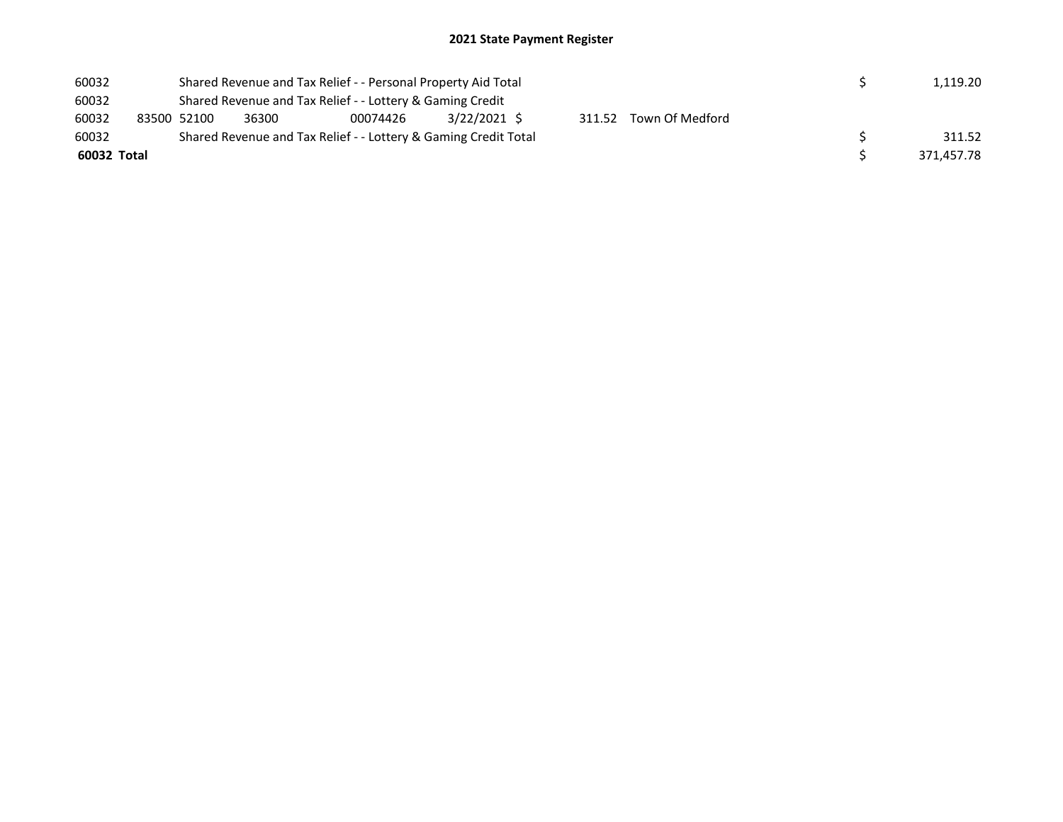| 60032       |             |       | Shared Revenue and Tax Relief - - Personal Property Aid Total   |              |  |                        |  | 1,119.20   |
|-------------|-------------|-------|-----------------------------------------------------------------|--------------|--|------------------------|--|------------|
| 60032       |             |       | Shared Revenue and Tax Relief - - Lottery & Gaming Credit       |              |  |                        |  |            |
| 60032       | 83500 52100 | 36300 | 00074426                                                        | 3/22/2021 \$ |  | 311.52 Town Of Medford |  |            |
| 60032       |             |       | Shared Revenue and Tax Relief - - Lottery & Gaming Credit Total |              |  |                        |  | 311.52     |
| 60032 Total |             |       |                                                                 |              |  |                        |  | 371.457.78 |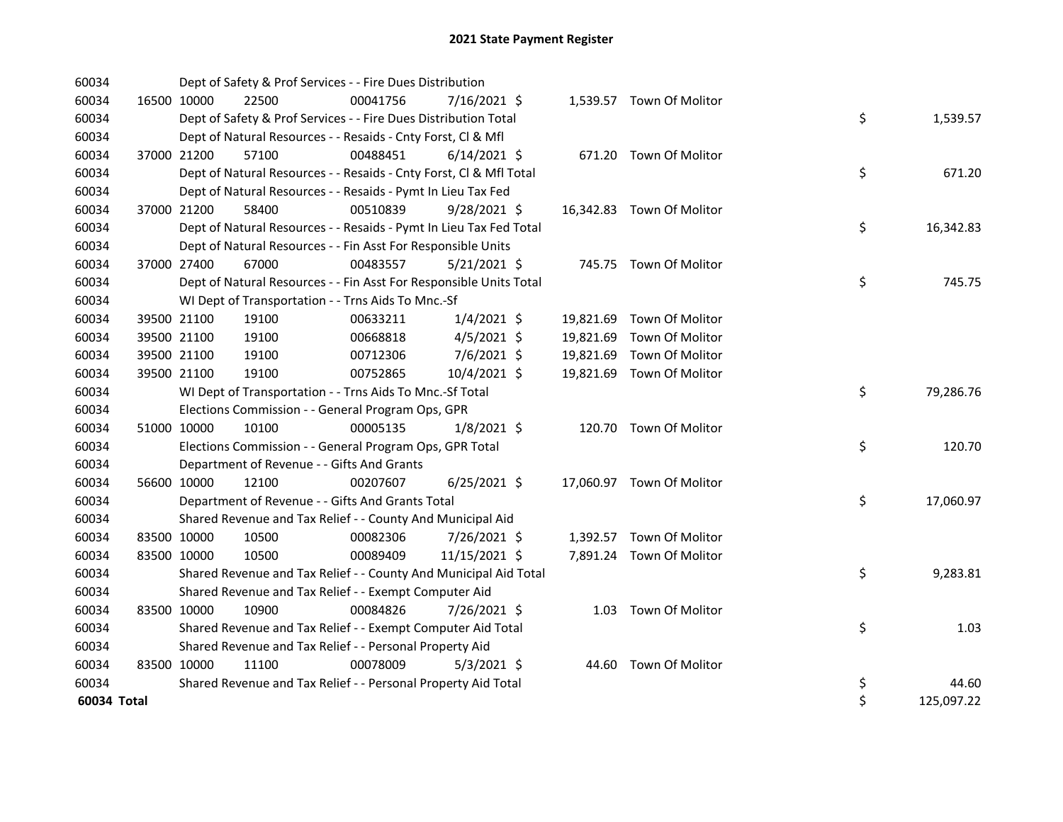| 60034       |             |             | Dept of Safety & Prof Services - - Fire Dues Distribution          |          |                |       |                           |    |            |
|-------------|-------------|-------------|--------------------------------------------------------------------|----------|----------------|-------|---------------------------|----|------------|
| 60034       | 16500 10000 |             | 22500                                                              | 00041756 | 7/16/2021 \$   |       | 1,539.57 Town Of Molitor  |    |            |
| 60034       |             |             | Dept of Safety & Prof Services - - Fire Dues Distribution Total    |          |                |       |                           | \$ | 1,539.57   |
| 60034       |             |             | Dept of Natural Resources - - Resaids - Cnty Forst, Cl & Mfl       |          |                |       |                           |    |            |
| 60034       | 37000 21200 |             | 57100                                                              | 00488451 | $6/14/2021$ \$ |       | 671.20 Town Of Molitor    |    |            |
| 60034       |             |             | Dept of Natural Resources - - Resaids - Cnty Forst, Cl & Mfl Total |          |                |       |                           | \$ | 671.20     |
| 60034       |             |             | Dept of Natural Resources - - Resaids - Pymt In Lieu Tax Fed       |          |                |       |                           |    |            |
| 60034       | 37000 21200 |             | 58400                                                              | 00510839 | 9/28/2021 \$   |       | 16,342.83 Town Of Molitor |    |            |
| 60034       |             |             | Dept of Natural Resources - - Resaids - Pymt In Lieu Tax Fed Total |          |                |       |                           | \$ | 16,342.83  |
| 60034       |             |             | Dept of Natural Resources - - Fin Asst For Responsible Units       |          |                |       |                           |    |            |
| 60034       | 37000 27400 |             | 67000                                                              | 00483557 | $5/21/2021$ \$ |       | 745.75 Town Of Molitor    |    |            |
| 60034       |             |             | Dept of Natural Resources - - Fin Asst For Responsible Units Total |          |                |       |                           | \$ | 745.75     |
| 60034       |             |             | WI Dept of Transportation - - Trns Aids To Mnc.-Sf                 |          |                |       |                           |    |            |
| 60034       |             | 39500 21100 | 19100                                                              | 00633211 | $1/4/2021$ \$  |       | 19,821.69 Town Of Molitor |    |            |
| 60034       | 39500 21100 |             | 19100                                                              | 00668818 | $4/5/2021$ \$  |       | 19,821.69 Town Of Molitor |    |            |
| 60034       | 39500 21100 |             | 19100                                                              | 00712306 | 7/6/2021 \$    |       | 19,821.69 Town Of Molitor |    |            |
| 60034       | 39500 21100 |             | 19100                                                              | 00752865 | 10/4/2021 \$   |       | 19,821.69 Town Of Molitor |    |            |
| 60034       |             |             | WI Dept of Transportation - - Trns Aids To Mnc.-Sf Total           |          |                |       |                           | \$ | 79,286.76  |
| 60034       |             |             | Elections Commission - - General Program Ops, GPR                  |          |                |       |                           |    |            |
| 60034       | 51000 10000 |             | 10100                                                              | 00005135 | $1/8/2021$ \$  |       | 120.70 Town Of Molitor    |    |            |
| 60034       |             |             | Elections Commission - - General Program Ops, GPR Total            |          |                |       |                           | \$ | 120.70     |
| 60034       |             |             | Department of Revenue - - Gifts And Grants                         |          |                |       |                           |    |            |
| 60034       | 56600 10000 |             | 12100                                                              | 00207607 | $6/25/2021$ \$ |       | 17,060.97 Town Of Molitor |    |            |
| 60034       |             |             | Department of Revenue - - Gifts And Grants Total                   |          |                |       |                           | \$ | 17,060.97  |
| 60034       |             |             | Shared Revenue and Tax Relief - - County And Municipal Aid         |          |                |       |                           |    |            |
| 60034       | 83500 10000 |             | 10500                                                              | 00082306 | 7/26/2021 \$   |       | 1,392.57 Town Of Molitor  |    |            |
| 60034       |             | 83500 10000 | 10500                                                              | 00089409 | 11/15/2021 \$  |       | 7,891.24 Town Of Molitor  |    |            |
| 60034       |             |             | Shared Revenue and Tax Relief - - County And Municipal Aid Total   |          |                |       |                           | \$ | 9,283.81   |
| 60034       |             |             | Shared Revenue and Tax Relief - - Exempt Computer Aid              |          |                |       |                           |    |            |
| 60034       | 83500 10000 |             | 10900                                                              | 00084826 | 7/26/2021 \$   |       | 1.03 Town Of Molitor      |    |            |
| 60034       |             |             | Shared Revenue and Tax Relief - - Exempt Computer Aid Total        |          |                |       |                           | \$ | 1.03       |
| 60034       |             |             | Shared Revenue and Tax Relief - - Personal Property Aid            |          |                |       |                           |    |            |
| 60034       | 83500 10000 |             | 11100                                                              | 00078009 | $5/3/2021$ \$  | 44.60 | Town Of Molitor           |    |            |
| 60034       |             |             | Shared Revenue and Tax Relief - - Personal Property Aid Total      |          |                |       |                           | \$ | 44.60      |
| 60034 Total |             |             |                                                                    |          |                |       |                           | \$ | 125,097.22 |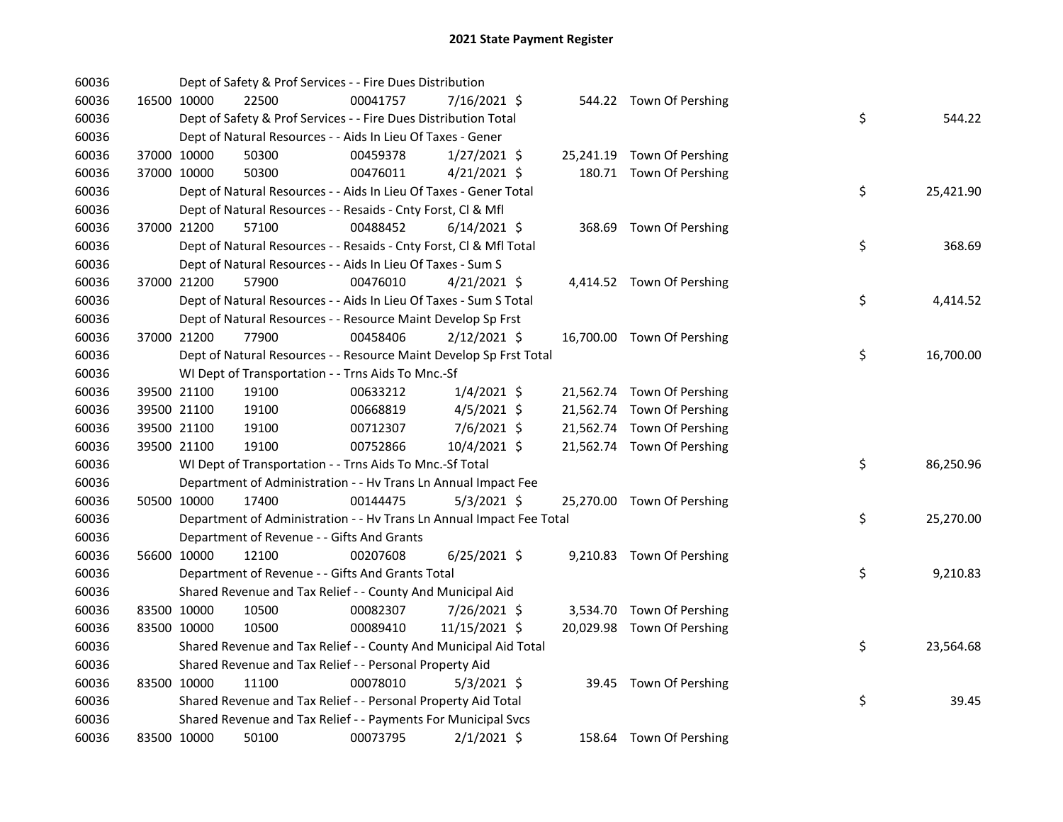| 60036 |             | Dept of Safety & Prof Services - - Fire Dues Distribution            |          |                |  |                            |    |           |
|-------|-------------|----------------------------------------------------------------------|----------|----------------|--|----------------------------|----|-----------|
| 60036 | 16500 10000 | 22500                                                                | 00041757 | 7/16/2021 \$   |  | 544.22 Town Of Pershing    |    |           |
| 60036 |             | Dept of Safety & Prof Services - - Fire Dues Distribution Total      |          |                |  |                            | \$ | 544.22    |
| 60036 |             | Dept of Natural Resources - - Aids In Lieu Of Taxes - Gener          |          |                |  |                            |    |           |
| 60036 | 37000 10000 | 50300                                                                | 00459378 | $1/27/2021$ \$ |  | 25,241.19 Town Of Pershing |    |           |
| 60036 | 37000 10000 | 50300                                                                | 00476011 | $4/21/2021$ \$ |  | 180.71 Town Of Pershing    |    |           |
| 60036 |             | Dept of Natural Resources - - Aids In Lieu Of Taxes - Gener Total    |          |                |  |                            | \$ | 25,421.90 |
| 60036 |             | Dept of Natural Resources - - Resaids - Cnty Forst, Cl & Mfl         |          |                |  |                            |    |           |
| 60036 | 37000 21200 | 57100                                                                | 00488452 | 6/14/2021 \$   |  | 368.69 Town Of Pershing    |    |           |
| 60036 |             | Dept of Natural Resources - - Resaids - Cnty Forst, Cl & Mfl Total   |          |                |  |                            | \$ | 368.69    |
| 60036 |             | Dept of Natural Resources - - Aids In Lieu Of Taxes - Sum S          |          |                |  |                            |    |           |
| 60036 | 37000 21200 | 57900                                                                | 00476010 | $4/21/2021$ \$ |  | 4,414.52 Town Of Pershing  |    |           |
| 60036 |             | Dept of Natural Resources - - Aids In Lieu Of Taxes - Sum S Total    |          |                |  |                            | \$ | 4,414.52  |
| 60036 |             | Dept of Natural Resources - - Resource Maint Develop Sp Frst         |          |                |  |                            |    |           |
| 60036 | 37000 21200 | 77900                                                                | 00458406 | $2/12/2021$ \$ |  | 16,700.00 Town Of Pershing |    |           |
| 60036 |             | Dept of Natural Resources - - Resource Maint Develop Sp Frst Total   |          |                |  |                            | \$ | 16,700.00 |
| 60036 |             | WI Dept of Transportation - - Trns Aids To Mnc.-Sf                   |          |                |  |                            |    |           |
| 60036 | 39500 21100 | 19100                                                                | 00633212 | $1/4/2021$ \$  |  | 21,562.74 Town Of Pershing |    |           |
| 60036 | 39500 21100 | 19100                                                                | 00668819 | $4/5/2021$ \$  |  | 21,562.74 Town Of Pershing |    |           |
| 60036 | 39500 21100 | 19100                                                                | 00712307 | 7/6/2021 \$    |  | 21,562.74 Town Of Pershing |    |           |
| 60036 | 39500 21100 | 19100                                                                | 00752866 | 10/4/2021 \$   |  | 21,562.74 Town Of Pershing |    |           |
| 60036 |             | WI Dept of Transportation - - Trns Aids To Mnc.-Sf Total             |          |                |  |                            | \$ | 86,250.96 |
| 60036 |             | Department of Administration - - Hv Trans Ln Annual Impact Fee       |          |                |  |                            |    |           |
| 60036 | 50500 10000 | 17400                                                                | 00144475 | $5/3/2021$ \$  |  | 25,270.00 Town Of Pershing |    |           |
| 60036 |             | Department of Administration - - Hv Trans Ln Annual Impact Fee Total |          |                |  |                            | \$ | 25,270.00 |
| 60036 |             | Department of Revenue - - Gifts And Grants                           |          |                |  |                            |    |           |
| 60036 | 56600 10000 | 12100                                                                | 00207608 | $6/25/2021$ \$ |  | 9,210.83 Town Of Pershing  |    |           |
| 60036 |             | Department of Revenue - - Gifts And Grants Total                     |          |                |  |                            | \$ | 9,210.83  |
| 60036 |             | Shared Revenue and Tax Relief - - County And Municipal Aid           |          |                |  |                            |    |           |
| 60036 | 83500 10000 | 10500                                                                | 00082307 | 7/26/2021 \$   |  | 3,534.70 Town Of Pershing  |    |           |
| 60036 | 83500 10000 | 10500                                                                | 00089410 | 11/15/2021 \$  |  | 20,029.98 Town Of Pershing |    |           |
| 60036 |             | Shared Revenue and Tax Relief - - County And Municipal Aid Total     |          |                |  |                            | \$ | 23,564.68 |
| 60036 |             | Shared Revenue and Tax Relief - - Personal Property Aid              |          |                |  |                            |    |           |
| 60036 | 83500 10000 | 11100                                                                | 00078010 | $5/3/2021$ \$  |  | 39.45 Town Of Pershing     |    |           |
| 60036 |             | Shared Revenue and Tax Relief - - Personal Property Aid Total        |          |                |  |                            | \$ | 39.45     |
| 60036 |             | Shared Revenue and Tax Relief - - Payments For Municipal Svcs        |          |                |  |                            |    |           |
| 60036 | 83500 10000 | 50100                                                                | 00073795 | $2/1/2021$ \$  |  | 158.64 Town Of Pershing    |    |           |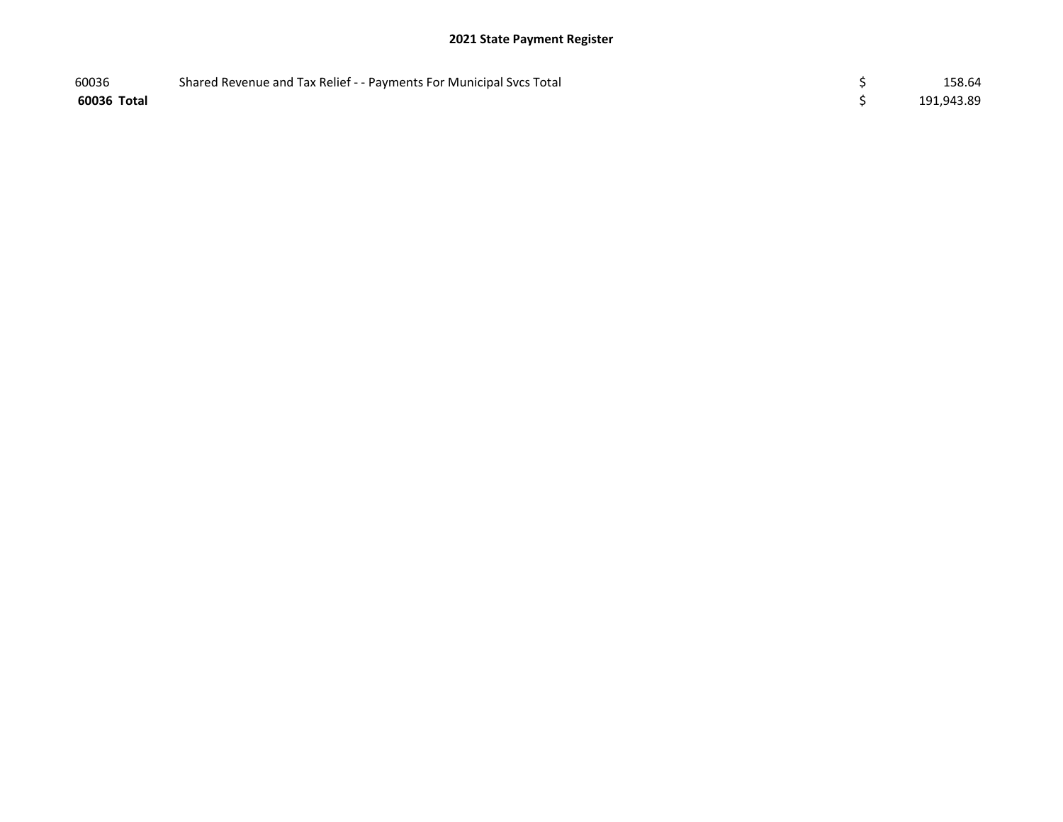| 60036       | Shared Revenue and Tax Relief - - Payments For Municipal Svcs Total | 158.64     |
|-------------|---------------------------------------------------------------------|------------|
| 60036 Total |                                                                     | 191,943.89 |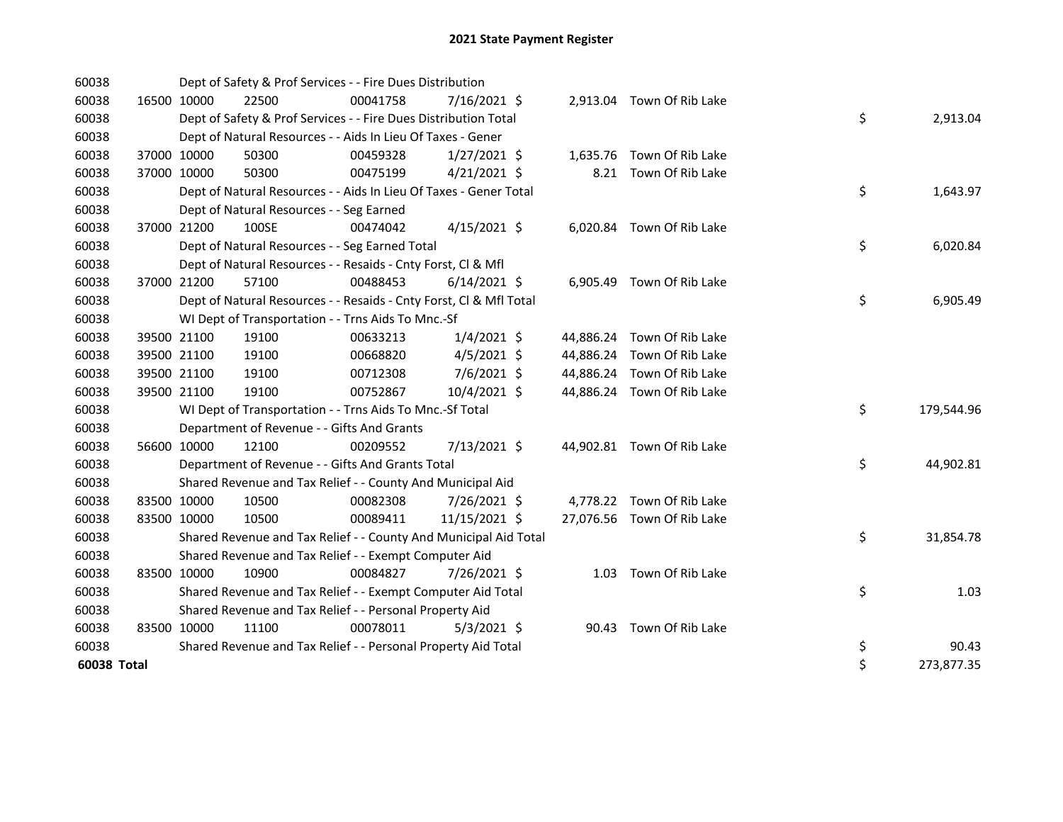| 60038       |             | Dept of Safety & Prof Services - - Fire Dues Distribution          |          |                |  |                            |    |            |
|-------------|-------------|--------------------------------------------------------------------|----------|----------------|--|----------------------------|----|------------|
| 60038       | 16500 10000 | 22500                                                              | 00041758 | 7/16/2021 \$   |  | 2,913.04 Town Of Rib Lake  |    |            |
| 60038       |             | Dept of Safety & Prof Services - - Fire Dues Distribution Total    |          |                |  |                            | \$ | 2,913.04   |
| 60038       |             | Dept of Natural Resources - - Aids In Lieu Of Taxes - Gener        |          |                |  |                            |    |            |
| 60038       | 37000 10000 | 50300                                                              | 00459328 | $1/27/2021$ \$ |  | 1,635.76 Town Of Rib Lake  |    |            |
| 60038       | 37000 10000 | 50300                                                              | 00475199 | $4/21/2021$ \$ |  | 8.21 Town Of Rib Lake      |    |            |
| 60038       |             | Dept of Natural Resources - - Aids In Lieu Of Taxes - Gener Total  |          |                |  |                            | \$ | 1,643.97   |
| 60038       |             | Dept of Natural Resources - - Seg Earned                           |          |                |  |                            |    |            |
| 60038       | 37000 21200 | 100SE                                                              | 00474042 | $4/15/2021$ \$ |  | 6,020.84 Town Of Rib Lake  |    |            |
| 60038       |             | Dept of Natural Resources - - Seg Earned Total                     |          |                |  |                            | \$ | 6,020.84   |
| 60038       |             | Dept of Natural Resources - - Resaids - Cnty Forst, Cl & Mfl       |          |                |  |                            |    |            |
| 60038       | 37000 21200 | 57100                                                              | 00488453 | $6/14/2021$ \$ |  | 6,905.49 Town Of Rib Lake  |    |            |
| 60038       |             | Dept of Natural Resources - - Resaids - Cnty Forst, Cl & Mfl Total |          |                |  |                            | \$ | 6,905.49   |
| 60038       |             | WI Dept of Transportation - - Trns Aids To Mnc.-Sf                 |          |                |  |                            |    |            |
| 60038       | 39500 21100 | 19100                                                              | 00633213 | $1/4/2021$ \$  |  | 44,886.24 Town Of Rib Lake |    |            |
| 60038       | 39500 21100 | 19100                                                              | 00668820 | $4/5/2021$ \$  |  | 44,886.24 Town Of Rib Lake |    |            |
| 60038       | 39500 21100 | 19100                                                              | 00712308 | 7/6/2021 \$    |  | 44,886.24 Town Of Rib Lake |    |            |
| 60038       | 39500 21100 | 19100                                                              | 00752867 | 10/4/2021 \$   |  | 44,886.24 Town Of Rib Lake |    |            |
| 60038       |             | WI Dept of Transportation - - Trns Aids To Mnc.-Sf Total           |          |                |  |                            | \$ | 179,544.96 |
| 60038       |             | Department of Revenue - - Gifts And Grants                         |          |                |  |                            |    |            |
| 60038       | 56600 10000 | 12100                                                              | 00209552 | 7/13/2021 \$   |  | 44,902.81 Town Of Rib Lake |    |            |
| 60038       |             | Department of Revenue - - Gifts And Grants Total                   |          |                |  |                            | \$ | 44,902.81  |
| 60038       |             | Shared Revenue and Tax Relief - - County And Municipal Aid         |          |                |  |                            |    |            |
| 60038       | 83500 10000 | 10500                                                              | 00082308 | 7/26/2021 \$   |  | 4,778.22 Town Of Rib Lake  |    |            |
| 60038       | 83500 10000 | 10500                                                              | 00089411 | 11/15/2021 \$  |  | 27,076.56 Town Of Rib Lake |    |            |
| 60038       |             | Shared Revenue and Tax Relief - - County And Municipal Aid Total   |          |                |  |                            | \$ | 31,854.78  |
| 60038       |             | Shared Revenue and Tax Relief - - Exempt Computer Aid              |          |                |  |                            |    |            |
| 60038       | 83500 10000 | 10900                                                              | 00084827 | 7/26/2021 \$   |  | 1.03 Town Of Rib Lake      |    |            |
| 60038       |             | Shared Revenue and Tax Relief - - Exempt Computer Aid Total        |          |                |  |                            | \$ | 1.03       |
| 60038       |             | Shared Revenue and Tax Relief - - Personal Property Aid            |          |                |  |                            |    |            |
| 60038       | 83500 10000 | 11100                                                              | 00078011 | $5/3/2021$ \$  |  | 90.43 Town Of Rib Lake     |    |            |
| 60038       |             | Shared Revenue and Tax Relief - - Personal Property Aid Total      |          |                |  |                            | \$ | 90.43      |
| 60038 Total |             |                                                                    |          |                |  |                            | \$ | 273,877.35 |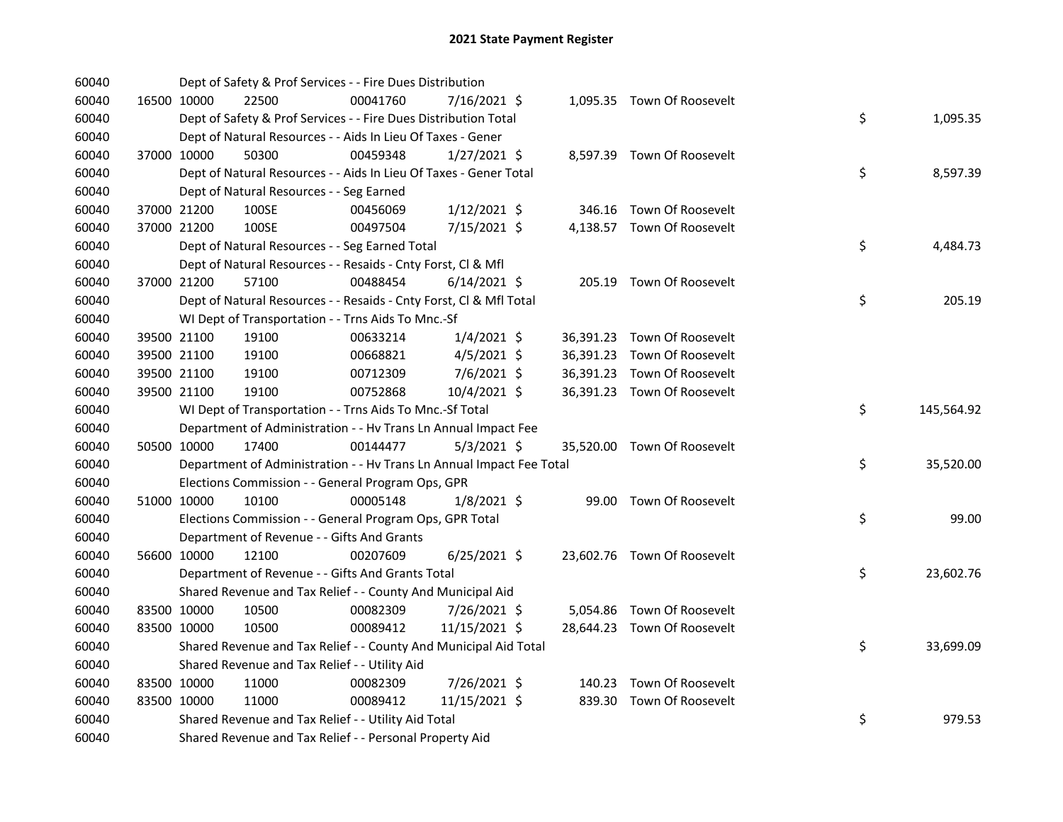| 60040 |             | Dept of Safety & Prof Services - - Fire Dues Distribution            |          |                |  |                             |    |            |
|-------|-------------|----------------------------------------------------------------------|----------|----------------|--|-----------------------------|----|------------|
| 60040 | 16500 10000 | 22500                                                                | 00041760 | 7/16/2021 \$   |  | 1,095.35 Town Of Roosevelt  |    |            |
| 60040 |             | Dept of Safety & Prof Services - - Fire Dues Distribution Total      |          |                |  |                             | \$ | 1,095.35   |
| 60040 |             | Dept of Natural Resources - - Aids In Lieu Of Taxes - Gener          |          |                |  |                             |    |            |
| 60040 | 37000 10000 | 50300                                                                | 00459348 | $1/27/2021$ \$ |  | 8,597.39 Town Of Roosevelt  |    |            |
| 60040 |             | Dept of Natural Resources - - Aids In Lieu Of Taxes - Gener Total    |          |                |  |                             | \$ | 8,597.39   |
| 60040 |             | Dept of Natural Resources - - Seg Earned                             |          |                |  |                             |    |            |
| 60040 | 37000 21200 | 100SE                                                                | 00456069 | $1/12/2021$ \$ |  | 346.16 Town Of Roosevelt    |    |            |
| 60040 | 37000 21200 | 100SE                                                                | 00497504 | 7/15/2021 \$   |  | 4,138.57 Town Of Roosevelt  |    |            |
| 60040 |             | Dept of Natural Resources - - Seg Earned Total                       |          |                |  |                             | \$ | 4,484.73   |
| 60040 |             | Dept of Natural Resources - - Resaids - Cnty Forst, Cl & Mfl         |          |                |  |                             |    |            |
| 60040 | 37000 21200 | 57100                                                                | 00488454 | $6/14/2021$ \$ |  | 205.19 Town Of Roosevelt    |    |            |
| 60040 |             | Dept of Natural Resources - - Resaids - Cnty Forst, Cl & Mfl Total   |          |                |  |                             | \$ | 205.19     |
| 60040 |             | WI Dept of Transportation - - Trns Aids To Mnc.-Sf                   |          |                |  |                             |    |            |
| 60040 | 39500 21100 | 19100                                                                | 00633214 | $1/4/2021$ \$  |  | 36,391.23 Town Of Roosevelt |    |            |
| 60040 | 39500 21100 | 19100                                                                | 00668821 | 4/5/2021 \$    |  | 36,391.23 Town Of Roosevelt |    |            |
| 60040 | 39500 21100 | 19100                                                                | 00712309 | $7/6/2021$ \$  |  | 36,391.23 Town Of Roosevelt |    |            |
| 60040 | 39500 21100 | 19100                                                                | 00752868 | 10/4/2021 \$   |  | 36,391.23 Town Of Roosevelt |    |            |
| 60040 |             | WI Dept of Transportation - - Trns Aids To Mnc.-Sf Total             |          |                |  |                             | \$ | 145,564.92 |
| 60040 |             | Department of Administration - - Hv Trans Ln Annual Impact Fee       |          |                |  |                             |    |            |
| 60040 | 50500 10000 | 17400                                                                | 00144477 | $5/3/2021$ \$  |  | 35,520.00 Town Of Roosevelt |    |            |
| 60040 |             | Department of Administration - - Hv Trans Ln Annual Impact Fee Total |          |                |  |                             | \$ | 35,520.00  |
| 60040 |             | Elections Commission - - General Program Ops, GPR                    |          |                |  |                             |    |            |
| 60040 | 51000 10000 | 10100                                                                | 00005148 | 1/8/2021 \$    |  | 99.00 Town Of Roosevelt     |    |            |
| 60040 |             | Elections Commission - - General Program Ops, GPR Total              |          |                |  |                             | \$ | 99.00      |
| 60040 |             | Department of Revenue - - Gifts And Grants                           |          |                |  |                             |    |            |
| 60040 | 56600 10000 | 12100                                                                | 00207609 | $6/25/2021$ \$ |  | 23,602.76 Town Of Roosevelt |    |            |
| 60040 |             | Department of Revenue - - Gifts And Grants Total                     |          |                |  |                             | \$ | 23,602.76  |
| 60040 |             | Shared Revenue and Tax Relief - - County And Municipal Aid           |          |                |  |                             |    |            |
| 60040 | 83500 10000 | 10500                                                                | 00082309 | 7/26/2021 \$   |  | 5,054.86 Town Of Roosevelt  |    |            |
| 60040 | 83500 10000 | 10500                                                                | 00089412 | 11/15/2021 \$  |  | 28,644.23 Town Of Roosevelt |    |            |
| 60040 |             | Shared Revenue and Tax Relief - - County And Municipal Aid Total     |          |                |  |                             | \$ | 33,699.09  |
| 60040 |             | Shared Revenue and Tax Relief - - Utility Aid                        |          |                |  |                             |    |            |
| 60040 | 83500 10000 | 11000                                                                | 00082309 | 7/26/2021 \$   |  | 140.23 Town Of Roosevelt    |    |            |
| 60040 | 83500 10000 | 11000                                                                | 00089412 | 11/15/2021 \$  |  | 839.30 Town Of Roosevelt    |    |            |
| 60040 |             | Shared Revenue and Tax Relief - - Utility Aid Total                  |          |                |  |                             | \$ | 979.53     |
| 60040 |             | Shared Revenue and Tax Relief - - Personal Property Aid              |          |                |  |                             |    |            |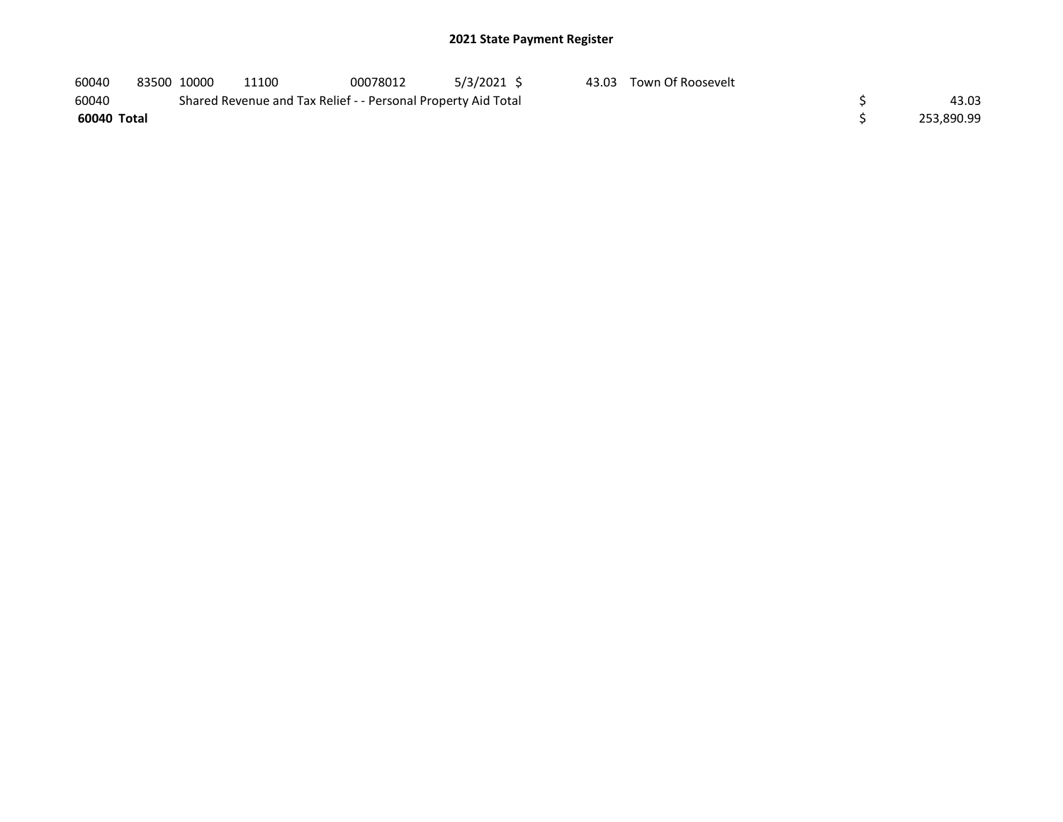| 60040       | 83500 10000 | 11100                                                         | 00078012 | 5/3/2021 \$ | 43.03 Town Of Roosevelt |            |
|-------------|-------------|---------------------------------------------------------------|----------|-------------|-------------------------|------------|
| 60040       |             | Shared Revenue and Tax Relief - - Personal Property Aid Total |          |             |                         | 43.03      |
| 60040 Total |             |                                                               |          |             |                         | 253.890.99 |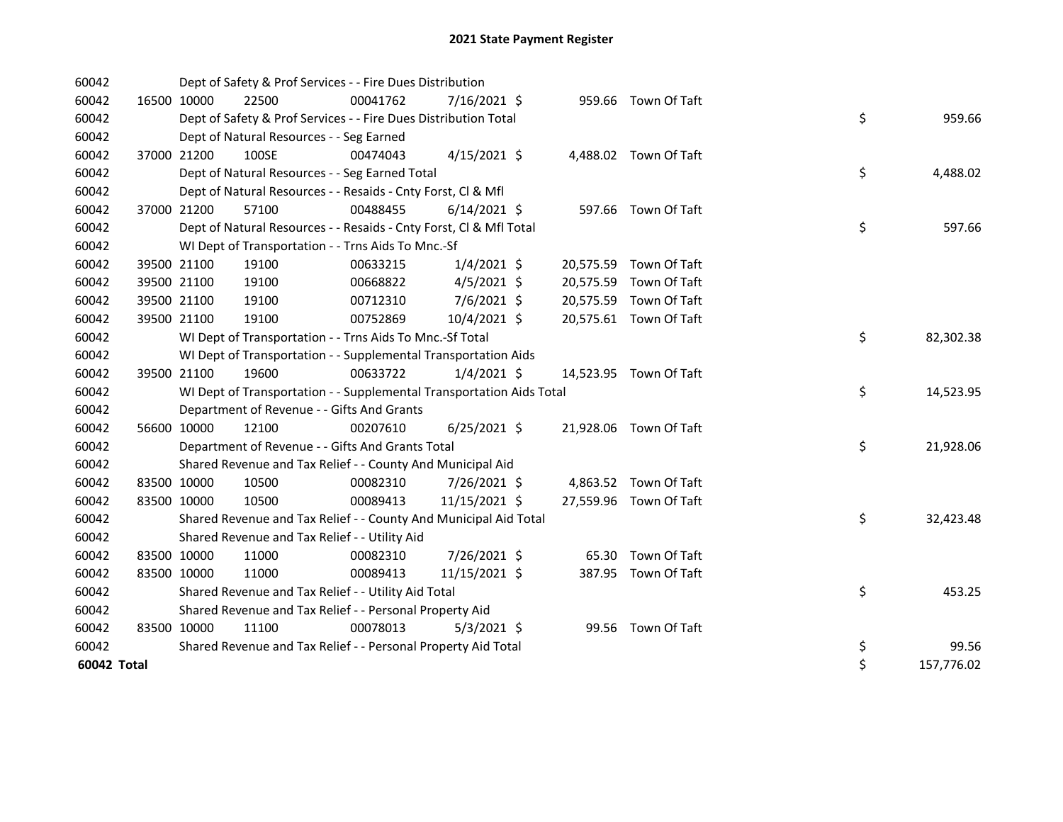| 60042       |             |             | Dept of Safety & Prof Services - - Fire Dues Distribution            |          |                |  |                        |    |            |
|-------------|-------------|-------------|----------------------------------------------------------------------|----------|----------------|--|------------------------|----|------------|
| 60042       |             | 16500 10000 | 22500                                                                | 00041762 | 7/16/2021 \$   |  | 959.66 Town Of Taft    |    |            |
| 60042       |             |             | Dept of Safety & Prof Services - - Fire Dues Distribution Total      |          |                |  |                        | \$ | 959.66     |
| 60042       |             |             | Dept of Natural Resources - - Seg Earned                             |          |                |  |                        |    |            |
| 60042       |             | 37000 21200 | 100SE                                                                | 00474043 | $4/15/2021$ \$ |  | 4,488.02 Town Of Taft  |    |            |
| 60042       |             |             | Dept of Natural Resources - - Seg Earned Total                       |          |                |  |                        | \$ | 4,488.02   |
| 60042       |             |             | Dept of Natural Resources - - Resaids - Cnty Forst, Cl & Mfl         |          |                |  |                        |    |            |
| 60042       |             | 37000 21200 | 57100                                                                | 00488455 | $6/14/2021$ \$ |  | 597.66 Town Of Taft    |    |            |
| 60042       |             |             | Dept of Natural Resources - - Resaids - Cnty Forst, Cl & Mfl Total   |          |                |  |                        | \$ | 597.66     |
| 60042       |             |             | WI Dept of Transportation - - Trns Aids To Mnc.-Sf                   |          |                |  |                        |    |            |
| 60042       |             | 39500 21100 | 19100                                                                | 00633215 | $1/4/2021$ \$  |  | 20,575.59 Town Of Taft |    |            |
| 60042       |             | 39500 21100 | 19100                                                                | 00668822 | $4/5/2021$ \$  |  | 20,575.59 Town Of Taft |    |            |
| 60042       |             | 39500 21100 | 19100                                                                | 00712310 | $7/6/2021$ \$  |  | 20,575.59 Town Of Taft |    |            |
| 60042       |             | 39500 21100 | 19100                                                                | 00752869 | 10/4/2021 \$   |  | 20,575.61 Town Of Taft |    |            |
| 60042       |             |             | WI Dept of Transportation - - Trns Aids To Mnc.-Sf Total             |          |                |  |                        | \$ | 82,302.38  |
| 60042       |             |             | WI Dept of Transportation - - Supplemental Transportation Aids       |          |                |  |                        |    |            |
| 60042       |             | 39500 21100 | 19600                                                                | 00633722 | $1/4/2021$ \$  |  | 14,523.95 Town Of Taft |    |            |
| 60042       |             |             | WI Dept of Transportation - - Supplemental Transportation Aids Total |          |                |  |                        | \$ | 14,523.95  |
| 60042       |             |             | Department of Revenue - - Gifts And Grants                           |          |                |  |                        |    |            |
| 60042       |             | 56600 10000 | 12100                                                                | 00207610 | $6/25/2021$ \$ |  | 21,928.06 Town Of Taft |    |            |
| 60042       |             |             | Department of Revenue - - Gifts And Grants Total                     |          |                |  |                        | \$ | 21,928.06  |
| 60042       |             |             | Shared Revenue and Tax Relief - - County And Municipal Aid           |          |                |  |                        |    |            |
| 60042       |             | 83500 10000 | 10500                                                                | 00082310 | 7/26/2021 \$   |  | 4,863.52 Town Of Taft  |    |            |
| 60042       | 83500 10000 |             | 10500                                                                | 00089413 | 11/15/2021 \$  |  | 27,559.96 Town Of Taft |    |            |
| 60042       |             |             | Shared Revenue and Tax Relief - - County And Municipal Aid Total     |          |                |  |                        | \$ | 32,423.48  |
| 60042       |             |             | Shared Revenue and Tax Relief - - Utility Aid                        |          |                |  |                        |    |            |
| 60042       |             | 83500 10000 | 11000                                                                | 00082310 | 7/26/2021 \$   |  | 65.30 Town Of Taft     |    |            |
| 60042       | 83500 10000 |             | 11000                                                                | 00089413 | 11/15/2021 \$  |  | 387.95 Town Of Taft    |    |            |
| 60042       |             |             | Shared Revenue and Tax Relief - - Utility Aid Total                  |          |                |  |                        | \$ | 453.25     |
| 60042       |             |             | Shared Revenue and Tax Relief - - Personal Property Aid              |          |                |  |                        |    |            |
| 60042       |             | 83500 10000 | 11100                                                                | 00078013 | $5/3/2021$ \$  |  | 99.56 Town Of Taft     |    |            |
| 60042       |             |             | Shared Revenue and Tax Relief - - Personal Property Aid Total        |          |                |  |                        | \$ | 99.56      |
| 60042 Total |             |             |                                                                      |          |                |  |                        | \$ | 157,776.02 |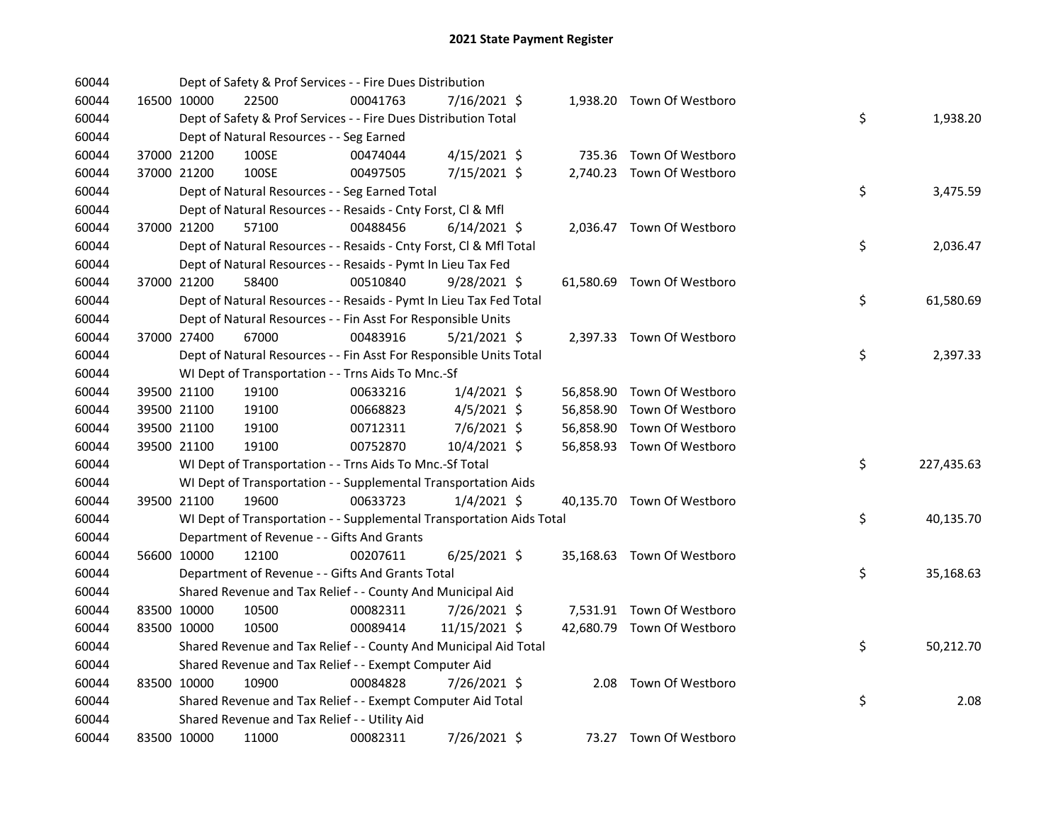| 60044 |             | Dept of Safety & Prof Services - - Fire Dues Distribution            |          |                |  |                            |    |            |
|-------|-------------|----------------------------------------------------------------------|----------|----------------|--|----------------------------|----|------------|
| 60044 | 16500 10000 | 22500                                                                | 00041763 | 7/16/2021 \$   |  | 1,938.20 Town Of Westboro  |    |            |
| 60044 |             | Dept of Safety & Prof Services - - Fire Dues Distribution Total      |          |                |  |                            | \$ | 1,938.20   |
| 60044 |             | Dept of Natural Resources - - Seg Earned                             |          |                |  |                            |    |            |
| 60044 | 37000 21200 | 100SE                                                                | 00474044 | 4/15/2021 \$   |  | 735.36 Town Of Westboro    |    |            |
| 60044 | 37000 21200 | 100SE                                                                | 00497505 | 7/15/2021 \$   |  | 2,740.23 Town Of Westboro  |    |            |
| 60044 |             | Dept of Natural Resources - - Seg Earned Total                       |          |                |  |                            | \$ | 3,475.59   |
| 60044 |             | Dept of Natural Resources - - Resaids - Cnty Forst, Cl & Mfl         |          |                |  |                            |    |            |
| 60044 | 37000 21200 | 57100                                                                | 00488456 | $6/14/2021$ \$ |  | 2,036.47 Town Of Westboro  |    |            |
| 60044 |             | Dept of Natural Resources - - Resaids - Cnty Forst, CI & Mfl Total   |          |                |  |                            | \$ | 2,036.47   |
| 60044 |             | Dept of Natural Resources - - Resaids - Pymt In Lieu Tax Fed         |          |                |  |                            |    |            |
| 60044 | 37000 21200 | 58400                                                                | 00510840 | $9/28/2021$ \$ |  | 61,580.69 Town Of Westboro |    |            |
| 60044 |             | Dept of Natural Resources - - Resaids - Pymt In Lieu Tax Fed Total   |          |                |  |                            | \$ | 61,580.69  |
| 60044 |             | Dept of Natural Resources - - Fin Asst For Responsible Units         |          |                |  |                            |    |            |
| 60044 | 37000 27400 | 67000                                                                | 00483916 | $5/21/2021$ \$ |  | 2,397.33 Town Of Westboro  |    |            |
| 60044 |             | Dept of Natural Resources - - Fin Asst For Responsible Units Total   |          |                |  |                            | \$ | 2,397.33   |
| 60044 |             | WI Dept of Transportation - - Trns Aids To Mnc.-Sf                   |          |                |  |                            |    |            |
| 60044 | 39500 21100 | 19100                                                                | 00633216 | $1/4/2021$ \$  |  | 56,858.90 Town Of Westboro |    |            |
| 60044 | 39500 21100 | 19100                                                                | 00668823 | 4/5/2021 \$    |  | 56,858.90 Town Of Westboro |    |            |
| 60044 | 39500 21100 | 19100                                                                | 00712311 | 7/6/2021 \$    |  | 56,858.90 Town Of Westboro |    |            |
| 60044 | 39500 21100 | 19100                                                                | 00752870 | 10/4/2021 \$   |  | 56,858.93 Town Of Westboro |    |            |
| 60044 |             | WI Dept of Transportation - - Trns Aids To Mnc.-Sf Total             |          |                |  |                            | \$ | 227,435.63 |
| 60044 |             | WI Dept of Transportation - - Supplemental Transportation Aids       |          |                |  |                            |    |            |
| 60044 | 39500 21100 | 19600                                                                | 00633723 | $1/4/2021$ \$  |  | 40,135.70 Town Of Westboro |    |            |
| 60044 |             | WI Dept of Transportation - - Supplemental Transportation Aids Total |          |                |  |                            | \$ | 40,135.70  |
| 60044 |             | Department of Revenue - - Gifts And Grants                           |          |                |  |                            |    |            |
| 60044 | 56600 10000 | 12100                                                                | 00207611 | $6/25/2021$ \$ |  | 35,168.63 Town Of Westboro |    |            |
| 60044 |             | Department of Revenue - - Gifts And Grants Total                     |          |                |  |                            | \$ | 35,168.63  |
| 60044 |             | Shared Revenue and Tax Relief - - County And Municipal Aid           |          |                |  |                            |    |            |
| 60044 | 83500 10000 | 10500                                                                | 00082311 | 7/26/2021 \$   |  | 7,531.91 Town Of Westboro  |    |            |
| 60044 | 83500 10000 | 10500                                                                | 00089414 | 11/15/2021 \$  |  | 42,680.79 Town Of Westboro |    |            |
| 60044 |             | Shared Revenue and Tax Relief - - County And Municipal Aid Total     |          |                |  |                            | \$ | 50,212.70  |
| 60044 |             | Shared Revenue and Tax Relief - - Exempt Computer Aid                |          |                |  |                            |    |            |
| 60044 | 83500 10000 | 10900                                                                | 00084828 | 7/26/2021 \$   |  | 2.08 Town Of Westboro      |    |            |
| 60044 |             | Shared Revenue and Tax Relief - - Exempt Computer Aid Total          |          |                |  |                            | \$ | 2.08       |
| 60044 |             | Shared Revenue and Tax Relief - - Utility Aid                        |          |                |  |                            |    |            |
| 60044 | 83500 10000 | 11000                                                                | 00082311 | 7/26/2021 \$   |  | 73.27 Town Of Westboro     |    |            |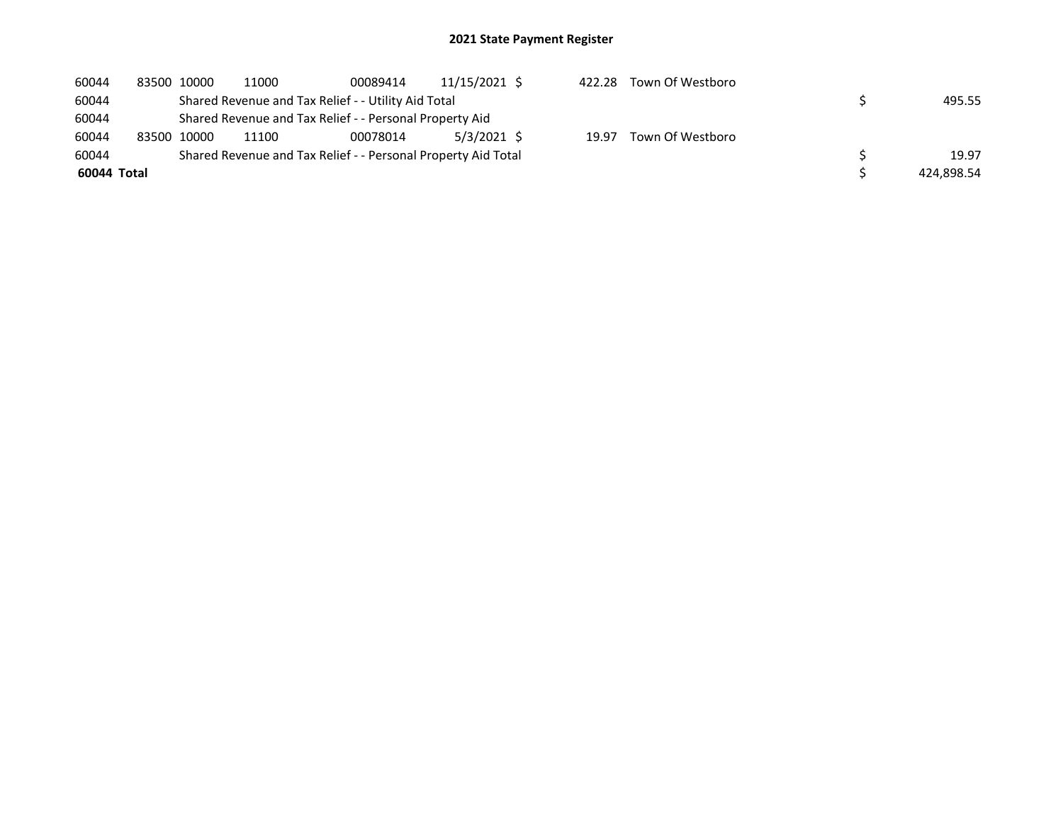| 60044       | 83500 10000 | 11000 | 00089414                                                      | 11/15/2021 \$ | 422.28 | Town Of Westboro |            |
|-------------|-------------|-------|---------------------------------------------------------------|---------------|--------|------------------|------------|
| 60044       |             |       | Shared Revenue and Tax Relief - - Utility Aid Total           |               |        |                  | 495.55     |
| 60044       |             |       | Shared Revenue and Tax Relief - - Personal Property Aid       |               |        |                  |            |
| 60044       | 83500 10000 | 11100 | 00078014                                                      | 5/3/2021 \$   | 19.97  | Town Of Westboro |            |
| 60044       |             |       | Shared Revenue and Tax Relief - - Personal Property Aid Total |               |        |                  | 19.97      |
| 60044 Total |             |       |                                                               |               |        |                  | 424,898.54 |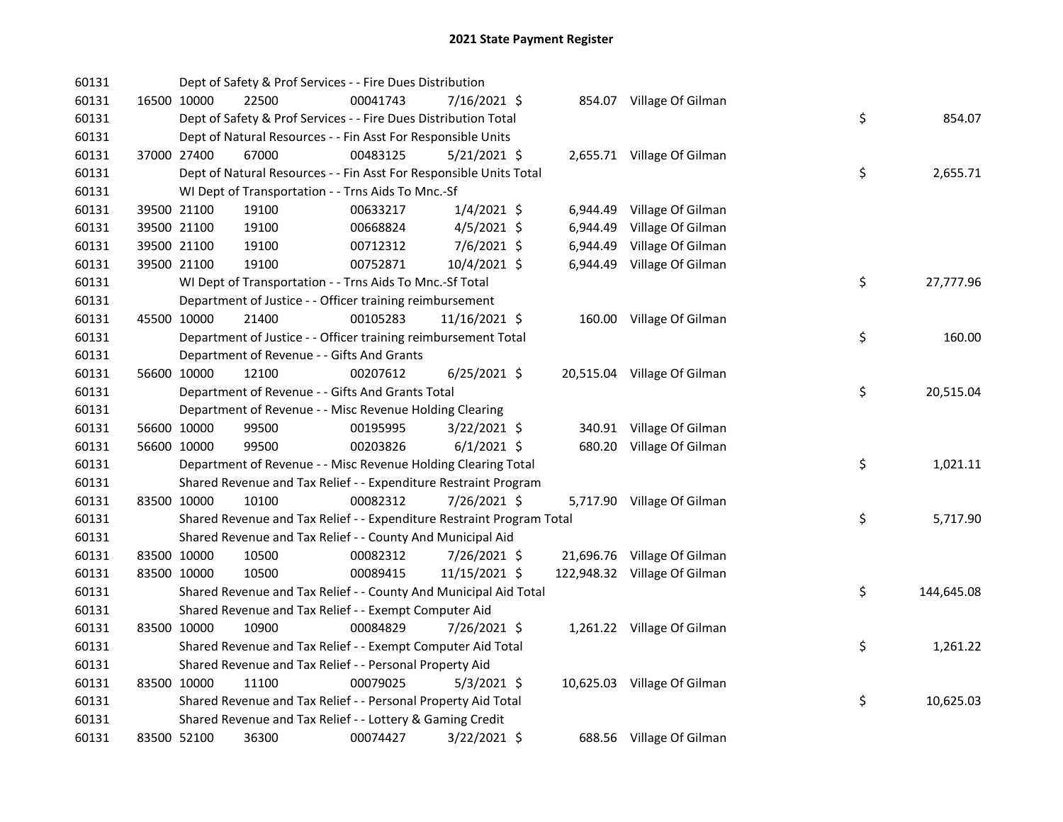| 60131 |             | Dept of Safety & Prof Services - - Fire Dues Distribution             |          |                |          |                              |    |            |
|-------|-------------|-----------------------------------------------------------------------|----------|----------------|----------|------------------------------|----|------------|
| 60131 | 16500 10000 | 22500                                                                 | 00041743 | 7/16/2021 \$   |          | 854.07 Village Of Gilman     |    |            |
| 60131 |             | Dept of Safety & Prof Services - - Fire Dues Distribution Total       |          |                |          |                              | \$ | 854.07     |
| 60131 |             | Dept of Natural Resources - - Fin Asst For Responsible Units          |          |                |          |                              |    |            |
| 60131 | 37000 27400 | 67000                                                                 | 00483125 | $5/21/2021$ \$ |          | 2,655.71 Village Of Gilman   |    |            |
| 60131 |             | Dept of Natural Resources - - Fin Asst For Responsible Units Total    |          |                |          |                              | \$ | 2,655.71   |
| 60131 |             | WI Dept of Transportation - - Trns Aids To Mnc.-Sf                    |          |                |          |                              |    |            |
| 60131 | 39500 21100 | 19100                                                                 | 00633217 | $1/4/2021$ \$  | 6,944.49 | Village Of Gilman            |    |            |
| 60131 | 39500 21100 | 19100                                                                 | 00668824 | 4/5/2021 \$    | 6,944.49 | Village Of Gilman            |    |            |
| 60131 | 39500 21100 | 19100                                                                 | 00712312 | 7/6/2021 \$    | 6,944.49 | Village Of Gilman            |    |            |
| 60131 | 39500 21100 | 19100                                                                 | 00752871 | 10/4/2021 \$   | 6,944.49 | Village Of Gilman            |    |            |
| 60131 |             | WI Dept of Transportation - - Trns Aids To Mnc.-Sf Total              |          |                |          |                              | \$ | 27,777.96  |
| 60131 |             | Department of Justice - - Officer training reimbursement              |          |                |          |                              |    |            |
| 60131 | 45500 10000 | 21400                                                                 | 00105283 | 11/16/2021 \$  |          | 160.00 Village Of Gilman     |    |            |
| 60131 |             | Department of Justice - - Officer training reimbursement Total        |          |                |          |                              | \$ | 160.00     |
| 60131 |             | Department of Revenue - - Gifts And Grants                            |          |                |          |                              |    |            |
| 60131 | 56600 10000 | 12100                                                                 | 00207612 | $6/25/2021$ \$ |          | 20,515.04 Village Of Gilman  |    |            |
| 60131 |             | Department of Revenue - - Gifts And Grants Total                      |          |                |          |                              | \$ | 20,515.04  |
| 60131 |             | Department of Revenue - - Misc Revenue Holding Clearing               |          |                |          |                              |    |            |
| 60131 | 56600 10000 | 99500                                                                 | 00195995 | 3/22/2021 \$   |          | 340.91 Village Of Gilman     |    |            |
| 60131 | 56600 10000 | 99500                                                                 | 00203826 | $6/1/2021$ \$  |          | 680.20 Village Of Gilman     |    |            |
| 60131 |             | Department of Revenue - - Misc Revenue Holding Clearing Total         |          |                |          |                              | \$ | 1,021.11   |
| 60131 |             | Shared Revenue and Tax Relief - - Expenditure Restraint Program       |          |                |          |                              |    |            |
| 60131 | 83500 10000 | 10100                                                                 | 00082312 | 7/26/2021 \$   |          | 5,717.90 Village Of Gilman   |    |            |
| 60131 |             | Shared Revenue and Tax Relief - - Expenditure Restraint Program Total |          |                |          |                              | \$ | 5,717.90   |
| 60131 |             | Shared Revenue and Tax Relief - - County And Municipal Aid            |          |                |          |                              |    |            |
| 60131 | 83500 10000 | 10500                                                                 | 00082312 | 7/26/2021 \$   |          | 21,696.76 Village Of Gilman  |    |            |
| 60131 | 83500 10000 | 10500                                                                 | 00089415 | 11/15/2021 \$  |          | 122,948.32 Village Of Gilman |    |            |
| 60131 |             | Shared Revenue and Tax Relief - - County And Municipal Aid Total      |          |                |          |                              | \$ | 144,645.08 |
| 60131 |             | Shared Revenue and Tax Relief - - Exempt Computer Aid                 |          |                |          |                              |    |            |
| 60131 | 83500 10000 | 10900                                                                 | 00084829 | 7/26/2021 \$   |          | 1,261.22 Village Of Gilman   |    |            |
| 60131 |             | Shared Revenue and Tax Relief - - Exempt Computer Aid Total           |          |                |          |                              | \$ | 1,261.22   |
| 60131 |             | Shared Revenue and Tax Relief - - Personal Property Aid               |          |                |          |                              |    |            |
| 60131 | 83500 10000 | 11100                                                                 | 00079025 | $5/3/2021$ \$  |          | 10,625.03 Village Of Gilman  |    |            |
| 60131 |             | Shared Revenue and Tax Relief - - Personal Property Aid Total         |          |                |          |                              | \$ | 10,625.03  |
| 60131 |             | Shared Revenue and Tax Relief - - Lottery & Gaming Credit             |          |                |          |                              |    |            |
| 60131 | 83500 52100 | 36300                                                                 | 00074427 | 3/22/2021 \$   |          | 688.56 Village Of Gilman     |    |            |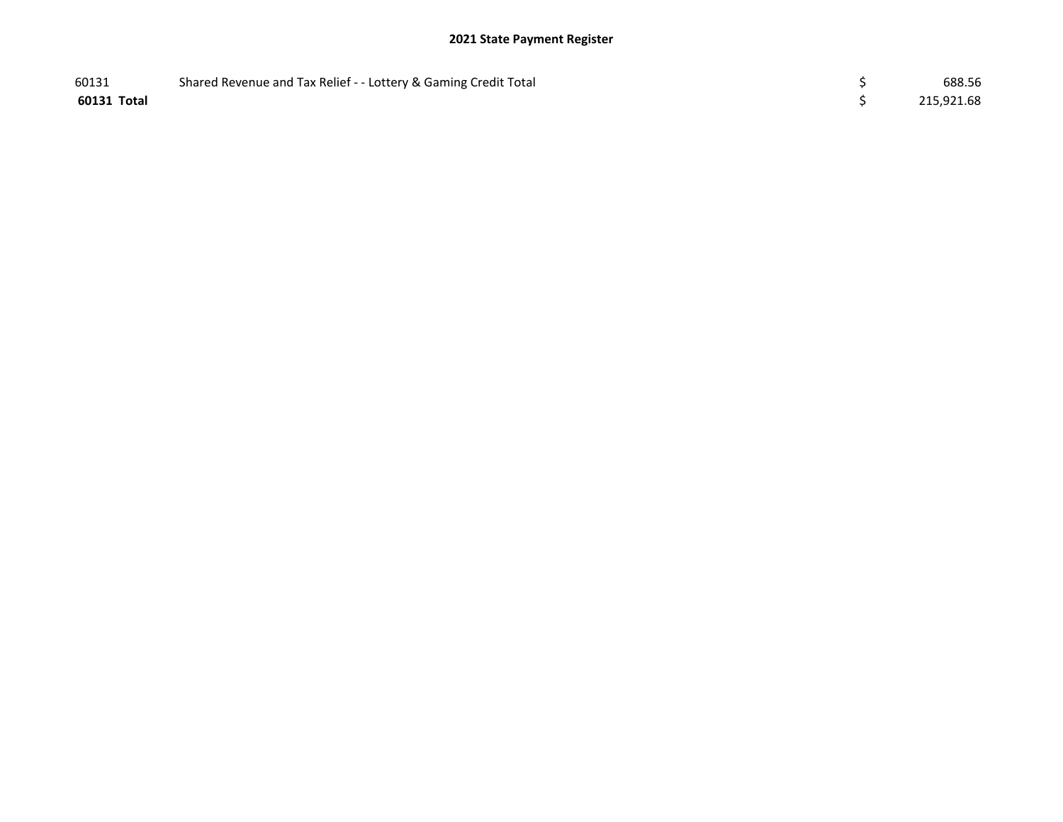| 60131       | Shared Revenue and Tax Relief - - Lottery & Gaming Credit Total | 688.56     |
|-------------|-----------------------------------------------------------------|------------|
| 60131 Total |                                                                 | 215,921.68 |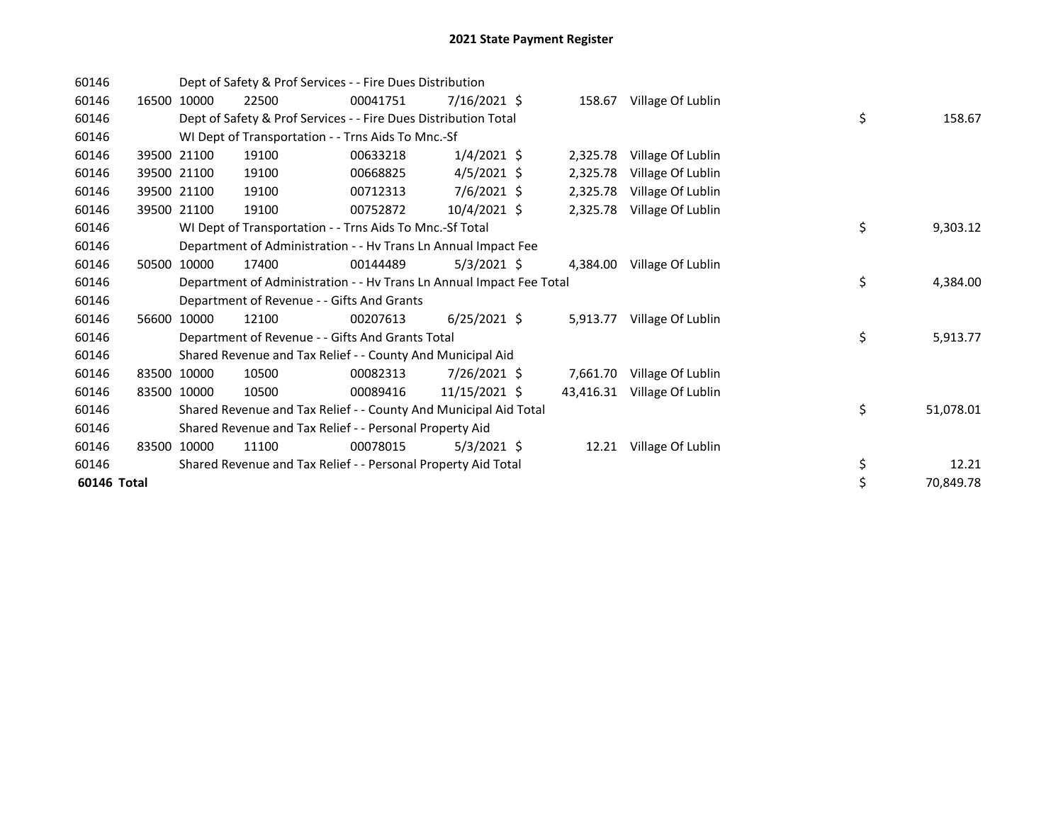| 60146       |       |             | Dept of Safety & Prof Services - - Fire Dues Distribution            |          |                |           |                          |    |           |
|-------------|-------|-------------|----------------------------------------------------------------------|----------|----------------|-----------|--------------------------|----|-----------|
| 60146       | 16500 | 10000       | 22500                                                                | 00041751 | 7/16/2021 \$   |           | 158.67 Village Of Lublin |    |           |
| 60146       |       |             | Dept of Safety & Prof Services - - Fire Dues Distribution Total      |          |                |           |                          | \$ | 158.67    |
| 60146       |       |             | WI Dept of Transportation - - Trns Aids To Mnc.-Sf                   |          |                |           |                          |    |           |
| 60146       |       | 39500 21100 | 19100                                                                | 00633218 | $1/4/2021$ \$  | 2,325.78  | Village Of Lublin        |    |           |
| 60146       |       | 39500 21100 | 19100                                                                | 00668825 | $4/5/2021$ \$  | 2,325.78  | Village Of Lublin        |    |           |
| 60146       |       | 39500 21100 | 19100                                                                | 00712313 | $7/6/2021$ \$  | 2,325.78  | Village Of Lublin        |    |           |
| 60146       |       | 39500 21100 | 19100                                                                | 00752872 | $10/4/2021$ \$ | 2,325.78  | Village Of Lublin        |    |           |
| 60146       |       |             | WI Dept of Transportation - - Trns Aids To Mnc.-Sf Total             |          |                |           |                          | \$ | 9,303.12  |
| 60146       |       |             | Department of Administration - - Hv Trans Ln Annual Impact Fee       |          |                |           |                          |    |           |
| 60146       | 50500 | 10000       | 17400                                                                | 00144489 | $5/3/2021$ \$  | 4,384.00  | Village Of Lublin        |    |           |
| 60146       |       |             | Department of Administration - - Hv Trans Ln Annual Impact Fee Total |          |                |           |                          | \$ | 4,384.00  |
| 60146       |       |             | Department of Revenue - - Gifts And Grants                           |          |                |           |                          |    |           |
| 60146       | 56600 | 10000       | 12100                                                                | 00207613 | $6/25/2021$ \$ | 5,913.77  | Village Of Lublin        |    |           |
| 60146       |       |             | Department of Revenue - - Gifts And Grants Total                     |          |                |           |                          | \$ | 5,913.77  |
| 60146       |       |             | Shared Revenue and Tax Relief - - County And Municipal Aid           |          |                |           |                          |    |           |
| 60146       | 83500 | 10000       | 10500                                                                | 00082313 | 7/26/2021 \$   | 7,661.70  | Village Of Lublin        |    |           |
| 60146       |       | 83500 10000 | 10500                                                                | 00089416 | 11/15/2021 \$  | 43,416.31 | Village Of Lublin        |    |           |
| 60146       |       |             | Shared Revenue and Tax Relief - - County And Municipal Aid Total     |          |                |           |                          | \$ | 51,078.01 |
| 60146       |       |             | Shared Revenue and Tax Relief - - Personal Property Aid              |          |                |           |                          |    |           |
| 60146       | 83500 | 10000       | 11100                                                                | 00078015 | $5/3/2021$ \$  | 12.21     | Village Of Lublin        |    |           |
| 60146       |       |             | Shared Revenue and Tax Relief - - Personal Property Aid Total        |          |                |           |                          | \$ | 12.21     |
| 60146 Total |       |             |                                                                      |          |                |           |                          | \$ | 70,849.78 |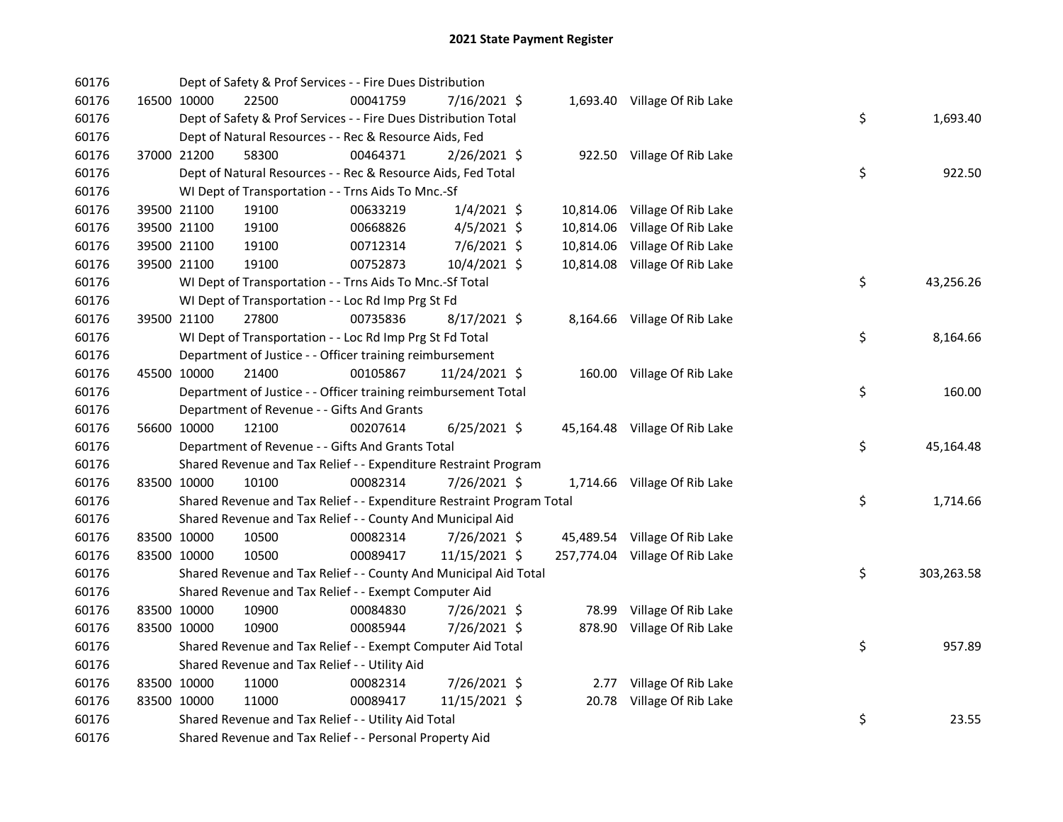| 60176 | Dept of Safety & Prof Services - - Fire Dues Distribution             |          |                |           |                                |    |            |
|-------|-----------------------------------------------------------------------|----------|----------------|-----------|--------------------------------|----|------------|
| 60176 | 16500 10000<br>22500                                                  | 00041759 | 7/16/2021 \$   |           | 1,693.40 Village Of Rib Lake   |    |            |
| 60176 | Dept of Safety & Prof Services - - Fire Dues Distribution Total       |          |                |           |                                | \$ | 1,693.40   |
| 60176 | Dept of Natural Resources - - Rec & Resource Aids, Fed                |          |                |           |                                |    |            |
| 60176 | 37000 21200<br>58300                                                  | 00464371 | 2/26/2021 \$   |           | 922.50 Village Of Rib Lake     |    |            |
| 60176 | Dept of Natural Resources - - Rec & Resource Aids, Fed Total          |          |                |           |                                | \$ | 922.50     |
| 60176 | WI Dept of Transportation - - Trns Aids To Mnc.-Sf                    |          |                |           |                                |    |            |
| 60176 | 39500 21100<br>19100                                                  | 00633219 | $1/4/2021$ \$  |           | 10,814.06 Village Of Rib Lake  |    |            |
| 60176 | 19100<br>39500 21100                                                  | 00668826 | $4/5/2021$ \$  | 10,814.06 | Village Of Rib Lake            |    |            |
| 60176 | 39500 21100<br>19100                                                  | 00712314 | $7/6/2021$ \$  | 10,814.06 | Village Of Rib Lake            |    |            |
| 60176 | 39500 21100<br>19100                                                  | 00752873 | 10/4/2021 \$   |           | 10,814.08 Village Of Rib Lake  |    |            |
| 60176 | WI Dept of Transportation - - Trns Aids To Mnc.-Sf Total              |          |                |           |                                | \$ | 43,256.26  |
| 60176 | WI Dept of Transportation - - Loc Rd Imp Prg St Fd                    |          |                |           |                                |    |            |
| 60176 | 27800<br>39500 21100                                                  | 00735836 | 8/17/2021 \$   |           | 8,164.66 Village Of Rib Lake   |    |            |
| 60176 | WI Dept of Transportation - - Loc Rd Imp Prg St Fd Total              |          |                |           |                                | \$ | 8,164.66   |
| 60176 | Department of Justice - - Officer training reimbursement              |          |                |           |                                |    |            |
| 60176 | 45500 10000<br>21400                                                  | 00105867 | 11/24/2021 \$  |           | 160.00 Village Of Rib Lake     |    |            |
| 60176 | Department of Justice - - Officer training reimbursement Total        |          |                |           |                                | \$ | 160.00     |
| 60176 | Department of Revenue - - Gifts And Grants                            |          |                |           |                                |    |            |
| 60176 | 12100<br>56600 10000                                                  | 00207614 | $6/25/2021$ \$ |           | 45,164.48 Village Of Rib Lake  |    |            |
| 60176 | Department of Revenue - - Gifts And Grants Total                      |          |                |           |                                | \$ | 45,164.48  |
| 60176 | Shared Revenue and Tax Relief - - Expenditure Restraint Program       |          |                |           |                                |    |            |
| 60176 | 83500 10000<br>10100                                                  | 00082314 | 7/26/2021 \$   |           | 1,714.66 Village Of Rib Lake   |    |            |
| 60176 | Shared Revenue and Tax Relief - - Expenditure Restraint Program Total |          |                |           |                                | \$ | 1,714.66   |
| 60176 | Shared Revenue and Tax Relief - - County And Municipal Aid            |          |                |           |                                |    |            |
| 60176 | 83500 10000<br>10500                                                  | 00082314 | 7/26/2021 \$   |           | 45,489.54 Village Of Rib Lake  |    |            |
| 60176 | 83500 10000<br>10500                                                  | 00089417 | 11/15/2021 \$  |           | 257,774.04 Village Of Rib Lake |    |            |
| 60176 | Shared Revenue and Tax Relief - - County And Municipal Aid Total      |          |                |           |                                | \$ | 303,263.58 |
| 60176 | Shared Revenue and Tax Relief - - Exempt Computer Aid                 |          |                |           |                                |    |            |
| 60176 | 83500 10000<br>10900                                                  | 00084830 | 7/26/2021 \$   |           | 78.99 Village Of Rib Lake      |    |            |
| 60176 | 83500 10000<br>10900                                                  | 00085944 | 7/26/2021 \$   |           | 878.90 Village Of Rib Lake     |    |            |
| 60176 | Shared Revenue and Tax Relief - - Exempt Computer Aid Total           |          |                |           |                                | \$ | 957.89     |
| 60176 | Shared Revenue and Tax Relief - - Utility Aid                         |          |                |           |                                |    |            |
| 60176 | 83500 10000<br>11000                                                  | 00082314 | 7/26/2021 \$   |           | 2.77 Village Of Rib Lake       |    |            |
| 60176 | 83500 10000<br>11000                                                  | 00089417 | 11/15/2021 \$  | 20.78     | Village Of Rib Lake            |    |            |
| 60176 | Shared Revenue and Tax Relief - - Utility Aid Total                   |          |                |           |                                | \$ | 23.55      |
| 60176 | Shared Revenue and Tax Relief - - Personal Property Aid               |          |                |           |                                |    |            |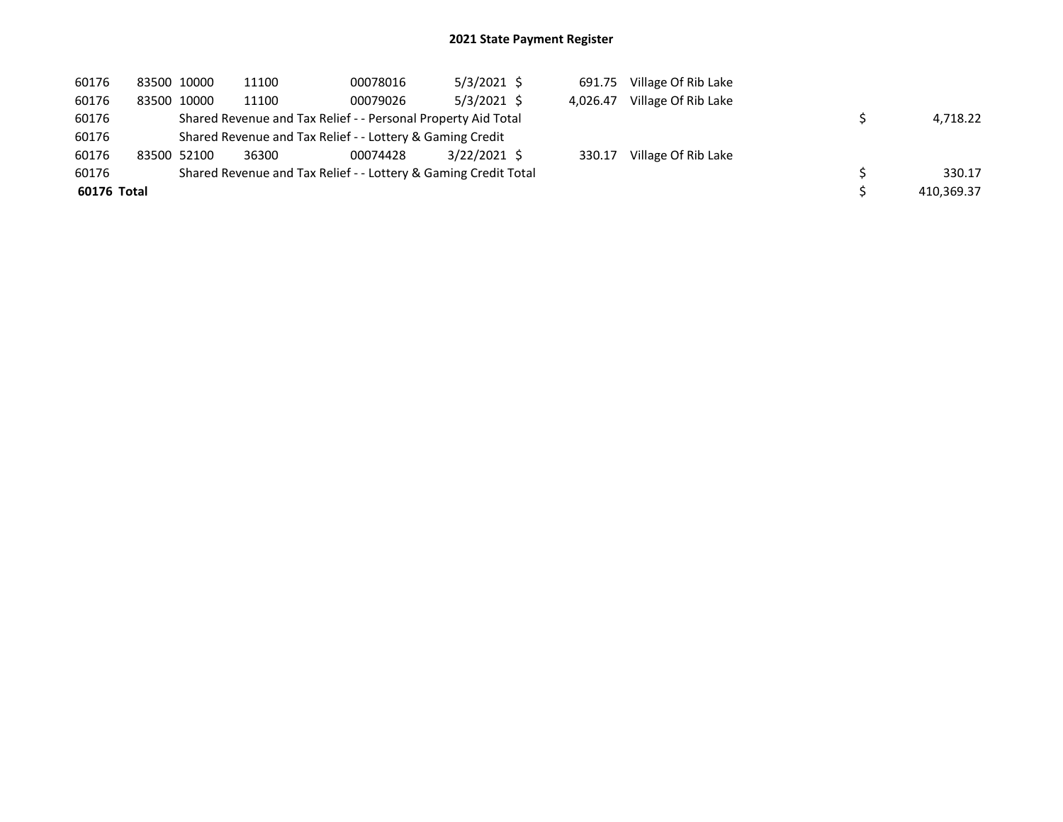| 60176       | 83500 10000 | 11100 | 00078016                                                        | $5/3/2021$ \$  | 691.75   | Village Of Rib Lake |            |
|-------------|-------------|-------|-----------------------------------------------------------------|----------------|----------|---------------------|------------|
| 60176       | 83500 10000 | 11100 | 00079026                                                        | $5/3/2021$ \$  | 4.026.47 | Village Of Rib Lake |            |
| 60176       |             |       | Shared Revenue and Tax Relief - - Personal Property Aid Total   |                |          |                     | 4.718.22   |
| 60176       |             |       | Shared Revenue and Tax Relief - - Lottery & Gaming Credit       |                |          |                     |            |
| 60176       | 83500 52100 | 36300 | 00074428                                                        | $3/22/2021$ \$ | 330.17   | Village Of Rib Lake |            |
| 60176       |             |       | Shared Revenue and Tax Relief - - Lottery & Gaming Credit Total |                |          |                     | 330.17     |
| 60176 Total |             |       |                                                                 |                |          |                     | 410,369.37 |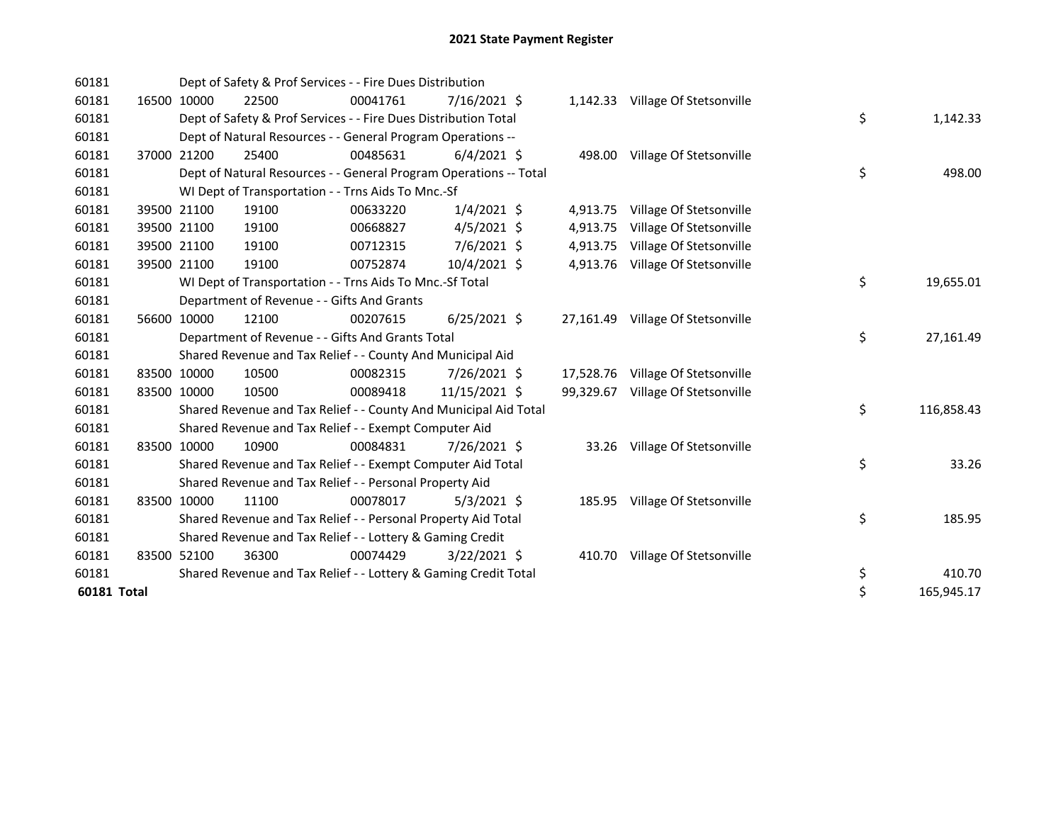| 60181       |       |             | Dept of Safety & Prof Services - - Fire Dues Distribution         |          |                |           |                                   |    |            |
|-------------|-------|-------------|-------------------------------------------------------------------|----------|----------------|-----------|-----------------------------------|----|------------|
| 60181       |       | 16500 10000 | 22500                                                             | 00041761 | 7/16/2021 \$   |           | 1,142.33 Village Of Stetsonville  |    |            |
| 60181       |       |             | Dept of Safety & Prof Services - - Fire Dues Distribution Total   |          |                |           |                                   | \$ | 1,142.33   |
| 60181       |       |             | Dept of Natural Resources - - General Program Operations --       |          |                |           |                                   |    |            |
| 60181       |       | 37000 21200 | 25400                                                             | 00485631 | $6/4/2021$ \$  |           | 498.00 Village Of Stetsonville    |    |            |
| 60181       |       |             | Dept of Natural Resources - - General Program Operations -- Total |          |                |           |                                   | \$ | 498.00     |
| 60181       |       |             | WI Dept of Transportation - - Trns Aids To Mnc.-Sf                |          |                |           |                                   |    |            |
| 60181       |       | 39500 21100 | 19100                                                             | 00633220 | $1/4/2021$ \$  |           | 4,913.75 Village Of Stetsonville  |    |            |
| 60181       |       | 39500 21100 | 19100                                                             | 00668827 | $4/5/2021$ \$  | 4,913.75  | Village Of Stetsonville           |    |            |
| 60181       |       | 39500 21100 | 19100                                                             | 00712315 | 7/6/2021 \$    | 4,913.75  | Village Of Stetsonville           |    |            |
| 60181       |       | 39500 21100 | 19100                                                             | 00752874 | 10/4/2021 \$   | 4,913.76  | Village Of Stetsonville           |    |            |
| 60181       |       |             | WI Dept of Transportation - - Trns Aids To Mnc.-Sf Total          |          |                |           |                                   | \$ | 19,655.01  |
| 60181       |       |             | Department of Revenue - - Gifts And Grants                        |          |                |           |                                   |    |            |
| 60181       |       | 56600 10000 | 12100                                                             | 00207615 | $6/25/2021$ \$ |           | 27,161.49 Village Of Stetsonville |    |            |
| 60181       |       |             | Department of Revenue - - Gifts And Grants Total                  |          |                |           |                                   | \$ | 27,161.49  |
| 60181       |       |             | Shared Revenue and Tax Relief - - County And Municipal Aid        |          |                |           |                                   |    |            |
| 60181       |       | 83500 10000 | 10500                                                             | 00082315 | 7/26/2021 \$   |           | 17,528.76 Village Of Stetsonville |    |            |
| 60181       |       | 83500 10000 | 10500                                                             | 00089418 | 11/15/2021 \$  | 99,329.67 | Village Of Stetsonville           |    |            |
| 60181       |       |             | Shared Revenue and Tax Relief - - County And Municipal Aid Total  |          |                |           |                                   | \$ | 116,858.43 |
| 60181       |       |             | Shared Revenue and Tax Relief - - Exempt Computer Aid             |          |                |           |                                   |    |            |
| 60181       |       | 83500 10000 | 10900                                                             | 00084831 | 7/26/2021 \$   |           | 33.26 Village Of Stetsonville     |    |            |
| 60181       |       |             | Shared Revenue and Tax Relief - - Exempt Computer Aid Total       |          |                |           |                                   | \$ | 33.26      |
| 60181       |       |             | Shared Revenue and Tax Relief - - Personal Property Aid           |          |                |           |                                   |    |            |
| 60181       | 83500 | 10000       | 11100                                                             | 00078017 | $5/3/2021$ \$  |           | 185.95 Village Of Stetsonville    |    |            |
| 60181       |       |             | Shared Revenue and Tax Relief - - Personal Property Aid Total     |          |                |           |                                   | \$ | 185.95     |
| 60181       |       |             | Shared Revenue and Tax Relief - - Lottery & Gaming Credit         |          |                |           |                                   |    |            |
| 60181       |       | 83500 52100 | 36300                                                             | 00074429 | $3/22/2021$ \$ |           | 410.70 Village Of Stetsonville    |    |            |
| 60181       |       |             | Shared Revenue and Tax Relief - - Lottery & Gaming Credit Total   |          |                |           |                                   | \$ | 410.70     |
| 60181 Total |       |             |                                                                   |          |                |           |                                   | \$ | 165,945.17 |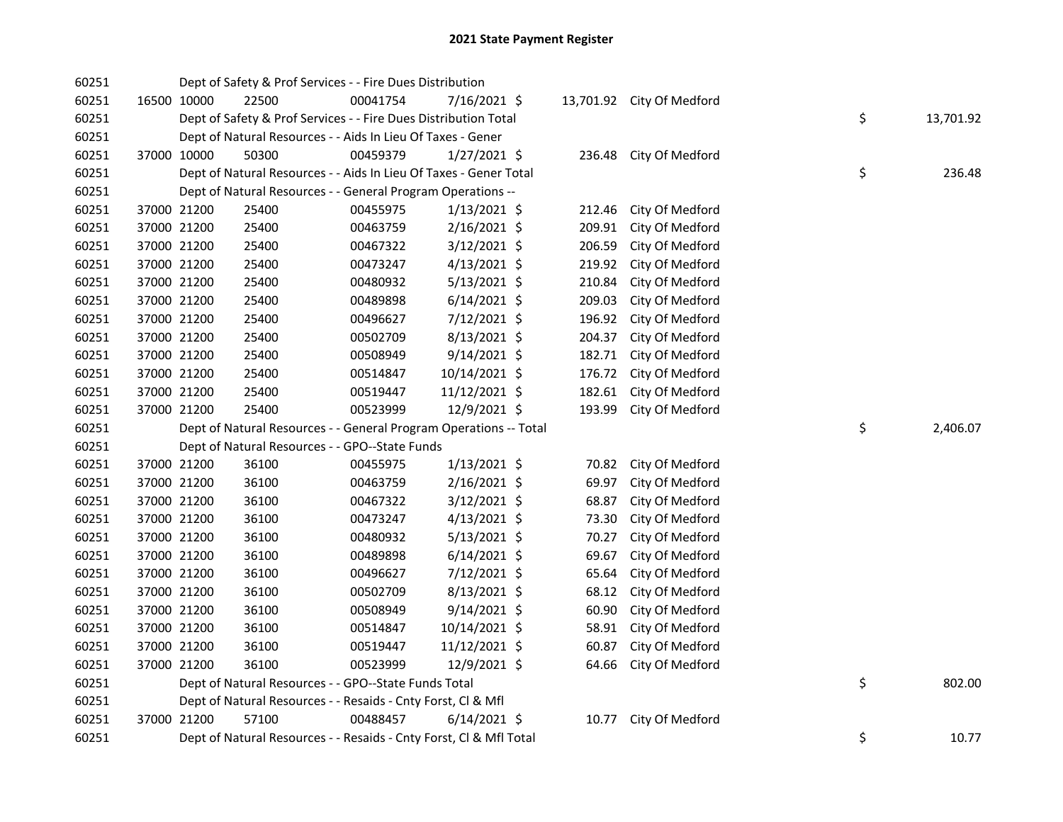| 60251 |             | Dept of Safety & Prof Services - - Fire Dues Distribution         |          |                |        |                           |    |           |
|-------|-------------|-------------------------------------------------------------------|----------|----------------|--------|---------------------------|----|-----------|
| 60251 | 16500 10000 | 22500                                                             | 00041754 | 7/16/2021 \$   |        | 13,701.92 City Of Medford |    |           |
| 60251 |             | Dept of Safety & Prof Services - - Fire Dues Distribution Total   |          |                |        |                           | \$ | 13,701.92 |
| 60251 |             | Dept of Natural Resources - - Aids In Lieu Of Taxes - Gener       |          |                |        |                           |    |           |
| 60251 | 37000 10000 | 50300                                                             | 00459379 | $1/27/2021$ \$ |        | 236.48 City Of Medford    |    |           |
| 60251 |             | Dept of Natural Resources - - Aids In Lieu Of Taxes - Gener Total |          |                |        |                           | \$ | 236.48    |
| 60251 |             | Dept of Natural Resources - - General Program Operations --       |          |                |        |                           |    |           |
| 60251 | 37000 21200 | 25400                                                             | 00455975 | $1/13/2021$ \$ | 212.46 | City Of Medford           |    |           |
| 60251 | 37000 21200 | 25400                                                             | 00463759 | $2/16/2021$ \$ | 209.91 | City Of Medford           |    |           |
| 60251 | 37000 21200 | 25400                                                             | 00467322 | $3/12/2021$ \$ | 206.59 | City Of Medford           |    |           |
| 60251 | 37000 21200 | 25400                                                             | 00473247 | $4/13/2021$ \$ | 219.92 | City Of Medford           |    |           |
| 60251 | 37000 21200 | 25400                                                             | 00480932 | $5/13/2021$ \$ | 210.84 | City Of Medford           |    |           |
| 60251 | 37000 21200 | 25400                                                             | 00489898 | $6/14/2021$ \$ | 209.03 | City Of Medford           |    |           |
| 60251 | 37000 21200 | 25400                                                             | 00496627 | 7/12/2021 \$   | 196.92 | City Of Medford           |    |           |
| 60251 | 37000 21200 | 25400                                                             | 00502709 | 8/13/2021 \$   | 204.37 | City Of Medford           |    |           |
| 60251 | 37000 21200 | 25400                                                             | 00508949 | $9/14/2021$ \$ | 182.71 | City Of Medford           |    |           |
| 60251 | 37000 21200 | 25400                                                             | 00514847 | 10/14/2021 \$  | 176.72 | City Of Medford           |    |           |
| 60251 | 37000 21200 | 25400                                                             | 00519447 | 11/12/2021 \$  | 182.61 | City Of Medford           |    |           |
| 60251 | 37000 21200 | 25400                                                             | 00523999 | 12/9/2021 \$   | 193.99 | City Of Medford           |    |           |
| 60251 |             | Dept of Natural Resources - - General Program Operations -- Total |          |                |        |                           | \$ | 2,406.07  |
| 60251 |             | Dept of Natural Resources - - GPO--State Funds                    |          |                |        |                           |    |           |
| 60251 | 37000 21200 | 36100                                                             | 00455975 | $1/13/2021$ \$ | 70.82  | City Of Medford           |    |           |
| 60251 | 37000 21200 | 36100                                                             | 00463759 | 2/16/2021 \$   | 69.97  | City Of Medford           |    |           |
| 60251 | 37000 21200 | 36100                                                             | 00467322 | 3/12/2021 \$   | 68.87  | City Of Medford           |    |           |
| 60251 | 37000 21200 | 36100                                                             | 00473247 | $4/13/2021$ \$ | 73.30  | City Of Medford           |    |           |
| 60251 | 37000 21200 | 36100                                                             | 00480932 | $5/13/2021$ \$ | 70.27  | City Of Medford           |    |           |
| 60251 | 37000 21200 | 36100                                                             | 00489898 | $6/14/2021$ \$ | 69.67  | City Of Medford           |    |           |
| 60251 | 37000 21200 | 36100                                                             | 00496627 | 7/12/2021 \$   | 65.64  | City Of Medford           |    |           |
| 60251 | 37000 21200 | 36100                                                             | 00502709 | $8/13/2021$ \$ | 68.12  | City Of Medford           |    |           |
| 60251 | 37000 21200 | 36100                                                             | 00508949 | $9/14/2021$ \$ | 60.90  | City Of Medford           |    |           |
| 60251 | 37000 21200 | 36100                                                             | 00514847 | 10/14/2021 \$  | 58.91  | City Of Medford           |    |           |
| 60251 | 37000 21200 | 36100                                                             | 00519447 | 11/12/2021 \$  | 60.87  | City Of Medford           |    |           |
| 60251 | 37000 21200 | 36100                                                             | 00523999 | 12/9/2021 \$   | 64.66  | City Of Medford           |    |           |
| 60251 |             | Dept of Natural Resources - - GPO--State Funds Total              |          |                |        |                           | \$ | 802.00    |
|       |             |                                                                   |          |                |        |                           |    |           |
| 60251 |             | Dept of Natural Resources - - Resaids - Cnty Forst, Cl & Mfl      |          |                |        |                           |    |           |
| 60251 | 37000 21200 | 57100                                                             | 00488457 | $6/14/2021$ \$ | 10.77  | City Of Medford           |    |           |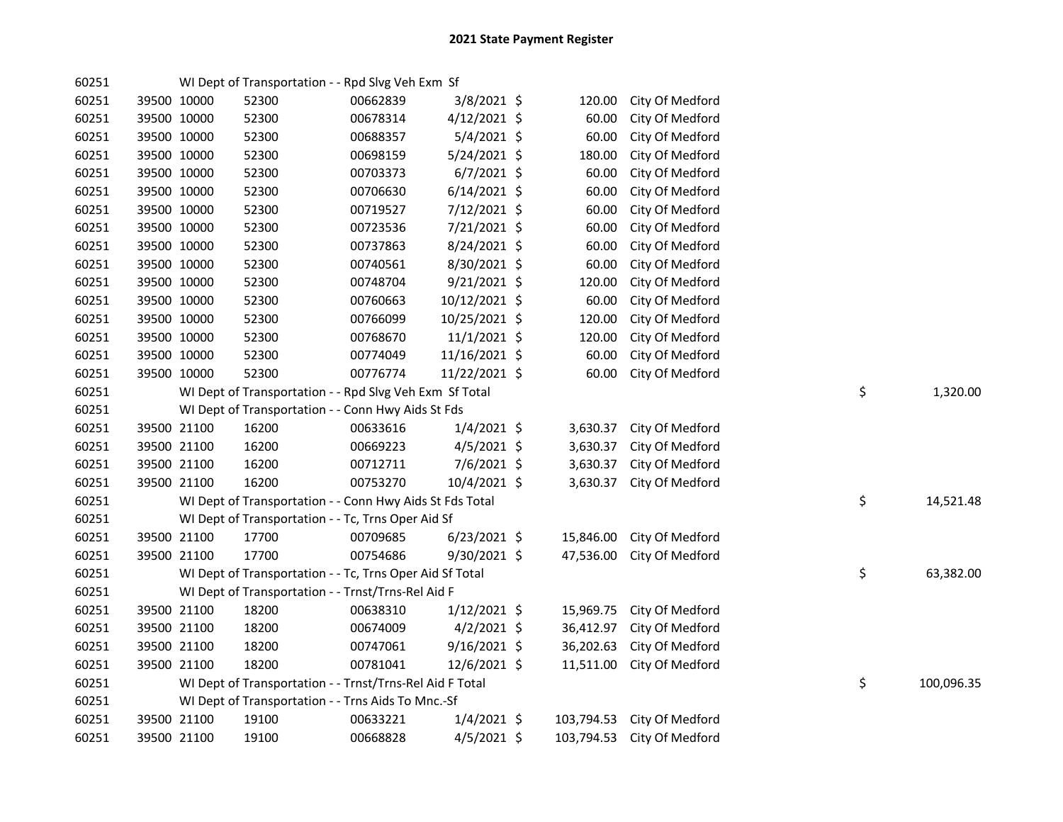| 60251 |             |             | WI Dept of Transportation - - Rpd Slvg Veh Exm Sf        |          |                |            |                            |    |            |
|-------|-------------|-------------|----------------------------------------------------------|----------|----------------|------------|----------------------------|----|------------|
| 60251 |             | 39500 10000 | 52300                                                    | 00662839 | $3/8/2021$ \$  | 120.00     | City Of Medford            |    |            |
| 60251 | 39500 10000 |             | 52300                                                    | 00678314 | 4/12/2021 \$   | 60.00      | City Of Medford            |    |            |
| 60251 |             | 39500 10000 | 52300                                                    | 00688357 | $5/4/2021$ \$  | 60.00      | City Of Medford            |    |            |
| 60251 |             | 39500 10000 | 52300                                                    | 00698159 | 5/24/2021 \$   | 180.00     | City Of Medford            |    |            |
| 60251 |             | 39500 10000 | 52300                                                    | 00703373 | $6/7/2021$ \$  | 60.00      | City Of Medford            |    |            |
| 60251 |             | 39500 10000 | 52300                                                    | 00706630 | $6/14/2021$ \$ | 60.00      | City Of Medford            |    |            |
| 60251 |             | 39500 10000 | 52300                                                    | 00719527 | 7/12/2021 \$   | 60.00      | City Of Medford            |    |            |
| 60251 |             | 39500 10000 | 52300                                                    | 00723536 | 7/21/2021 \$   | 60.00      | City Of Medford            |    |            |
| 60251 |             | 39500 10000 | 52300                                                    | 00737863 | 8/24/2021 \$   | 60.00      | City Of Medford            |    |            |
| 60251 |             | 39500 10000 | 52300                                                    | 00740561 | 8/30/2021 \$   | 60.00      | City Of Medford            |    |            |
| 60251 |             | 39500 10000 | 52300                                                    | 00748704 | $9/21/2021$ \$ | 120.00     | City Of Medford            |    |            |
| 60251 |             | 39500 10000 | 52300                                                    | 00760663 | 10/12/2021 \$  | 60.00      | City Of Medford            |    |            |
| 60251 |             | 39500 10000 | 52300                                                    | 00766099 | 10/25/2021 \$  | 120.00     | City Of Medford            |    |            |
| 60251 |             | 39500 10000 | 52300                                                    | 00768670 | 11/1/2021 \$   | 120.00     | City Of Medford            |    |            |
| 60251 |             | 39500 10000 | 52300                                                    | 00774049 | 11/16/2021 \$  | 60.00      | City Of Medford            |    |            |
| 60251 |             | 39500 10000 | 52300                                                    | 00776774 | 11/22/2021 \$  | 60.00      | City Of Medford            |    |            |
| 60251 |             |             | WI Dept of Transportation - - Rpd Slvg Veh Exm Sf Total  |          |                |            |                            | \$ | 1,320.00   |
| 60251 |             |             | WI Dept of Transportation - - Conn Hwy Aids St Fds       |          |                |            |                            |    |            |
| 60251 |             | 39500 21100 | 16200                                                    | 00633616 | $1/4/2021$ \$  | 3,630.37   | City Of Medford            |    |            |
| 60251 |             | 39500 21100 | 16200                                                    | 00669223 | $4/5/2021$ \$  | 3,630.37   | City Of Medford            |    |            |
| 60251 |             | 39500 21100 | 16200                                                    | 00712711 | 7/6/2021 \$    | 3,630.37   | City Of Medford            |    |            |
| 60251 |             | 39500 21100 | 16200                                                    | 00753270 | 10/4/2021 \$   | 3,630.37   | City Of Medford            |    |            |
| 60251 |             |             | WI Dept of Transportation - - Conn Hwy Aids St Fds Total |          |                |            |                            | \$ | 14,521.48  |
| 60251 |             |             | WI Dept of Transportation - - Tc, Trns Oper Aid Sf       |          |                |            |                            |    |            |
| 60251 |             | 39500 21100 | 17700                                                    | 00709685 | $6/23/2021$ \$ | 15,846.00  | City Of Medford            |    |            |
| 60251 |             | 39500 21100 | 17700                                                    | 00754686 | 9/30/2021 \$   | 47,536.00  | City Of Medford            |    |            |
| 60251 |             |             | WI Dept of Transportation - - Tc, Trns Oper Aid Sf Total |          |                |            |                            | \$ | 63,382.00  |
| 60251 |             |             | WI Dept of Transportation - - Trnst/Trns-Rel Aid F       |          |                |            |                            |    |            |
| 60251 |             | 39500 21100 | 18200                                                    | 00638310 | $1/12/2021$ \$ | 15,969.75  | City Of Medford            |    |            |
| 60251 |             | 39500 21100 | 18200                                                    | 00674009 | $4/2/2021$ \$  | 36,412.97  | City Of Medford            |    |            |
| 60251 |             | 39500 21100 | 18200                                                    | 00747061 | $9/16/2021$ \$ | 36,202.63  | City Of Medford            |    |            |
| 60251 |             | 39500 21100 | 18200                                                    | 00781041 | $12/6/2021$ \$ | 11,511.00  | City Of Medford            |    |            |
| 60251 |             |             | WI Dept of Transportation - - Trnst/Trns-Rel Aid F Total |          |                |            |                            | \$ | 100,096.35 |
| 60251 |             |             | WI Dept of Transportation - - Trns Aids To Mnc.-Sf       |          |                |            |                            |    |            |
| 60251 |             | 39500 21100 | 19100                                                    | 00633221 | $1/4/2021$ \$  | 103,794.53 | City Of Medford            |    |            |
| 60251 |             | 39500 21100 | 19100                                                    | 00668828 | $4/5/2021$ \$  |            | 103,794.53 City Of Medford |    |            |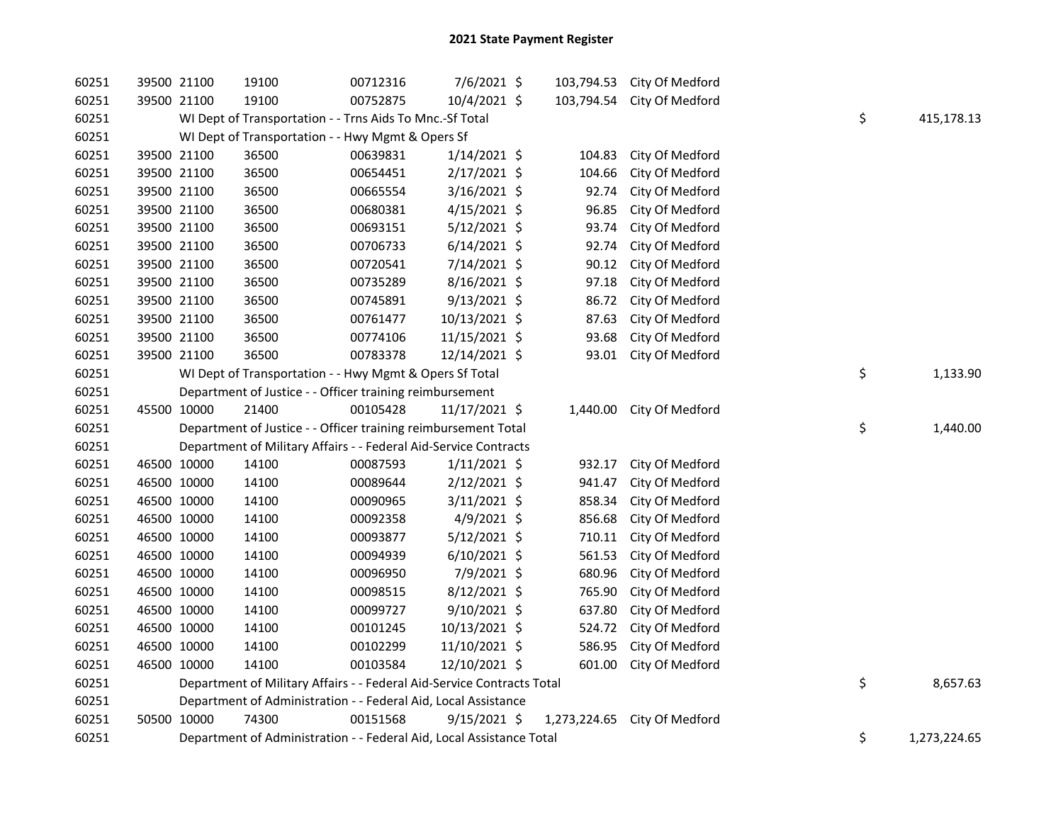| 60251 | 39500 21100                                       | 19100                                                                  | 00712316 | 7/6/2021 \$    |          |        | 103,794.53 City Of Medford   |  |    |              |
|-------|---------------------------------------------------|------------------------------------------------------------------------|----------|----------------|----------|--------|------------------------------|--|----|--------------|
| 60251 | 39500 21100                                       | 19100                                                                  | 00752875 | 10/4/2021 \$   |          |        | 103,794.54 City Of Medford   |  |    |              |
| 60251 |                                                   | WI Dept of Transportation - - Trns Aids To Mnc.-Sf Total               |          |                |          |        |                              |  | \$ | 415,178.13   |
| 60251 | WI Dept of Transportation - - Hwy Mgmt & Opers Sf |                                                                        |          |                |          |        |                              |  |    |              |
| 60251 | 39500 21100                                       | 36500                                                                  | 00639831 | $1/14/2021$ \$ |          | 104.83 | City Of Medford              |  |    |              |
| 60251 | 39500 21100                                       | 36500                                                                  | 00654451 | 2/17/2021 \$   |          | 104.66 | City Of Medford              |  |    |              |
| 60251 | 39500 21100                                       | 36500                                                                  | 00665554 | 3/16/2021 \$   |          | 92.74  | City Of Medford              |  |    |              |
| 60251 | 39500 21100                                       | 36500                                                                  | 00680381 | $4/15/2021$ \$ |          | 96.85  | City Of Medford              |  |    |              |
| 60251 | 39500 21100                                       | 36500                                                                  | 00693151 | $5/12/2021$ \$ |          | 93.74  | City Of Medford              |  |    |              |
| 60251 | 39500 21100                                       | 36500                                                                  | 00706733 | $6/14/2021$ \$ |          | 92.74  | City Of Medford              |  |    |              |
| 60251 | 39500 21100                                       | 36500                                                                  | 00720541 | 7/14/2021 \$   |          | 90.12  | City Of Medford              |  |    |              |
| 60251 | 39500 21100                                       | 36500                                                                  | 00735289 | $8/16/2021$ \$ |          | 97.18  | City Of Medford              |  |    |              |
| 60251 | 39500 21100                                       | 36500                                                                  | 00745891 | $9/13/2021$ \$ |          | 86.72  | City Of Medford              |  |    |              |
| 60251 | 39500 21100                                       | 36500                                                                  | 00761477 | 10/13/2021 \$  |          | 87.63  | City Of Medford              |  |    |              |
| 60251 | 39500 21100                                       | 36500                                                                  | 00774106 | 11/15/2021 \$  |          | 93.68  | City Of Medford              |  |    |              |
| 60251 | 39500 21100                                       | 36500                                                                  | 00783378 | 12/14/2021 \$  |          | 93.01  | City Of Medford              |  |    |              |
| 60251 |                                                   | WI Dept of Transportation - - Hwy Mgmt & Opers Sf Total                |          | \$             | 1,133.90 |        |                              |  |    |              |
| 60251 |                                                   | Department of Justice - - Officer training reimbursement               |          |                |          |        |                              |  |    |              |
| 60251 | 45500 10000                                       | 21400                                                                  | 00105428 | 11/17/2021 \$  |          |        | 1,440.00 City Of Medford     |  |    |              |
| 60251 |                                                   | Department of Justice - - Officer training reimbursement Total         |          |                |          |        |                              |  | \$ | 1,440.00     |
| 60251 |                                                   | Department of Military Affairs - - Federal Aid-Service Contracts       |          |                |          |        |                              |  |    |              |
| 60251 | 46500 10000                                       | 14100                                                                  | 00087593 | $1/11/2021$ \$ |          | 932.17 | City Of Medford              |  |    |              |
| 60251 | 46500 10000                                       | 14100                                                                  | 00089644 | $2/12/2021$ \$ |          | 941.47 | City Of Medford              |  |    |              |
| 60251 | 46500 10000                                       | 14100                                                                  | 00090965 | 3/11/2021 \$   |          | 858.34 | City Of Medford              |  |    |              |
| 60251 | 46500 10000                                       | 14100                                                                  | 00092358 | 4/9/2021 \$    |          | 856.68 | City Of Medford              |  |    |              |
| 60251 | 46500 10000                                       | 14100                                                                  | 00093877 | $5/12/2021$ \$ |          | 710.11 | City Of Medford              |  |    |              |
| 60251 | 46500 10000                                       | 14100                                                                  | 00094939 | $6/10/2021$ \$ |          | 561.53 | City Of Medford              |  |    |              |
| 60251 | 46500 10000                                       | 14100                                                                  | 00096950 | 7/9/2021 \$    |          | 680.96 | City Of Medford              |  |    |              |
| 60251 | 46500 10000                                       | 14100                                                                  | 00098515 | $8/12/2021$ \$ |          | 765.90 | City Of Medford              |  |    |              |
| 60251 | 46500 10000                                       | 14100                                                                  | 00099727 | 9/10/2021 \$   |          | 637.80 | City Of Medford              |  |    |              |
| 60251 | 46500 10000                                       | 14100                                                                  | 00101245 | 10/13/2021 \$  |          | 524.72 | City Of Medford              |  |    |              |
| 60251 | 46500 10000                                       | 14100                                                                  | 00102299 | 11/10/2021 \$  |          | 586.95 | City Of Medford              |  |    |              |
| 60251 | 46500 10000                                       | 14100                                                                  | 00103584 | 12/10/2021 \$  |          | 601.00 | City Of Medford              |  |    |              |
| 60251 |                                                   | Department of Military Affairs - - Federal Aid-Service Contracts Total |          |                |          |        |                              |  | \$ | 8,657.63     |
| 60251 |                                                   | Department of Administration - - Federal Aid, Local Assistance         |          |                |          |        |                              |  |    |              |
| 60251 | 50500 10000                                       | 74300                                                                  | 00151568 | $9/15/2021$ \$ |          |        | 1,273,224.65 City Of Medford |  |    |              |
| 60251 |                                                   | Department of Administration - - Federal Aid, Local Assistance Total   |          |                |          |        |                              |  | \$ | 1,273,224.65 |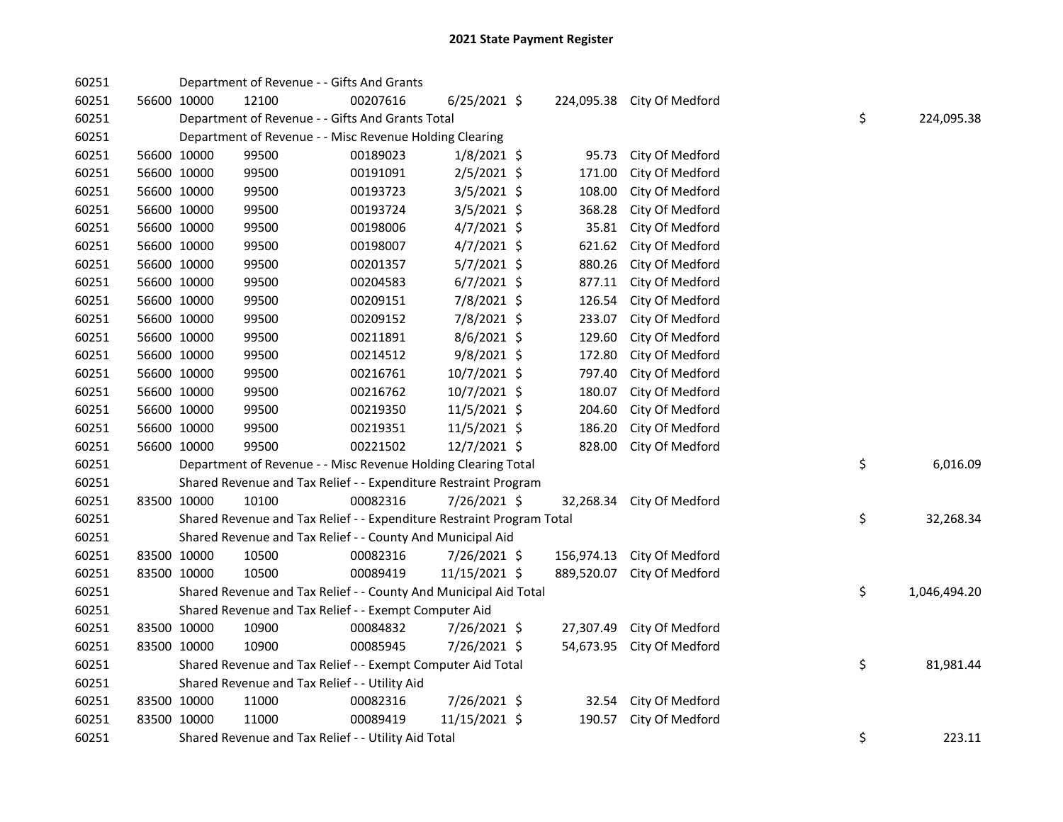| 60251 |                                                         | Department of Revenue - - Gifts And Grants                            |          |                |  |            |                            |  |    |              |
|-------|---------------------------------------------------------|-----------------------------------------------------------------------|----------|----------------|--|------------|----------------------------|--|----|--------------|
| 60251 | 56600 10000                                             | 12100                                                                 | 00207616 | $6/25/2021$ \$ |  |            | 224,095.38 City Of Medford |  |    |              |
| 60251 |                                                         | Department of Revenue - - Gifts And Grants Total                      |          |                |  |            |                            |  | \$ | 224,095.38   |
| 60251 | Department of Revenue - - Misc Revenue Holding Clearing |                                                                       |          |                |  |            |                            |  |    |              |
| 60251 | 56600 10000                                             | 99500                                                                 | 00189023 | $1/8/2021$ \$  |  | 95.73      | City Of Medford            |  |    |              |
| 60251 | 56600 10000                                             | 99500                                                                 | 00191091 | 2/5/2021 \$    |  | 171.00     | City Of Medford            |  |    |              |
| 60251 | 56600 10000                                             | 99500                                                                 | 00193723 | 3/5/2021 \$    |  | 108.00     | City Of Medford            |  |    |              |
| 60251 | 56600 10000                                             | 99500                                                                 | 00193724 | 3/5/2021 \$    |  | 368.28     | City Of Medford            |  |    |              |
| 60251 | 56600 10000                                             | 99500                                                                 | 00198006 | 4/7/2021 \$    |  | 35.81      | City Of Medford            |  |    |              |
| 60251 | 56600 10000                                             | 99500                                                                 | 00198007 | $4/7/2021$ \$  |  | 621.62     | City Of Medford            |  |    |              |
| 60251 | 56600 10000                                             | 99500                                                                 | 00201357 | 5/7/2021 \$    |  | 880.26     | City Of Medford            |  |    |              |
| 60251 | 56600 10000                                             | 99500                                                                 | 00204583 | $6/7/2021$ \$  |  | 877.11     | City Of Medford            |  |    |              |
| 60251 | 56600 10000                                             | 99500                                                                 | 00209151 | 7/8/2021 \$    |  | 126.54     | City Of Medford            |  |    |              |
| 60251 | 56600 10000                                             | 99500                                                                 | 00209152 | 7/8/2021 \$    |  | 233.07     | City Of Medford            |  |    |              |
| 60251 | 56600 10000                                             | 99500                                                                 | 00211891 | 8/6/2021 \$    |  | 129.60     | City Of Medford            |  |    |              |
| 60251 | 56600 10000                                             | 99500                                                                 | 00214512 | 9/8/2021 \$    |  | 172.80     | City Of Medford            |  |    |              |
| 60251 | 56600 10000                                             | 99500                                                                 | 00216761 | 10/7/2021 \$   |  | 797.40     | City Of Medford            |  |    |              |
| 60251 | 56600 10000                                             | 99500                                                                 | 00216762 | 10/7/2021 \$   |  | 180.07     | City Of Medford            |  |    |              |
| 60251 | 56600 10000                                             | 99500                                                                 | 00219350 | 11/5/2021 \$   |  | 204.60     | City Of Medford            |  |    |              |
| 60251 | 56600 10000                                             | 99500                                                                 | 00219351 | 11/5/2021 \$   |  | 186.20     | City Of Medford            |  |    |              |
| 60251 | 56600 10000                                             | 99500                                                                 | 00221502 | 12/7/2021 \$   |  | 828.00     | City Of Medford            |  |    |              |
| 60251 |                                                         | Department of Revenue - - Misc Revenue Holding Clearing Total         |          |                |  |            |                            |  | \$ | 6,016.09     |
| 60251 |                                                         | Shared Revenue and Tax Relief - - Expenditure Restraint Program       |          |                |  |            |                            |  |    |              |
| 60251 | 83500 10000                                             | 10100                                                                 | 00082316 | 7/26/2021 \$   |  | 32,268.34  | City Of Medford            |  |    |              |
| 60251 |                                                         | Shared Revenue and Tax Relief - - Expenditure Restraint Program Total |          |                |  |            |                            |  | \$ | 32,268.34    |
| 60251 |                                                         | Shared Revenue and Tax Relief - - County And Municipal Aid            |          |                |  |            |                            |  |    |              |
| 60251 | 83500 10000                                             | 10500                                                                 | 00082316 | 7/26/2021 \$   |  | 156,974.13 | City Of Medford            |  |    |              |
| 60251 | 83500 10000                                             | 10500                                                                 | 00089419 | 11/15/2021 \$  |  | 889,520.07 | City Of Medford            |  |    |              |
| 60251 |                                                         | Shared Revenue and Tax Relief - - County And Municipal Aid Total      |          |                |  |            |                            |  | \$ | 1,046,494.20 |
| 60251 |                                                         | Shared Revenue and Tax Relief - - Exempt Computer Aid                 |          |                |  |            |                            |  |    |              |
| 60251 | 83500 10000                                             | 10900                                                                 | 00084832 | 7/26/2021 \$   |  | 27,307.49  | City Of Medford            |  |    |              |
| 60251 | 83500 10000                                             | 10900                                                                 | 00085945 | 7/26/2021 \$   |  | 54,673.95  | City Of Medford            |  |    |              |
| 60251 |                                                         | Shared Revenue and Tax Relief - - Exempt Computer Aid Total           |          |                |  |            |                            |  | \$ | 81,981.44    |
| 60251 |                                                         | Shared Revenue and Tax Relief - - Utility Aid                         |          |                |  |            |                            |  |    |              |
| 60251 | 83500 10000                                             | 11000                                                                 | 00082316 | 7/26/2021 \$   |  |            | 32.54 City Of Medford      |  |    |              |
| 60251 | 83500 10000                                             | 11000                                                                 | 00089419 | 11/15/2021 \$  |  | 190.57     | City Of Medford            |  |    |              |
| 60251 |                                                         | Shared Revenue and Tax Relief - - Utility Aid Total                   |          |                |  |            |                            |  | \$ | 223.11       |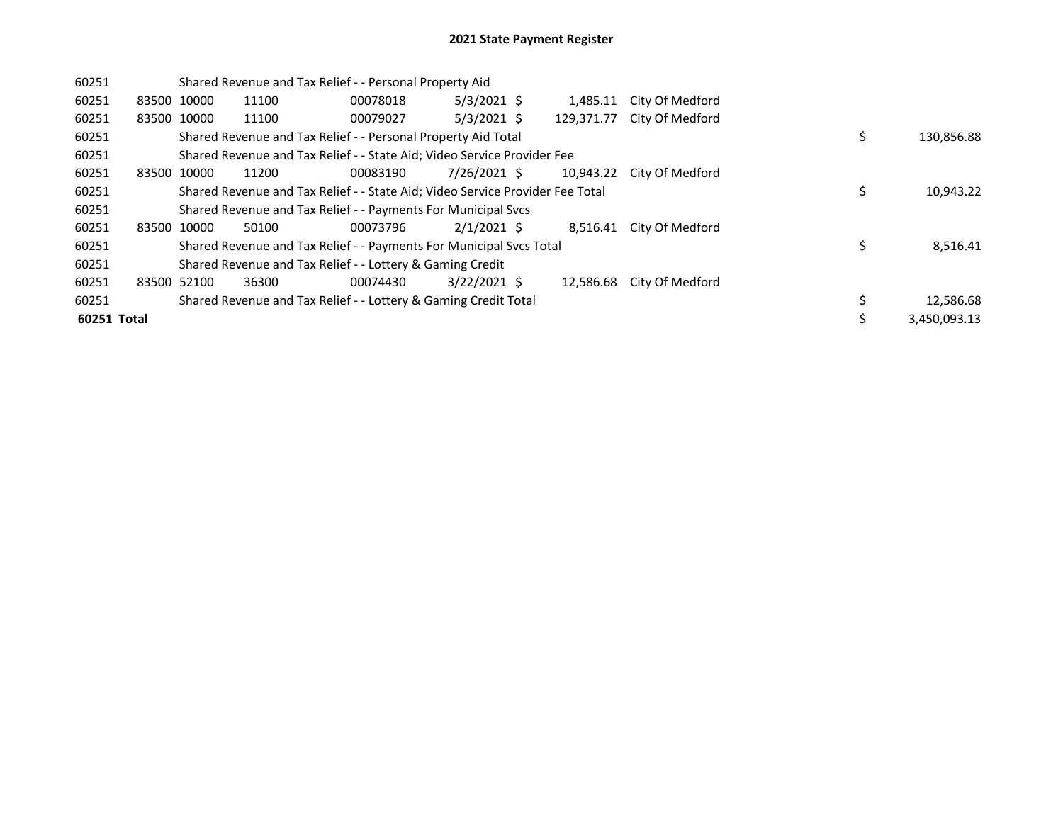| 60251       |             |             | Shared Revenue and Tax Relief - - Personal Property Aid                       |          |                |  |            |                 |  |    |              |  |
|-------------|-------------|-------------|-------------------------------------------------------------------------------|----------|----------------|--|------------|-----------------|--|----|--------------|--|
| 60251       | 83500 10000 |             | 11100                                                                         | 00078018 | $5/3/2021$ \$  |  | 1,485.11   | City Of Medford |  |    |              |  |
| 60251       |             | 83500 10000 | 11100                                                                         | 00079027 | $5/3/2021$ \$  |  | 129,371.77 | City Of Medford |  |    |              |  |
| 60251       |             |             | Shared Revenue and Tax Relief - - Personal Property Aid Total                 |          |                |  |            |                 |  |    | 130,856.88   |  |
| 60251       |             |             | Shared Revenue and Tax Relief - - State Aid; Video Service Provider Fee       |          |                |  |            |                 |  |    |              |  |
| 60251       |             | 83500 10000 | 11200                                                                         | 00083190 | 7/26/2021 \$   |  | 10.943.22  | City Of Medford |  |    |              |  |
| 60251       |             |             | Shared Revenue and Tax Relief - - State Aid; Video Service Provider Fee Total |          |                |  |            |                 |  | \$ | 10,943.22    |  |
| 60251       |             |             | Shared Revenue and Tax Relief - - Payments For Municipal Svcs                 |          |                |  |            |                 |  |    |              |  |
| 60251       |             | 83500 10000 | 50100                                                                         | 00073796 | $2/1/2021$ \$  |  | 8.516.41   | City Of Medford |  |    |              |  |
| 60251       |             |             | Shared Revenue and Tax Relief - - Payments For Municipal Svcs Total           |          |                |  |            |                 |  |    | 8,516.41     |  |
| 60251       |             |             | Shared Revenue and Tax Relief - - Lottery & Gaming Credit                     |          |                |  |            |                 |  |    |              |  |
| 60251       |             | 83500 52100 | 36300                                                                         | 00074430 | $3/22/2021$ \$ |  | 12,586.68  | City Of Medford |  |    |              |  |
| 60251       |             |             | Shared Revenue and Tax Relief - - Lottery & Gaming Credit Total               |          |                |  |            |                 |  |    | 12,586.68    |  |
| 60251 Total |             |             |                                                                               |          |                |  |            |                 |  |    | 3,450,093.13 |  |